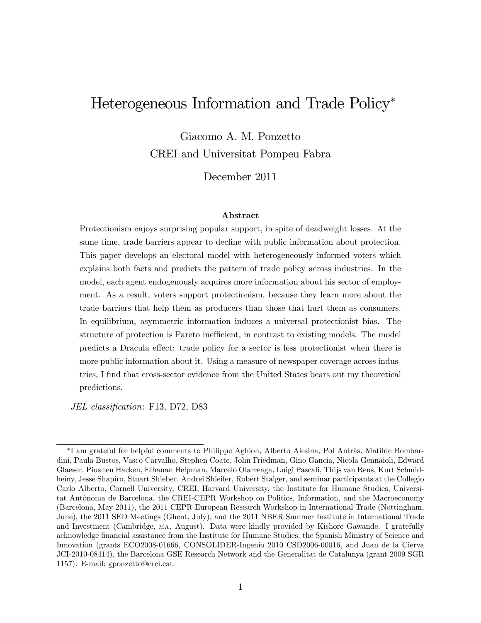# Heterogeneous Information and Trade Policy

Giacomo A. M. Ponzetto CREI and Universitat Pompeu Fabra

December 2011

#### Abstract

Protectionism enjoys surprising popular support, in spite of deadweight losses. At the same time, trade barriers appear to decline with public information about protection. This paper develops an electoral model with heterogeneously informed voters which explains both facts and predicts the pattern of trade policy across industries. In the model, each agent endogenously acquires more information about his sector of employment. As a result, voters support protectionism, because they learn more about the trade barriers that help them as producers than those that hurt them as consumers. In equilibrium, asymmetric information induces a universal protectionist bias. The structure of protection is Pareto inefficient, in contrast to existing models. The model predicts a Dracula effect: trade policy for a sector is less protectionist when there is more public information about it. Using a measure of newspaper coverage across industries, I find that cross-sector evidence from the United States bears out my theoretical predictions.

JEL classification: F13, D72, D83

<sup>&</sup>lt;sup>\*</sup>I am grateful for helpful comments to Philippe Aghion, Alberto Alesina, Pol Antràs, Matilde Bombardini, Paula Bustos, Vasco Carvalho, Stephen Coate, John Friedman, Gino Gancia, Nicola Gennaioli, Edward Glaeser, Pius ten Hacken, Elhanan Helpman, Marcelo Olarreaga, Luigi Pascali, Thijs van Rens, Kurt Schmidheiny, Jesse Shapiro, Stuart Shieber, Andrei Shleifer, Robert Staiger, and seminar participants at the Collegio Carlo Alberto, Cornell University, CREI, Harvard University, the Institute for Humane Studies, Universitat Autònoma de Barcelona, the CREI-CEPR Workshop on Politics, Information, and the Macroeconomy (Barcelona, May 2011), the 2011 CEPR European Research Workshop in International Trade (Nottingham, June), the 2011 SED Meetings (Ghent, July), and the 2011 NBER Summer Institute in International Trade and Investment (Cambridge, ma, August). Data were kindly provided by Kishore Gawande. I gratefully acknowledge Önancial assistance from the Institute for Humane Studies, the Spanish Ministry of Science and Innovation (grants ECO2008-01666, CONSOLIDER-Ingenio 2010 CSD2006-00016, and Juan de la Cierva JCI-2010-08414), the Barcelona GSE Research Network and the Generalitat de Catalunya (grant 2009 SGR 1157). E-mail: gponzetto@crei.cat.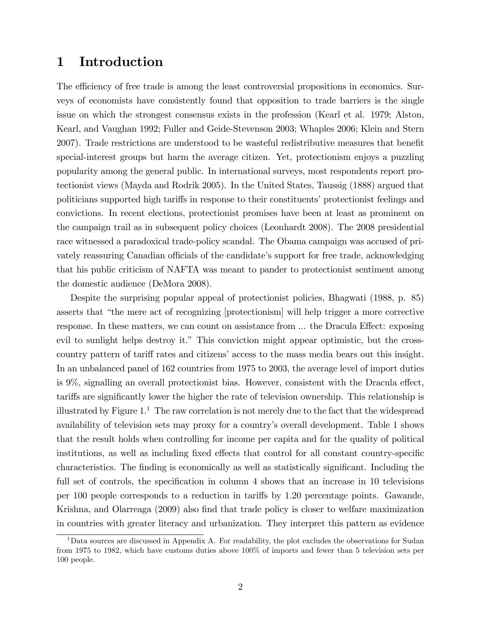# 1 Introduction

The efficiency of free trade is among the least controversial propositions in economics. Surveys of economists have consistently found that opposition to trade barriers is the single issue on which the strongest consensus exists in the profession (Kearl et al. 1979; Alston, Kearl, and Vaughan 1992; Fuller and Geide-Stevenson 2003; Whaples 2006; Klein and Stern 2007). Trade restrictions are understood to be wasteful redistributive measures that benefit special-interest groups but harm the average citizen. Yet, protectionism enjoys a puzzling popularity among the general public. In international surveys, most respondents report protectionist views (Mayda and Rodrik 2005). In the United States, Taussig (1888) argued that politicians supported high tariffs in response to their constituents' protectionist feelings and convictions. In recent elections, protectionist promises have been at least as prominent on the campaign trail as in subsequent policy choices (Leonhardt 2008). The 2008 presidential race witnessed a paradoxical trade-policy scandal. The Obama campaign was accused of privately reassuring Canadian officials of the candidate's support for free trade, acknowledging that his public criticism of NAFTA was meant to pander to protectionist sentiment among the domestic audience (DeMora 2008).

Despite the surprising popular appeal of protectionist policies, Bhagwati (1988, p. 85) asserts that "the mere act of recognizing [protectionism] will help trigger a more corrective response. In these matters, we can count on assistance from ... the Dracula Effect: exposing evil to sunlight helps destroy it." This conviction might appear optimistic, but the crosscountry pattern of tariff rates and citizens' access to the mass media bears out this insight. In an unbalanced panel of 162 countries from 1975 to 2003, the average level of import duties is  $9\%$ , signalling an overall protectionist bias. However, consistent with the Dracula effect, tariffs are significantly lower the higher the rate of television ownership. This relationship is illustrated by Figure  $1<sup>1</sup>$ . The raw correlation is not merely due to the fact that the widespread availability of television sets may proxy for a countryís overall development. Table 1 shows that the result holds when controlling for income per capita and for the quality of political institutions, as well as including fixed effects that control for all constant country-specific characteristics. The finding is economically as well as statistically significant. Including the full set of controls, the specification in column 4 shows that an increase in 10 televisions per 100 people corresponds to a reduction in tari§s by 1.20 percentage points. Gawande, Krishna, and Olarreaga (2009) also find that trade policy is closer to welfare maximization in countries with greater literacy and urbanization. They interpret this pattern as evidence

<sup>&</sup>lt;sup>1</sup>Data sources are discussed in Appendix A. For readability, the plot excludes the observations for Sudan from 1975 to 1982, which have customs duties above 100% of imports and fewer than 5 television sets per 100 people.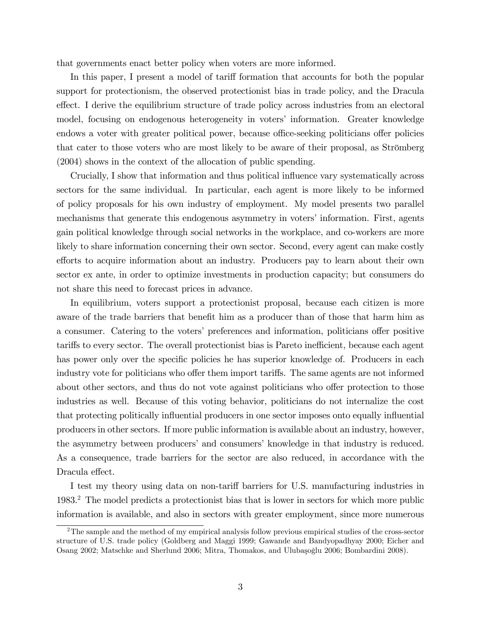that governments enact better policy when voters are more informed.

In this paper, I present a model of tariff formation that accounts for both the popular support for protectionism, the observed protectionist bias in trade policy, and the Dracula effect. I derive the equilibrium structure of trade policy across industries from an electoral model, focusing on endogenous heterogeneity in voters' information. Greater knowledge endows a voter with greater political power, because office-seeking politicians offer policies that cater to those voters who are most likely to be aware of their proposal, as Strömberg (2004) shows in the context of the allocation of public spending.

Crucially, I show that information and thus political ináuence vary systematically across sectors for the same individual. In particular, each agent is more likely to be informed of policy proposals for his own industry of employment. My model presents two parallel mechanisms that generate this endogenous asymmetry in voters' information. First, agents gain political knowledge through social networks in the workplace, and co-workers are more likely to share information concerning their own sector. Second, every agent can make costly efforts to acquire information about an industry. Producers pay to learn about their own sector ex ante, in order to optimize investments in production capacity; but consumers do not share this need to forecast prices in advance.

In equilibrium, voters support a protectionist proposal, because each citizen is more aware of the trade barriers that benefit him as a producer than of those that harm him as a consumer. Catering to the voters' preferences and information, politicians offer positive tariffs to every sector. The overall protectionist bias is Pareto inefficient, because each agent has power only over the specific policies he has superior knowledge of. Producers in each industry vote for politicians who offer them import tariffs. The same agents are not informed about other sectors, and thus do not vote against politicians who offer protection to those industries as well. Because of this voting behavior, politicians do not internalize the cost that protecting politically influential producers in one sector imposes onto equally influential producers in other sectors. If more public information is available about an industry, however, the asymmetry between producers' and consumers' knowledge in that industry is reduced. As a consequence, trade barriers for the sector are also reduced, in accordance with the Dracula effect.

I test my theory using data on non-tariff barriers for U.S. manufacturing industries in 1983.<sup>2</sup> The model predicts a protectionist bias that is lower in sectors for which more public information is available, and also in sectors with greater employment, since more numerous

<sup>&</sup>lt;sup>2</sup>The sample and the method of my empirical analysis follow previous empirical studies of the cross-sector structure of U.S. trade policy (Goldberg and Maggi 1999; Gawande and Bandyopadhyay 2000; Eicher and Osang 2002; Matschke and Sherlund 2006; Mitra, Thomakos, and Ulubasoğlu 2006; Bombardini 2008).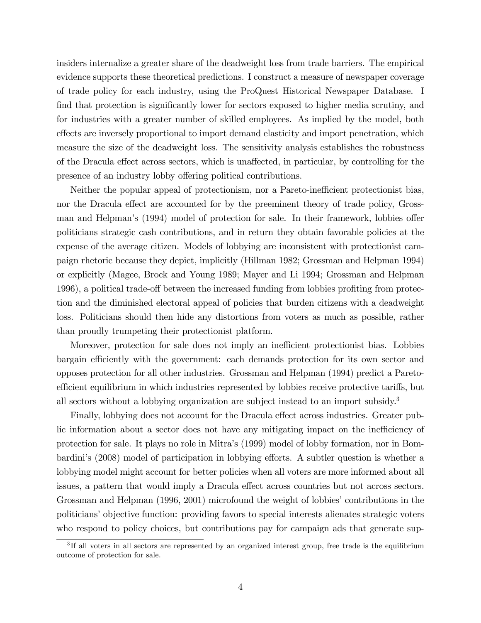insiders internalize a greater share of the deadweight loss from trade barriers. The empirical evidence supports these theoretical predictions. I construct a measure of newspaper coverage of trade policy for each industry, using the ProQuest Historical Newspaper Database. I find that protection is significantly lower for sectors exposed to higher media scrutiny, and for industries with a greater number of skilled employees. As implied by the model, both effects are inversely proportional to import demand elasticity and import penetration, which measure the size of the deadweight loss. The sensitivity analysis establishes the robustness of the Dracula effect across sectors, which is unaffected, in particular, by controlling for the presence of an industry lobby offering political contributions.

Neither the popular appeal of protectionism, nor a Pareto-inefficient protectionist bias, nor the Dracula effect are accounted for by the preeminent theory of trade policy, Grossman and Helpman's (1994) model of protection for sale. In their framework, lobbies offer politicians strategic cash contributions, and in return they obtain favorable policies at the expense of the average citizen. Models of lobbying are inconsistent with protectionist campaign rhetoric because they depict, implicitly (Hillman 1982; Grossman and Helpman 1994) or explicitly (Magee, Brock and Young 1989; Mayer and Li 1994; Grossman and Helpman 1996), a political trade-off between the increased funding from lobbies profiting from protection and the diminished electoral appeal of policies that burden citizens with a deadweight loss. Politicians should then hide any distortions from voters as much as possible, rather than proudly trumpeting their protectionist platform.

Moreover, protection for sale does not imply an inefficient protectionist bias. Lobbies bargain efficiently with the government: each demands protection for its own sector and opposes protection for all other industries. Grossman and Helpman (1994) predict a Paretoefficient equilibrium in which industries represented by lobbies receive protective tariffs, but all sectors without a lobbying organization are subject instead to an import subsidy.<sup>3</sup>

Finally, lobbying does not account for the Dracula effect across industries. Greater public information about a sector does not have any mitigating impact on the inefficiency of protection for sale. It plays no role in Mitraís (1999) model of lobby formation, nor in Bombardini's (2008) model of participation in lobbying efforts. A subtler question is whether a lobbying model might account for better policies when all voters are more informed about all issues, a pattern that would imply a Dracula effect across countries but not across sectors. Grossman and Helpman (1996, 2001) microfound the weight of lobbies' contributions in the politicians' objective function: providing favors to special interests alienates strategic voters who respond to policy choices, but contributions pay for campaign ads that generate sup-

<sup>&</sup>lt;sup>3</sup>If all voters in all sectors are represented by an organized interest group, free trade is the equilibrium outcome of protection for sale.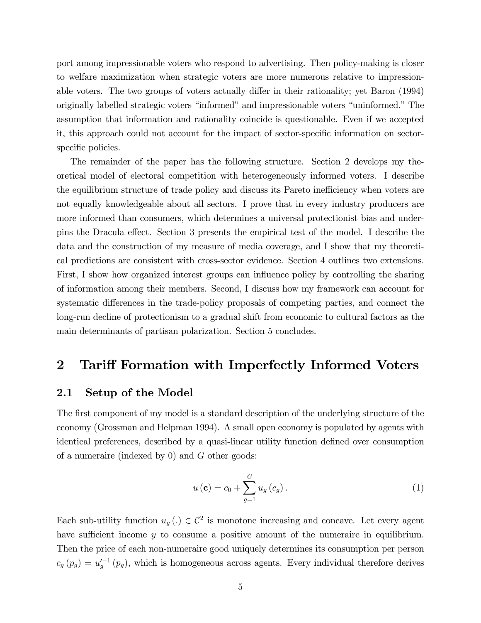port among impressionable voters who respond to advertising. Then policy-making is closer to welfare maximization when strategic voters are more numerous relative to impressionable voters. The two groups of voters actually differ in their rationality; yet Baron (1994) originally labelled strategic voters "informed" and impressionable voters "uninformed." The assumption that information and rationality coincide is questionable. Even if we accepted it, this approach could not account for the impact of sector-specific information on sectorspecific policies.

The remainder of the paper has the following structure. Section 2 develops my theoretical model of electoral competition with heterogeneously informed voters. I describe the equilibrium structure of trade policy and discuss its Pareto inefficiency when voters are not equally knowledgeable about all sectors. I prove that in every industry producers are more informed than consumers, which determines a universal protectionist bias and underpins the Dracula effect. Section 3 presents the empirical test of the model. I describe the data and the construction of my measure of media coverage, and I show that my theoretical predictions are consistent with cross-sector evidence. Section 4 outlines two extensions. First, I show how organized interest groups can influence policy by controlling the sharing of information among their members. Second, I discuss how my framework can account for systematic differences in the trade-policy proposals of competing parties, and connect the long-run decline of protectionism to a gradual shift from economic to cultural factors as the main determinants of partisan polarization. Section 5 concludes.

## 2 Tariff Formation with Imperfectly Informed Voters

#### 2.1 Setup of the Model

The first component of my model is a standard description of the underlying structure of the economy (Grossman and Helpman 1994). A small open economy is populated by agents with identical preferences, described by a quasi-linear utility function defined over consumption of a numeraire (indexed by 0) and G other goods:

$$
u\left(\mathbf{c}\right) = c_0 + \sum_{g=1}^{G} u_g\left(c_g\right). \tag{1}
$$

Each sub-utility function  $u_g(.) \in \mathcal{C}^2$  is monotone increasing and concave. Let every agent have sufficient income  $y$  to consume a positive amount of the numeraire in equilibrium. Then the price of each non-numeraire good uniquely determines its consumption per person  $c_g(p_g) = u_g'^{-1}(p_g)$ , which is homogeneous across agents. Every individual therefore derives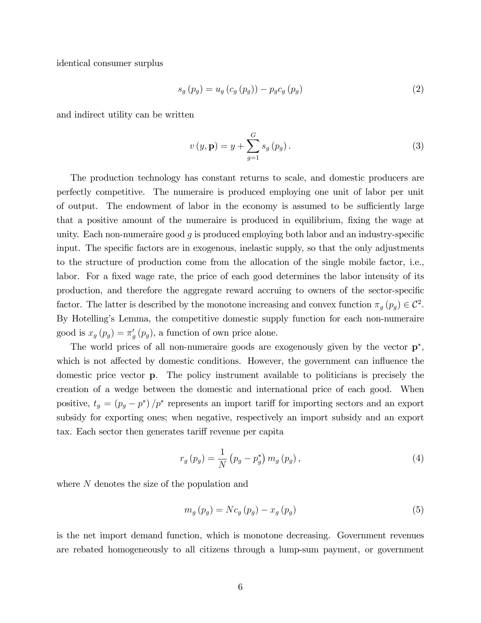identical consumer surplus

$$
s_g(p_g) = u_g(c_g(p_g)) - p_g c_g(p_g)
$$
 (2)

and indirect utility can be written

$$
v(y, \mathbf{p}) = y + \sum_{g=1}^{G} s_g(p_g).
$$
 (3)

The production technology has constant returns to scale, and domestic producers are perfectly competitive. The numeraire is produced employing one unit of labor per unit of output. The endowment of labor in the economy is assumed to be sufficiently large that a positive amount of the numeraire is produced in equilibrium, fixing the wage at unity. Each non-numeraire good  $g$  is produced employing both labor and an industry-specific input. The specific factors are in exogenous, inelastic supply, so that the only adjustments to the structure of production come from the allocation of the single mobile factor, i.e., labor. For a fixed wage rate, the price of each good determines the labor intensity of its production, and therefore the aggregate reward accruing to owners of the sector-specific factor. The latter is described by the monotone increasing and convex function  $\pi_g(p_g) \in C^2$ . By Hotelling's Lemma, the competitive domestic supply function for each non-numeraire good is  $x_g(p_g) = \pi'_g(p_g)$ , a function of own price alone.

The world prices of all non-numeraire goods are exogenously given by the vector  $\mathbf{p}^*$ , which is not affected by domestic conditions. However, the government can influence the domestic price vector p. The policy instrument available to politicians is precisely the creation of a wedge between the domestic and international price of each good. When positive,  $t_g = (p_g - p^*)/p^*$  represents an import tariff for importing sectors and an export subsidy for exporting ones; when negative, respectively an import subsidy and an export tax. Each sector then generates tariff revenue per capita

$$
r_g(p_g) = \frac{1}{N} (p_g - p_g^*) m_g(p_g), \qquad (4)
$$

where N denotes the size of the population and

$$
m_g(p_g) = Nc_g(p_g) - x_g(p_g)
$$
\n<sup>(5)</sup>

is the net import demand function, which is monotone decreasing. Government revenues are rebated homogeneously to all citizens through a lump-sum payment, or government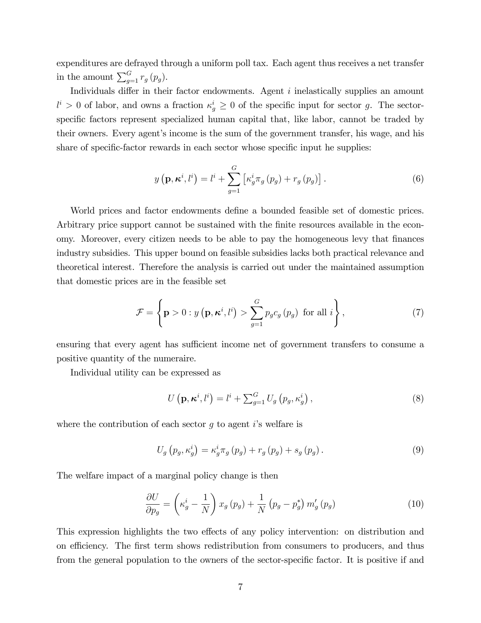expenditures are defrayed through a uniform poll tax. Each agent thus receives a net transfer in the amount  $\sum_{g=1}^{G} r_g(p_g)$ .

Individuals differ in their factor endowments. Agent  $i$  inelastically supplies an amount  $l^i > 0$  of labor, and owns a fraction  $\kappa_g^i \geq 0$  of the specific input for sector g. The sectorspecific factors represent specialized human capital that, like labor, cannot be traded by their owners. Every agent's income is the sum of the government transfer, his wage, and his share of specific-factor rewards in each sector whose specific input he supplies:

$$
y\left(\mathbf{p},\boldsymbol{\kappa}^{i},l^{i}\right)=l^{i}+\sum_{g=1}^{G}\left[\kappa_{g}^{i}\pi_{g}\left(p_{g}\right)+r_{g}\left(p_{g}\right)\right].
$$
\n(6)

World prices and factor endowments define a bounded feasible set of domestic prices. Arbitrary price support cannot be sustained with the finite resources available in the economy. Moreover, every citizen needs to be able to pay the homogeneous levy that finances industry subsidies. This upper bound on feasible subsidies lacks both practical relevance and theoretical interest. Therefore the analysis is carried out under the maintained assumption that domestic prices are in the feasible set

$$
\mathcal{F} = \left\{ \mathbf{p} > 0 : y\left(\mathbf{p}, \boldsymbol{\kappa}^i, l^i\right) > \sum_{g=1}^G p_g c_g \left(p_g\right) \text{ for all } i \right\},\tag{7}
$$

ensuring that every agent has sufficient income net of government transfers to consume a positive quantity of the numeraire.

Individual utility can be expressed as

$$
U\left(\mathbf{p}, \boldsymbol{\kappa}^{i}, l^{i}\right) = l^{i} + \sum_{g=1}^{G} U_{g}\left(p_{g}, \kappa_{g}^{i}\right),\tag{8}
$$

where the contribution of each sector  $g$  to agent is welfare is

$$
U_g(p_g, \kappa_g^i) = \kappa_g^i \pi_g(p_g) + r_g(p_g) + s_g(p_g).
$$
 (9)

The welfare impact of a marginal policy change is then

$$
\frac{\partial U}{\partial p_g} = \left(\kappa_g^i - \frac{1}{N}\right) x_g \left(p_g\right) + \frac{1}{N} \left(p_g - p_g^*\right) m'_g \left(p_g\right) \tag{10}
$$

This expression highlights the two effects of any policy intervention: on distribution and on efficiency. The first term shows redistribution from consumers to producers, and thus from the general population to the owners of the sector-specific factor. It is positive if and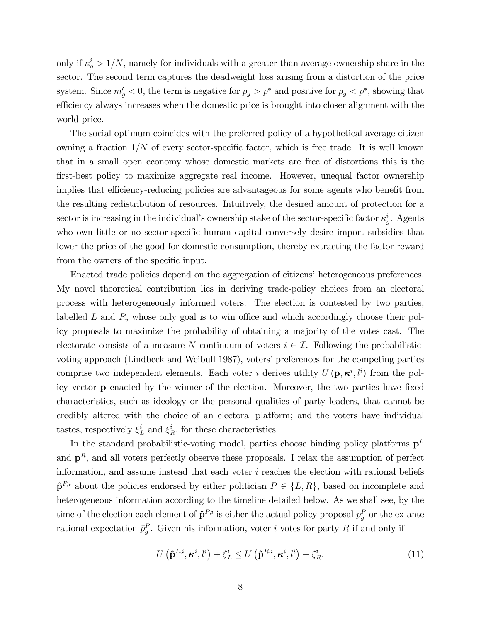only if  $\kappa_g^i > 1/N$ , namely for individuals with a greater than average ownership share in the sector. The second term captures the deadweight loss arising from a distortion of the price system. Since  $m'_g < 0$ , the term is negative for  $p_g > p^*$  and positive for  $p_g < p^*$ , showing that efficiency always increases when the domestic price is brought into closer alignment with the world price.

The social optimum coincides with the preferred policy of a hypothetical average citizen owning a fraction  $1/N$  of every sector-specific factor, which is free trade. It is well known that in a small open economy whose domestic markets are free of distortions this is the first-best policy to maximize aggregate real income. However, unequal factor ownership implies that efficiency-reducing policies are advantageous for some agents who benefit from the resulting redistribution of resources. Intuitively, the desired amount of protection for a sector is increasing in the individual's ownership stake of the sector-specific factor  $\kappa_g^i$ . Agents who own little or no sector-specific human capital conversely desire import subsidies that lower the price of the good for domestic consumption, thereby extracting the factor reward from the owners of the specific input.

Enacted trade policies depend on the aggregation of citizens' heterogeneous preferences. My novel theoretical contribution lies in deriving trade-policy choices from an electoral process with heterogeneously informed voters. The election is contested by two parties, labelled  $L$  and  $R$ , whose only goal is to win office and which accordingly choose their policy proposals to maximize the probability of obtaining a majority of the votes cast. The electorate consists of a measure-N continuum of voters  $i \in \mathcal{I}$ . Following the probabilisticvoting approach (Lindbeck and Weibull 1987), voters' preferences for the competing parties comprise two independent elements. Each voter *i* derives utility  $U(\mathbf{p},\boldsymbol{\kappa}^i,l^i)$  from the policy vector **p** enacted by the winner of the election. Moreover, the two parties have fixed characteristics, such as ideology or the personal qualities of party leaders, that cannot be credibly altered with the choice of an electoral platform; and the voters have individual tastes, respectively  $\xi_L^i$  and  $\xi_R^i$ , for these characteristics.

In the standard probabilistic-voting model, parties choose binding policy platforms  $p<sup>L</sup>$ and  $\mathbf{p}^R$ , and all voters perfectly observe these proposals. I relax the assumption of perfect information, and assume instead that each voter  $i$  reaches the election with rational beliefs  $\hat{\mathbf{p}}^{P,i}$  about the policies endorsed by either politician  $P \in \{L, R\}$ , based on incomplete and heterogeneous information according to the timeline detailed below. As we shall see, by the time of the election each element of  $\hat{\mathbf{p}}^{P,i}$  is either the actual policy proposal  $p_g^P$  or the ex-ante rational expectation  $\bar{p}_g^P$ . Given his information, voter *i* votes for party R if and only if

$$
U\left(\hat{\mathbf{p}}^{L,i}, \kappa^i, l^i\right) + \xi_L^i \le U\left(\hat{\mathbf{p}}^{R,i}, \kappa^i, l^i\right) + \xi_R^i.
$$
\n(11)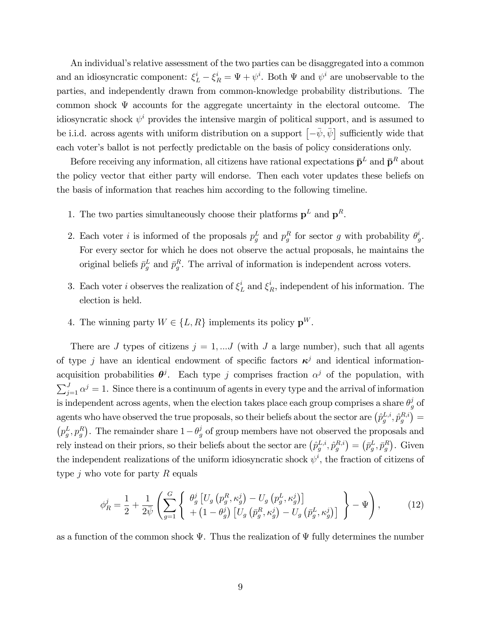An individual's relative assessment of the two parties can be disaggregated into a common and an idiosyncratic component:  $\xi_L^i - \xi_R^i = \Psi + \psi^i$ . Both  $\Psi$  and  $\psi^i$  are unobservable to the parties, and independently drawn from common-knowledge probability distributions. The common shock  $\Psi$  accounts for the aggregate uncertainty in the electoral outcome. The idiosyncratic shock  $\psi^i$  provides the intensive margin of political support, and is assumed to be i.i.d. across agents with uniform distribution on a support  $\left[-\bar{\psi}, \bar{\psi}\right]$  sufficiently wide that each voter's ballot is not perfectly predictable on the basis of policy considerations only.

Before receiving any information, all citizens have rational expectations  $\bar{\mathbf{p}}^L$  and  $\bar{\mathbf{p}}^R$  about the policy vector that either party will endorse. Then each voter updates these beliefs on the basis of information that reaches him according to the following timeline.

- 1. The two parties simultaneously choose their platforms  $p<sup>L</sup>$  and  $p<sup>R</sup>$ .
- 2. Each voter *i* is informed of the proposals  $p_g^L$  and  $p_g^R$  for sector *g* with probability  $\theta_g^i$  $_{g}^{\imath}.$ For every sector for which he does not observe the actual proposals, he maintains the original beliefs  $\bar{p}_g^L$  and  $\bar{p}_g^R$ . The arrival of information is independent across voters.
- 3. Each voter *i* observes the realization of  $\xi_L^i$  and  $\xi_R^i$ , independent of his information. The election is held.
- 4. The winning party  $W \in \{L, R\}$  implements its policy  $\mathbf{p}^W$ .

There are J types of citizens  $j = 1, \ldots J$  (with J a large number), such that all agents of type j have an identical endowment of specific factors  $\kappa^j$  and identical informationacquisition probabilities  $\theta^j$ . Each type j comprises fraction  $\alpha^j$  of the population, with  $\sum_{j=1}^{J} \alpha^j = 1$ . Since there is a continuum of agents in every type and the arrival of information is independent across agents, when the election takes place each group comprises a share  $\theta_g^j$  of agents who have observed the true proposals, so their beliefs about the sector are  $(\hat{p}_g^{L,i}, \hat{p}_g^{R,i}) =$  $(p_g^L, p_g^R)$ . The remainder share  $1 - \theta_g^j$  of group members have not observed the proposals and rely instead on their priors, so their beliefs about the sector are  $(\hat{p}_g^{L,i}, \hat{p}_g^{R,i}) = (\bar{p}_g^L, \bar{p}_g^R)$ . Given the independent realizations of the uniform idiosyncratic shock  $\psi^i$ , the fraction of citizens of type  $j$  who vote for party  $R$  equals

$$
\phi_R^j = \frac{1}{2} + \frac{1}{2\bar{\psi}} \left( \sum_{g=1}^G \left\{ \begin{array}{c} \theta_g^j \left[ U_g \left( p_g^R, \kappa_g^j \right) - U_g \left( p_g^L, \kappa_g^j \right) \right] \\ + \left( 1 - \theta_g^j \right) \left[ U_g \left( \bar{p}_g^R, \kappa_g^j \right) - U_g \left( \bar{p}_g^L, \kappa_g^j \right) \right] \end{array} \right\} - \Psi \right), \tag{12}
$$

as a function of the common shock  $\Psi$ . Thus the realization of  $\Psi$  fully determines the number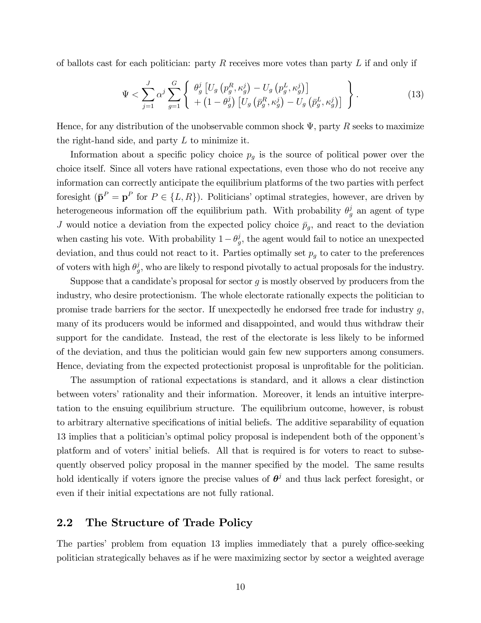of ballots cast for each politician: party  $R$  receives more votes than party  $L$  if and only if

$$
\Psi < \sum_{j=1}^{J} \alpha^{j} \sum_{g=1}^{G} \left\{ \begin{array}{l} \theta_{g}^{j} \left[ U_{g} \left( p_{g}^{R}, \kappa_{g}^{j} \right) - U_{g} \left( p_{g}^{L}, \kappa_{g}^{j} \right) \right] \\ + \left( 1 - \theta_{g}^{j} \right) \left[ U_{g} \left( \bar{p}_{g}^{R}, \kappa_{g}^{j} \right) - U_{g} \left( \bar{p}_{g}^{L}, \kappa_{g}^{j} \right) \right] \end{array} \right\}.
$$
\n(13)

Hence, for any distribution of the unobservable common shock  $\Psi$ , party R seeks to maximize the right-hand side, and party  $L$  to minimize it.

Information about a specific policy choice  $p<sub>g</sub>$  is the source of political power over the choice itself. Since all voters have rational expectations, even those who do not receive any information can correctly anticipate the equilibrium platforms of the two parties with perfect foresight  $(\mathbf{\bar{p}}^P = \mathbf{p}^P$  for  $P \in \{L, R\})$ . Politicians' optimal strategies, however, are driven by heterogeneous information off the equilibrium path. With probability  $\theta_g^j$  an agent of type J would notice a deviation from the expected policy choice  $\bar{p}_q$ , and react to the deviation when casting his vote. With probability  $1 - \theta_g^j$  $_g^j$ , the agent would fail to notice an unexpected deviation, and thus could not react to it. Parties optimally set  $p<sub>g</sub>$  to cater to the preferences of voters with high  $\theta_a^j$  $g<sub>g</sub>$ , who are likely to respond pivotally to actual proposals for the industry.

Suppose that a candidate's proposal for sector  $q$  is mostly observed by producers from the industry, who desire protectionism. The whole electorate rationally expects the politician to promise trade barriers for the sector. If unexpectedly he endorsed free trade for industry  $g$ , many of its producers would be informed and disappointed, and would thus withdraw their support for the candidate. Instead, the rest of the electorate is less likely to be informed of the deviation, and thus the politician would gain few new supporters among consumers. Hence, deviating from the expected protectionist proposal is unprofitable for the politician.

The assumption of rational expectations is standard, and it allows a clear distinction between voters' rationality and their information. Moreover, it lends an intuitive interpretation to the ensuing equilibrium structure. The equilibrium outcome, however, is robust to arbitrary alternative specifications of initial beliefs. The additive separability of equation 13 implies that a politicianís optimal policy proposal is independent both of the opponentís platform and of voters' initial beliefs. All that is required is for voters to react to subsequently observed policy proposal in the manner specified by the model. The same results hold identically if voters ignore the precise values of  $\theta^j$  and thus lack perfect foresight, or even if their initial expectations are not fully rational.

### 2.2 The Structure of Trade Policy

The parties' problem from equation 13 implies immediately that a purely office-seeking politician strategically behaves as if he were maximizing sector by sector a weighted average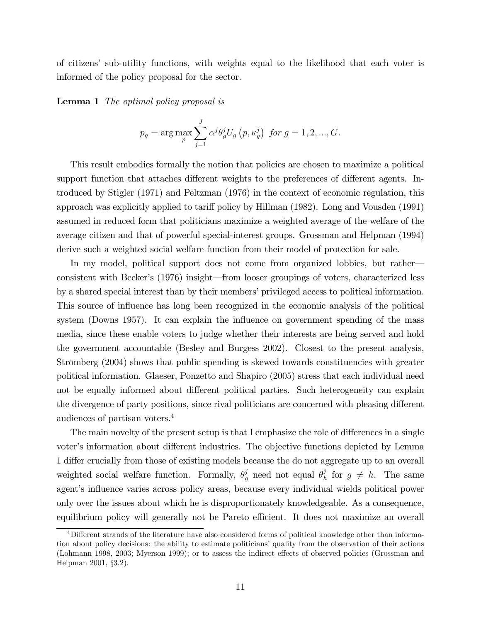of citizensí sub-utility functions, with weights equal to the likelihood that each voter is informed of the policy proposal for the sector.

Lemma 1 The optimal policy proposal is

$$
p_g
$$
 = arg max<sub>p</sub>  $\sum_{j=1}^{J} \alpha^j \theta_g^j U_g(p, \kappa_g^j)$  for  $g = 1, 2, ..., G$ .

This result embodies formally the notion that policies are chosen to maximize a political support function that attaches different weights to the preferences of different agents. Introduced by Stigler (1971) and Peltzman (1976) in the context of economic regulation, this approach was explicitly applied to tariff policy by Hillman (1982). Long and Vousden (1991) assumed in reduced form that politicians maximize a weighted average of the welfare of the average citizen and that of powerful special-interest groups. Grossman and Helpman (1994) derive such a weighted social welfare function from their model of protection for sale.

In my model, political support does not come from organized lobbies, but rather consistent with Becker's (1976) insight—from looser groupings of voters, characterized less by a shared special interest than by their members' privileged access to political information. This source of influence has long been recognized in the economic analysis of the political system (Downs 1957). It can explain the influence on government spending of the mass media, since these enable voters to judge whether their interests are being served and hold the government accountable (Besley and Burgess 2002). Closest to the present analysis, Strömberg (2004) shows that public spending is skewed towards constituencies with greater political information. Glaeser, Ponzetto and Shapiro (2005) stress that each individual need not be equally informed about different political parties. Such heterogeneity can explain the divergence of party positions, since rival politicians are concerned with pleasing different audiences of partisan voters.<sup>4</sup>

The main novelty of the present setup is that I emphasize the role of differences in a single voter's information about different industries. The objective functions depicted by Lemma 1 differ crucially from those of existing models because the do not aggregate up to an overall weighted social welfare function. Formally,  $\theta_g^j$  need not equal  $\theta_h^j$  $h \atop h$  for  $g \neq h$ . The same agent's influence varies across policy areas, because every individual wields political power only over the issues about which he is disproportionately knowledgeable. As a consequence, equilibrium policy will generally not be Pareto efficient. It does not maximize an overall

 $4$ Different strands of the literature have also considered forms of political knowledge other than information about policy decisions: the ability to estimate politicians' quality from the observation of their actions (Lohmann 1998, 2003; Myerson 1999); or to assess the indirect effects of observed policies (Grossman and Helpman 2001, ß3.2).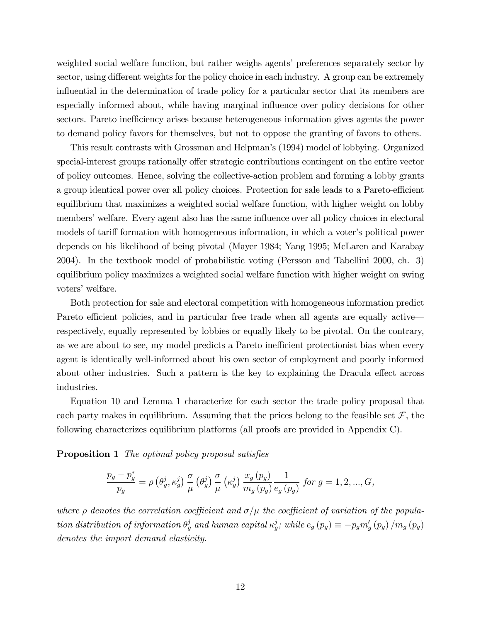weighted social welfare function, but rather weighs agents' preferences separately sector by sector, using different weights for the policy choice in each industry. A group can be extremely influential in the determination of trade policy for a particular sector that its members are especially informed about, while having marginal influence over policy decisions for other sectors. Pareto inefficiency arises because heterogeneous information gives agents the power to demand policy favors for themselves, but not to oppose the granting of favors to others.

This result contrasts with Grossman and Helpmanís (1994) model of lobbying. Organized special-interest groups rationally offer strategic contributions contingent on the entire vector of policy outcomes. Hence, solving the collective-action problem and forming a lobby grants a group identical power over all policy choices. Protection for sale leads to a Pareto-efficient equilibrium that maximizes a weighted social welfare function, with higher weight on lobby members' welfare. Every agent also has the same influence over all policy choices in electoral models of tariff formation with homogeneous information, in which a voter's political power depends on his likelihood of being pivotal (Mayer 1984; Yang 1995; McLaren and Karabay 2004). In the textbook model of probabilistic voting (Persson and Tabellini 2000, ch. 3) equilibrium policy maximizes a weighted social welfare function with higher weight on swing voters' welfare.

Both protection for sale and electoral competition with homogeneous information predict Pareto efficient policies, and in particular free trade when all agents are equally active respectively, equally represented by lobbies or equally likely to be pivotal. On the contrary, as we are about to see, my model predicts a Pareto inefficient protectionist bias when every agent is identically well-informed about his own sector of employment and poorly informed about other industries. Such a pattern is the key to explaining the Dracula effect across industries.

Equation 10 and Lemma 1 characterize for each sector the trade policy proposal that each party makes in equilibrium. Assuming that the prices belong to the feasible set  $\mathcal{F}$ , the following characterizes equilibrium platforms (all proofs are provided in Appendix C).

**Proposition 1** The optimal policy proposal satisfies

$$
\frac{p_g-p_g^*}{p_g}=\rho\left(\theta_g^j,\kappa_g^j\right)\frac{\sigma}{\mu}\left(\theta_g^j\right)\frac{\sigma}{\mu}\left(\kappa_g^j\right)\frac{x_g\left(p_g\right)}{m_g\left(p_g\right)}\frac{1}{e_g\left(p_g\right)} \; \text{for}\; g=1,2,...,G,
$$

where  $\rho$  denotes the correlation coefficient and  $\sigma/\mu$  the coefficient of variation of the population distribution of information  $\theta_g^j$  and human capital  $\kappa_g^j$ ; while  $e_g(p_g) \equiv -p_g m'_g(p_g) / m_g(p_g)$ denotes the import demand elasticity.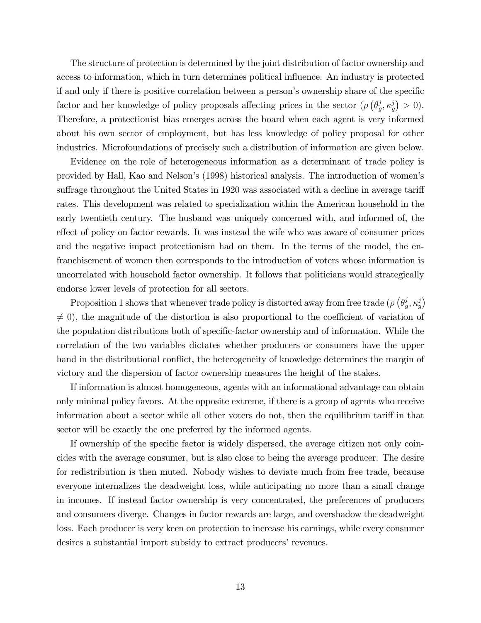The structure of protection is determined by the joint distribution of factor ownership and access to information, which in turn determines political influence. An industry is protected if and only if there is positive correlation between a person's ownership share of the specific factor and her knowledge of policy proposals affecting prices in the sector  $(\rho \left( \theta_a^j \right))$  $(g^j, \kappa_g^j) > 0$ ). Therefore, a protectionist bias emerges across the board when each agent is very informed about his own sector of employment, but has less knowledge of policy proposal for other industries. Microfoundations of precisely such a distribution of information are given below.

Evidence on the role of heterogeneous information as a determinant of trade policy is provided by Hall, Kao and Nelsonís (1998) historical analysis. The introduction of womenís suffrage throughout the United States in 1920 was associated with a decline in average tariff rates. This development was related to specialization within the American household in the early twentieth century. The husband was uniquely concerned with, and informed of, the effect of policy on factor rewards. It was instead the wife who was aware of consumer prices and the negative impact protectionism had on them. In the terms of the model, the enfranchisement of women then corresponds to the introduction of voters whose information is uncorrelated with household factor ownership. It follows that politicians would strategically endorse lower levels of protection for all sectors.

Proposition 1 shows that whenever trade policy is distorted away from free trade ( $\rho$  ( $\theta_a^j$  $\left(\begin{matrix}j&\kappa j\g&\kappa g\end{matrix}\right)$  $\neq$  0), the magnitude of the distortion is also proportional to the coefficient of variation of the population distributions both of specific-factor ownership and of information. While the correlation of the two variables dictates whether producers or consumers have the upper hand in the distributional conflict, the heterogeneity of knowledge determines the margin of victory and the dispersion of factor ownership measures the height of the stakes.

If information is almost homogeneous, agents with an informational advantage can obtain only minimal policy favors. At the opposite extreme, if there is a group of agents who receive information about a sector while all other voters do not, then the equilibrium tariff in that sector will be exactly the one preferred by the informed agents.

If ownership of the specific factor is widely dispersed, the average citizen not only coincides with the average consumer, but is also close to being the average producer. The desire for redistribution is then muted. Nobody wishes to deviate much from free trade, because everyone internalizes the deadweight loss, while anticipating no more than a small change in incomes. If instead factor ownership is very concentrated, the preferences of producers and consumers diverge. Changes in factor rewards are large, and overshadow the deadweight loss. Each producer is very keen on protection to increase his earnings, while every consumer desires a substantial import subsidy to extract producers' revenues.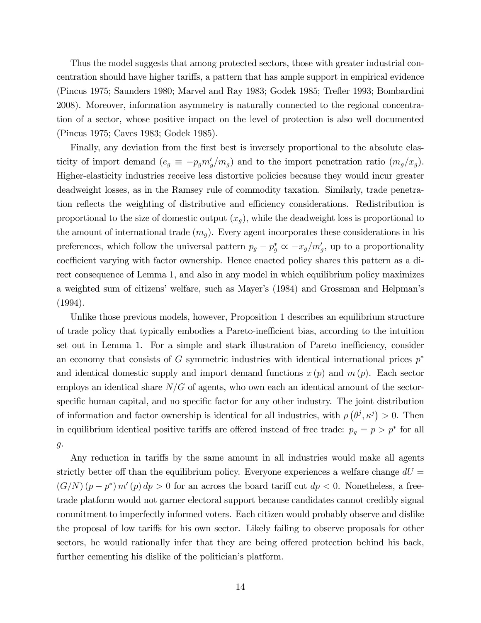Thus the model suggests that among protected sectors, those with greater industrial concentration should have higher tariffs, a pattern that has ample support in empirical evidence (Pincus 1975; Saunders 1980; Marvel and Ray 1983; Godek 1985; Treáer 1993; Bombardini 2008). Moreover, information asymmetry is naturally connected to the regional concentration of a sector, whose positive impact on the level of protection is also well documented (Pincus 1975; Caves 1983; Godek 1985).

Finally, any deviation from the first best is inversely proportional to the absolute elasticity of import demand  $(e_g \equiv -p_g m'_g/m_g)$  and to the import penetration ratio  $(m_g/x_g)$ . Higher-elasticity industries receive less distortive policies because they would incur greater deadweight losses, as in the Ramsey rule of commodity taxation. Similarly, trade penetration reflects the weighting of distributive and efficiency considerations. Redistribution is proportional to the size of domestic output  $(x_g)$ , while the deadweight loss is proportional to the amount of international trade  $(m_g)$ . Every agent incorporates these considerations in his preferences, which follow the universal pattern  $p_g - p_g^* \propto -x_g/m'_g$ , up to a proportionality coefficient varying with factor ownership. Hence enacted policy shares this pattern as a direct consequence of Lemma 1, and also in any model in which equilibrium policy maximizes a weighted sum of citizens' welfare, such as Mayer's (1984) and Grossman and Helpman's (1994).

Unlike those previous models, however, Proposition 1 describes an equilibrium structure of trade policy that typically embodies a Pareto-ine¢ cient bias, according to the intuition set out in Lemma 1. For a simple and stark illustration of Pareto inefficiency, consider an economy that consists of G symmetric industries with identical international prices  $p^*$ and identical domestic supply and import demand functions  $x(p)$  and  $m(p)$ . Each sector employs an identical share  $N/G$  of agents, who own each an identical amount of the sectorspecific human capital, and no specific factor for any other industry. The joint distribution of information and factor ownership is identical for all industries, with  $\rho(\theta^j, \kappa^j) > 0$ . Then in equilibrium identical positive tariffs are offered instead of free trade:  $p_g = p > p^*$  for all g.

Any reduction in tariffs by the same amount in all industries would make all agents strictly better off than the equilibrium policy. Everyone experiences a welfare change  $dU =$  $(G/N) (p - p^*) m'(p) dp > 0$  for an across the board tariff cut  $dp < 0$ . Nonetheless, a freetrade platform would not garner electoral support because candidates cannot credibly signal commitment to imperfectly informed voters. Each citizen would probably observe and dislike the proposal of low tariffs for his own sector. Likely failing to observe proposals for other sectors, he would rationally infer that they are being offered protection behind his back, further cementing his dislike of the politician's platform.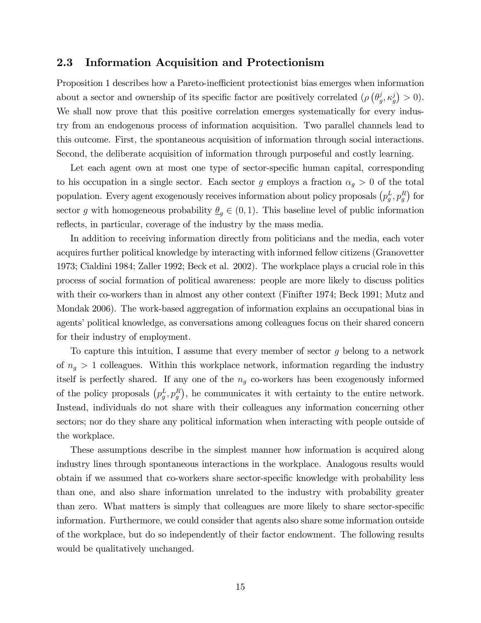#### 2.3 Information Acquisition and Protectionism

Proposition 1 describes how a Pareto-inefficient protectionist bias emerges when information about a sector and ownership of its specific factor are positively correlated ( $\rho$  ( $\theta_a^j$ )  $\left( \begin{array}{c} j \\ g, \kappa_g^j \end{array} \right) > 0$ . We shall now prove that this positive correlation emerges systematically for every industry from an endogenous process of information acquisition. Two parallel channels lead to this outcome. First, the spontaneous acquisition of information through social interactions. Second, the deliberate acquisition of information through purposeful and costly learning.

Let each agent own at most one type of sector-specific human capital, corresponding to his occupation in a single sector. Each sector g employs a fraction  $\alpha_g > 0$  of the total population. Every agent exogenously receives information about policy proposals  $(p_g^L, p_g^R)$  for sector g with homogeneous probability  $\underline{\theta}_q \in (0,1)$ . This baseline level of public information reflects, in particular, coverage of the industry by the mass media.

In addition to receiving information directly from politicians and the media, each voter acquires further political knowledge by interacting with informed fellow citizens (Granovetter 1973; Cialdini 1984; Zaller 1992; Beck et al. 2002). The workplace plays a crucial role in this process of social formation of political awareness: people are more likely to discuss politics with their co-workers than in almost any other context (Finifter 1974; Beck 1991; Mutz and Mondak 2006). The work-based aggregation of information explains an occupational bias in agents' political knowledge, as conversations among colleagues focus on their shared concern for their industry of employment.

To capture this intuition, I assume that every member of sector  $q$  belong to a network of  $n_g > 1$  colleagues. Within this workplace network, information regarding the industry itself is perfectly shared. If any one of the  $n<sub>g</sub>$  co-workers has been exogenously informed of the policy proposals  $(p_g^L, p_g^R)$ , he communicates it with certainty to the entire network. Instead, individuals do not share with their colleagues any information concerning other sectors; nor do they share any political information when interacting with people outside of the workplace.

These assumptions describe in the simplest manner how information is acquired along industry lines through spontaneous interactions in the workplace. Analogous results would obtain if we assumed that co-workers share sector-specific knowledge with probability less than one, and also share information unrelated to the industry with probability greater than zero. What matters is simply that colleagues are more likely to share sector-specific information. Furthermore, we could consider that agents also share some information outside of the workplace, but do so independently of their factor endowment. The following results would be qualitatively unchanged.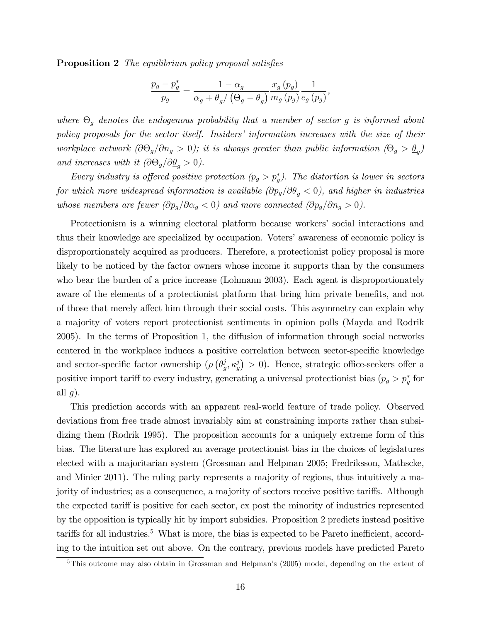**Proposition 2** The equilibrium policy proposal satisfies

$$
\frac{p_g - p_g^*}{p_g} = \frac{1 - \alpha_g}{\alpha_g + \underline{\theta}_g / (\Theta_g - \underline{\theta}_g)} \frac{x_g(p_g)}{m_g(p_g)} \frac{1}{e_g(p_g)},
$$

where  $\Theta_g$  denotes the endogenous probability that a member of sector g is informed about policy proposals for the sector itself. Insiders' information increases with the size of their workplace network  $(\partial \Theta_g / \partial n_g > 0)$ ; it is always greater than public information  $(\Theta_g > \underline{\theta}_g)$ and increases with it  $(\partial \Theta_g / \partial \underline{\theta}_g > 0)$ .

Every industry is offered positive protection  $(p_g > p_g^*)$ . The distortion is lower in sectors for which more widespread information is available  $(\partial p_g/\partial \underline{\theta}_q < 0)$ , and higher in industries whose members are fewer  $(\partial p_g/\partial \alpha_g < 0)$  and more connected  $(\partial p_g/\partial n_g > 0)$ .

Protectionism is a winning electoral platform because workers' social interactions and thus their knowledge are specialized by occupation. Voters' awareness of economic policy is disproportionately acquired as producers. Therefore, a protectionist policy proposal is more likely to be noticed by the factor owners whose income it supports than by the consumers who bear the burden of a price increase (Lohmann 2003). Each agent is disproportionately aware of the elements of a protectionist platform that bring him private benefits, and not of those that merely affect him through their social costs. This asymmetry can explain why a majority of voters report protectionist sentiments in opinion polls (Mayda and Rodrik 2005). In the terms of Proposition 1, the diffusion of information through social networks centered in the workplace induces a positive correlation between sector-specific knowledge and sector-specific factor ownership ( $\rho$  ( $\theta_a^j$ )  $(g, \kappa_g^j) > 0$ ). Hence, strategic office-seekers offer a positive import tariff to every industry, generating a universal protectionist bias  $(p_g > p_g^*$  for all  $g$ ).

This prediction accords with an apparent real-world feature of trade policy. Observed deviations from free trade almost invariably aim at constraining imports rather than subsidizing them (Rodrik 1995). The proposition accounts for a uniquely extreme form of this bias. The literature has explored an average protectionist bias in the choices of legislatures elected with a majoritarian system (Grossman and Helpman 2005; Fredriksson, Mathscke, and Minier 2011). The ruling party represents a majority of regions, thus intuitively a majority of industries; as a consequence, a majority of sectors receive positive tariffs. Although the expected tariff is positive for each sector, ex post the minority of industries represented by the opposition is typically hit by import subsidies. Proposition 2 predicts instead positive tariffs for all industries.<sup>5</sup> What is more, the bias is expected to be Pareto inefficient, according to the intuition set out above. On the contrary, previous models have predicted Pareto

 $5$ This outcome may also obtain in Grossman and Helpman's (2005) model, depending on the extent of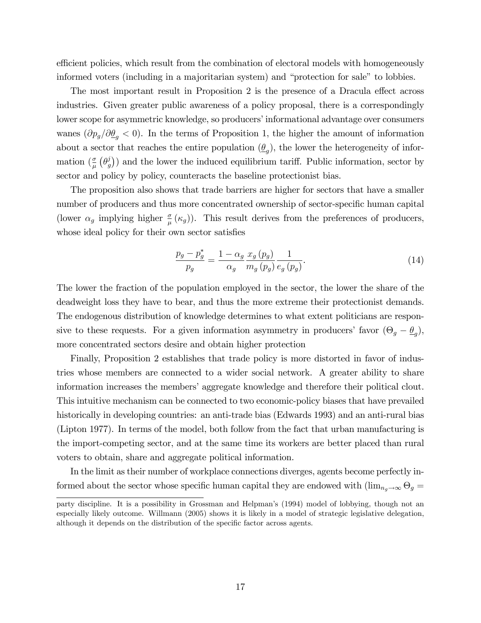efficient policies, which result from the combination of electoral models with homogeneously informed voters (including in a majoritarian system) and "protection for sale" to lobbies.

The most important result in Proposition 2 is the presence of a Dracula effect across industries. Given greater public awareness of a policy proposal, there is a correspondingly lower scope for asymmetric knowledge, so producers' informational advantage over consumers wanes  $(\partial p_g/\partial \underline{\theta}_g < 0)$ . In the terms of Proposition 1, the higher the amount of information about a sector that reaches the entire population  $(\underline{\theta}_g)$ , the lower the heterogeneity of information  $\left(\frac{\sigma}{\mu}\right)\left(\theta_g^j\right)$  $(g^{(j)}_g)$ ) and the lower the induced equilibrium tariff. Public information, sector by sector and policy by policy, counteracts the baseline protectionist bias.

The proposition also shows that trade barriers are higher for sectors that have a smaller number of producers and thus more concentrated ownership of sector-specific human capital (lower  $\alpha_g$  implying higher  $\frac{\sigma}{\mu}(\kappa_g)$ ). This result derives from the preferences of producers, whose ideal policy for their own sector satisfies

$$
\frac{p_g - p_g^*}{p_g} = \frac{1 - \alpha_g}{\alpha_g} \frac{x_g(p_g)}{m_g(p_g)} \frac{1}{e_g(p_g)}.
$$
\n(14)

The lower the fraction of the population employed in the sector, the lower the share of the deadweight loss they have to bear, and thus the more extreme their protectionist demands. The endogenous distribution of knowledge determines to what extent politicians are responsive to these requests. For a given information asymmetry in producers' favor  $(\Theta_g - \underline{\theta}_g)$ , more concentrated sectors desire and obtain higher protection

Finally, Proposition 2 establishes that trade policy is more distorted in favor of industries whose members are connected to a wider social network. A greater ability to share information increases the members' aggregate knowledge and therefore their political clout. This intuitive mechanism can be connected to two economic-policy biases that have prevailed historically in developing countries: an anti-trade bias (Edwards 1993) and an anti-rural bias (Lipton 1977). In terms of the model, both follow from the fact that urban manufacturing is the import-competing sector, and at the same time its workers are better placed than rural voters to obtain, share and aggregate political information.

In the limit as their number of workplace connections diverges, agents become perfectly informed about the sector whose specific human capital they are endowed with  $(\lim_{n_g \to \infty} \Theta_g =$ 

party discipline. It is a possibility in Grossman and Helpman's (1994) model of lobbying, though not an especially likely outcome. Willmann (2005) shows it is likely in a model of strategic legislative delegation, although it depends on the distribution of the specific factor across agents.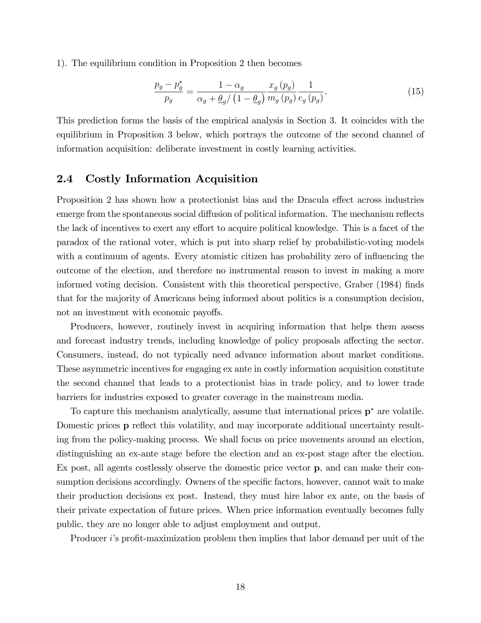1). The equilibrium condition in Proposition 2 then becomes

$$
\frac{p_g - p_g^*}{p_g} = \frac{1 - \alpha_g}{\alpha_g + \underline{\theta}_g / \left(1 - \underline{\theta}_g\right)} \frac{x_g(p_g)}{m_g(p_g)} \frac{1}{e_g(p_g)}.\tag{15}
$$

This prediction forms the basis of the empirical analysis in Section 3. It coincides with the equilibrium in Proposition 3 below, which portrays the outcome of the second channel of information acquisition: deliberate investment in costly learning activities.

### 2.4 Costly Information Acquisition

Proposition 2 has shown how a protectionist bias and the Dracula effect across industries emerge from the spontaneous social diffusion of political information. The mechanism reflects the lack of incentives to exert any effort to acquire political knowledge. This is a facet of the paradox of the rational voter, which is put into sharp relief by probabilistic-voting models with a continuum of agents. Every atomistic citizen has probability zero of influencing the outcome of the election, and therefore no instrumental reason to invest in making a more informed voting decision. Consistent with this theoretical perspective, Graber (1984) finds that for the majority of Americans being informed about politics is a consumption decision, not an investment with economic payoffs.

Producers, however, routinely invest in acquiring information that helps them assess and forecast industry trends, including knowledge of policy proposals affecting the sector. Consumers, instead, do not typically need advance information about market conditions. These asymmetric incentives for engaging ex ante in costly information acquisition constitute the second channel that leads to a protectionist bias in trade policy, and to lower trade barriers for industries exposed to greater coverage in the mainstream media.

To capture this mechanism analytically, assume that international prices  $p^*$  are volatile. Domestic prices **p** reflect this volatility, and may incorporate additional uncertainty resulting from the policy-making process. We shall focus on price movements around an election, distinguishing an ex-ante stage before the election and an ex-post stage after the election. Ex post, all agents costlessly observe the domestic price vector p, and can make their consumption decisions accordingly. Owners of the specific factors, however, cannot wait to make their production decisions ex post. Instead, they must hire labor ex ante, on the basis of their private expectation of future prices. When price information eventually becomes fully public, they are no longer able to adjust employment and output.

Producer *i*'s profit-maximization problem then implies that labor demand per unit of the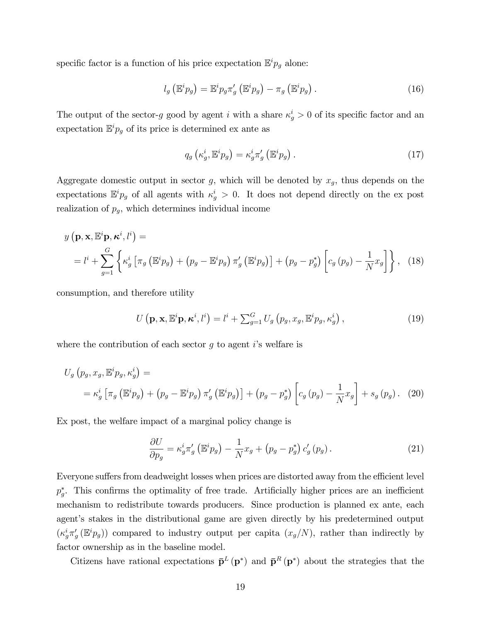specific factor is a function of his price expectation  $\mathbb{E}^i p_g$  alone:

$$
l_g\left(\mathbb{E}^i p_g\right) = \mathbb{E}^i p_g \pi'_g\left(\mathbb{E}^i p_g\right) - \pi_g\left(\mathbb{E}^i p_g\right). \tag{16}
$$

The output of the sector-g good by agent i with a share  $\kappa_g^i > 0$  of its specific factor and an expectation  $\mathbb{E}^i p_g$  of its price is determined ex ante as

$$
q_g\left(\kappa_g^i,\mathbb{E}^i p_g\right) = \kappa_g^i \pi'_g\left(\mathbb{E}^i p_g\right). \tag{17}
$$

Aggregate domestic output in sector g, which will be denoted by  $x_g$ , thus depends on the expectations  $\mathbb{E}^i p_g$  of all agents with  $\kappa_g^i > 0$ . It does not depend directly on the ex post realization of  $p<sub>q</sub>$ , which determines individual income

$$
y\left(\mathbf{p}, \mathbf{x}, \mathbb{E}^{i}\mathbf{p}, \kappa^{i}, l^{i}\right) =
$$
  
=  $l^{i} + \sum_{g=1}^{G} \left\{\kappa_{g}^{i}\left[\pi_{g}\left(\mathbb{E}^{i}p_{g}\right) + \left(p_{g} - \mathbb{E}^{i}p_{g}\right)\pi_{g}'\left(\mathbb{E}^{i}p_{g}\right)\right] + \left(p_{g} - p_{g}^{*}\right)\left[c_{g}\left(p_{g}\right) - \frac{1}{N}x_{g}\right]\right\},$  (18)

consumption, and therefore utility

$$
U\left(\mathbf{p}, \mathbf{x}, \mathbb{E}^{i} \mathbf{p}, \boldsymbol{\kappa}^{i}, l^{i}\right) = l^{i} + \sum_{g=1}^{G} U_{g}\left(p_{g}, x_{g}, \mathbb{E}^{i} p_{g}, \kappa_{g}^{i}\right),\tag{19}
$$

where the contribution of each sector q to agent is welfare is

$$
U_g(p_g, x_g, \mathbb{E}^i p_g, \kappa_g^i) =
$$
  
=  $\kappa_g^i \left[ \pi_g \left( \mathbb{E}^i p_g \right) + \left( p_g - \mathbb{E}^i p_g \right) \pi_g' \left( \mathbb{E}^i p_g \right) \right] + \left( p_g - p_g^* \right) \left[ c_g \left( p_g \right) - \frac{1}{N} x_g \right] + s_g \left( p_g \right).$  (20)

Ex post, the welfare impact of a marginal policy change is

$$
\frac{\partial U}{\partial p_g} = \kappa_g^i \pi_g' \left( \mathbb{E}^i p_g \right) - \frac{1}{N} x_g + \left( p_g - p_g^* \right) c_g' \left( p_g \right). \tag{21}
$$

Everyone suffers from deadweight losses when prices are distorted away from the efficient level  $p_g^*$ . This confirms the optimality of free trade. Artificially higher prices are an inefficient mechanism to redistribute towards producers. Since production is planned ex ante, each agent's stakes in the distributional game are given directly by his predetermined output  $(\kappa_g^i \pi'_g(\mathbb{E}^i p_g))$  compared to industry output per capita  $(x_g/N)$ , rather than indirectly by factor ownership as in the baseline model.

Citizens have rational expectations  $\bar{\mathbf{p}}^L(\mathbf{p}^*)$  and  $\bar{\mathbf{p}}^R(\mathbf{p}^*)$  about the strategies that the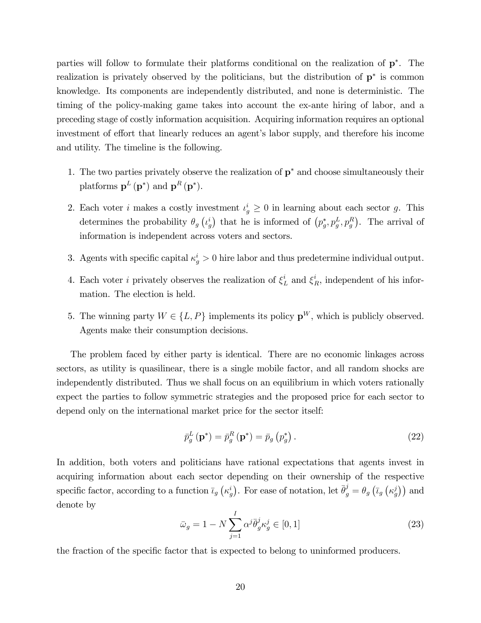parties will follow to formulate their platforms conditional on the realization of p . The realization is privately observed by the politicians, but the distribution of  $p^*$  is common knowledge. Its components are independently distributed, and none is deterministic. The timing of the policy-making game takes into account the ex-ante hiring of labor, and a preceding stage of costly information acquisition. Acquiring information requires an optional investment of effort that linearly reduces an agent's labor supply, and therefore his income and utility. The timeline is the following.

- 1. The two parties privately observe the realization of  $p^*$  and choose simultaneously their platforms  $\mathbf{p}^{L}(\mathbf{p}^*)$  and  $\mathbf{p}^{R}(\mathbf{p}^*)$ .
- 2. Each voter *i* makes a costly investment  $\iota_g^i \geq 0$  in learning about each sector *g*. This determines the probability  $\theta_g\left(\iota_g^i\right)$  that he is informed of  $(p_g^*, p_g^L, p_g^R)$ . The arrival of information is independent across voters and sectors.
- 3. Agents with specific capital  $\kappa_g^i > 0$  hire labor and thus predetermine individual output.
- 4. Each voter *i* privately observes the realization of  $\xi_L^i$  and  $\xi_R^i$ , independent of his information. The election is held.
- 5. The winning party  $W \in \{L, P\}$  implements its policy  $\mathbf{p}^W$ , which is publicly observed. Agents make their consumption decisions.

The problem faced by either party is identical. There are no economic linkages across sectors, as utility is quasilinear, there is a single mobile factor, and all random shocks are independently distributed. Thus we shall focus on an equilibrium in which voters rationally expect the parties to follow symmetric strategies and the proposed price for each sector to depend only on the international market price for the sector itself:

$$
\bar{p}_g^L(\mathbf{p}^*) = \bar{p}_g^R(\mathbf{p}^*) = \bar{p}_g(p_g^*).
$$
\n(22)

In addition, both voters and politicians have rational expectations that agents invest in acquiring information about each sector depending on their ownership of the respective specific factor, according to a function  $\bar{t}_g(k_g^i)$ . For ease of notation, let  $\bar{\theta}_g^j = \theta_g(\bar{t}_g(k_g^j))$  and denote by

$$
\bar{\omega}_g = 1 - N \sum_{j=1}^{I} \alpha^j \bar{\theta}_g^j \kappa_g^j \in [0, 1]
$$
\n(23)

the fraction of the specific factor that is expected to belong to uninformed producers.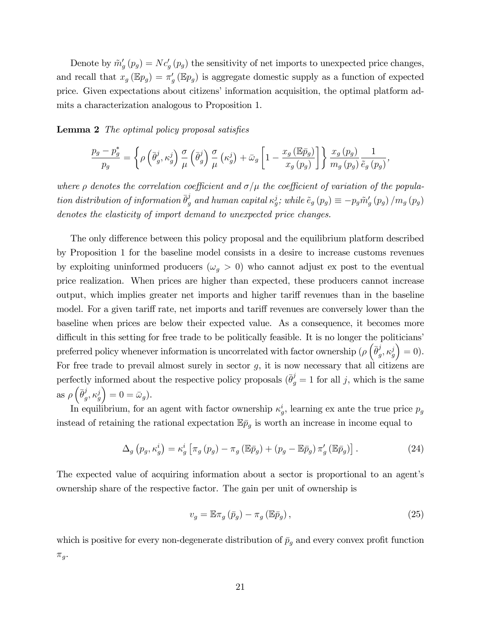Denote by  $\tilde{m}'_g(p_g) = Nc'_g(p_g)$  the sensitivity of net imports to unexpected price changes, and recall that  $x_g(\mathbb{E}p_g) = \pi'_g(\mathbb{E}p_g)$  is aggregate domestic supply as a function of expected price. Given expectations about citizens' information acquisition, the optimal platform admits a characterization analogous to Proposition 1.

Lemma 2 The optimal policy proposal satisfies

$$
\frac{p_g - p_g^*}{p_g} = \left\{ \rho \left( \bar{\theta}_g^j, \kappa_g^j \right) \frac{\sigma}{\mu} \left( \bar{\theta}_g^j \right) \frac{\sigma}{\mu} \left( \kappa_g^j \right) + \bar{\omega}_g \left[ 1 - \frac{x_g \left( \mathbb{E} \bar{p}_g \right)}{x_g \left( p_g \right)} \right] \right\} \frac{x_g \left( p_g \right)}{m_g \left( p_g \right)} \frac{1}{\tilde{e}_g \left( p_g \right)},
$$

where  $\rho$  denotes the correlation coefficient and  $\sigma/\mu$  the coefficient of variation of the population distribution of information  $\bar{\theta}_g^j$  and human capital  $\kappa_g^j$ ; while  $\tilde{e}_g(p_g) \equiv -p_g \tilde{m}'_g(p_g) / m_g(p_g)$ denotes the elasticity of import demand to unexpected price changes.

The only difference between this policy proposal and the equilibrium platform described by Proposition 1 for the baseline model consists in a desire to increase customs revenues by exploiting uninformed producers ( $\omega_g > 0$ ) who cannot adjust ex post to the eventual price realization. When prices are higher than expected, these producers cannot increase output, which implies greater net imports and higher tariff revenues than in the baseline model. For a given tariff rate, net imports and tariff revenues are conversely lower than the baseline when prices are below their expected value. As a consequence, it becomes more difficult in this setting for free trade to be politically feasible. It is no longer the politicians' preferred policy whenever information is uncorrelated with factor ownership ( $\rho$   $(\bar{\theta}_{q}^{j})$  $_g^j,\kappa_g^j$  $= 0$ ). For free trade to prevail almost surely in sector  $g$ , it is now necessary that all citizens are perfectly informed about the respective policy proposals  $(\bar{\theta}_{g}^{j} = 1 \text{ for all } j, \text{ which is the same})$ as  $\rho\left(\bar{\theta}_{a}^{j}\right)$  $_g^j,\kappa_g^j$  $= 0 = \bar{\omega}_g$ .

In equilibrium, for an agent with factor ownership  $\kappa_g^i$ , learning ex ante the true price  $p_g$ instead of retaining the rational expectation  $\mathbb{E} \bar{p}_g$  is worth an increase in income equal to

$$
\Delta_g \left( p_g, \kappa_g^i \right) = \kappa_g^i \left[ \pi_g \left( p_g \right) - \pi_g \left( \mathbb{E} \bar{p}_g \right) + \left( p_g - \mathbb{E} \bar{p}_g \right) \pi_g' \left( \mathbb{E} \bar{p}_g \right) \right]. \tag{24}
$$

The expected value of acquiring information about a sector is proportional to an agent's ownership share of the respective factor. The gain per unit of ownership is

$$
v_g = \mathbb{E}\pi_g \left(\bar{p}_g\right) - \pi_g \left(\mathbb{E}\bar{p}_g\right),\tag{25}
$$

which is positive for every non-degenerate distribution of  $\bar{p}_g$  and every convex profit function  $\pi_g$ .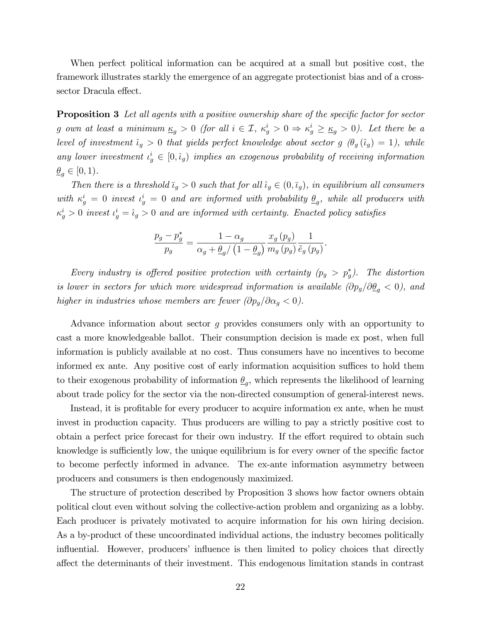When perfect political information can be acquired at a small but positive cost, the framework illustrates starkly the emergence of an aggregate protectionist bias and of a crosssector Dracula effect.

**Proposition 3** Let all agents with a positive ownership share of the specific factor for sector g own at least a minimum  $\underline{\kappa}_g > 0$  (for all  $i \in \mathcal{I}$ ,  $\kappa_g^i > 0 \Rightarrow \kappa_g^i \ge \underline{\kappa}_g > 0$ ). Let there be a level of investment  $\hat{\iota}_g > 0$  that yields perfect knowledge about sector g  $(\theta_g (\hat{\iota}_g) = 1)$ , while any lower investment  $\iota_g^i \in [0, \hat{\iota}_g)$  implies an exogenous probability of receiving information  $\underline{\theta}_g \in [0, 1).$ 

Then there is a threshold  $\bar{t}_g > 0$  such that for all  $\hat{t}_g \in (0,\bar{t}_g)$ , in equilibrium all consumers with  $\kappa_g^i = 0$  invest  $\iota_g^i = 0$  and are informed with probability  $\underline{\theta}_g$ , while all producers with  $\kappa_g^i > 0$  invest  $\iota_g^i = \hat{\iota}_g > 0$  and are informed with certainty. Enacted policy satisfies

$$
\frac{p_g - p_g^*}{p_g} = \frac{1 - \alpha_g}{\alpha_g + \underline{\theta}_g / (1 - \underline{\theta}_g)} \frac{x_g(p_g)}{m_g(p_g)} \frac{1}{\tilde{e}_g(p_g)}.
$$

Every industry is offered positive protection with certainty  $(p_g > p_g^*)$ . The distortion is lower in sectors for which more widespread information is available  $(\partial p_g/\partial \underline{\theta}_g < 0)$ , and higher in industries whose members are fewer  $(\partial p_g/\partial \alpha_g < 0)$ .

Advance information about sector g provides consumers only with an opportunity to cast a more knowledgeable ballot. Their consumption decision is made ex post, when full information is publicly available at no cost. Thus consumers have no incentives to become informed ex ante. Any positive cost of early information acquisition suffices to hold them to their exogenous probability of information  $\underline{\theta}_g$ , which represents the likelihood of learning about trade policy for the sector via the non-directed consumption of general-interest news.

Instead, it is profitable for every producer to acquire information ex ante, when he must invest in production capacity. Thus producers are willing to pay a strictly positive cost to obtain a perfect price forecast for their own industry. If the effort required to obtain such knowledge is sufficiently low, the unique equilibrium is for every owner of the specific factor to become perfectly informed in advance. The ex-ante information asymmetry between producers and consumers is then endogenously maximized.

The structure of protection described by Proposition 3 shows how factor owners obtain political clout even without solving the collective-action problem and organizing as a lobby. Each producer is privately motivated to acquire information for his own hiring decision. As a by-product of these uncoordinated individual actions, the industry becomes politically influential. However, producers' influence is then limited to policy choices that directly a§ect the determinants of their investment. This endogenous limitation stands in contrast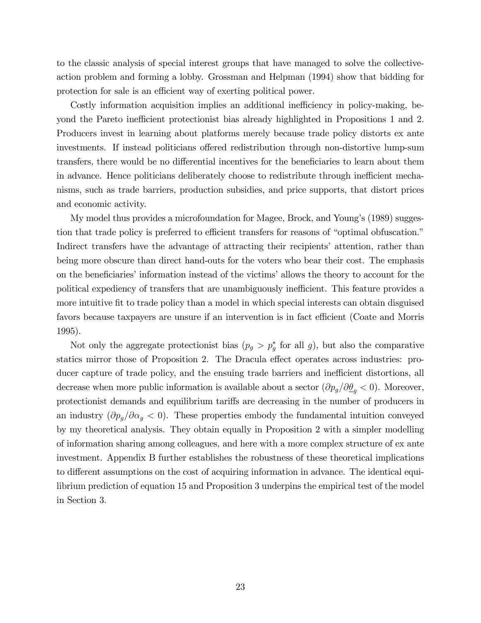to the classic analysis of special interest groups that have managed to solve the collectiveaction problem and forming a lobby. Grossman and Helpman (1994) show that bidding for protection for sale is an efficient way of exerting political power.

Costly information acquisition implies an additional inefficiency in policy-making, beyond the Pareto inefficient protectionist bias already highlighted in Propositions 1 and 2. Producers invest in learning about platforms merely because trade policy distorts ex ante investments. If instead politicians offered redistribution through non-distortive lump-sum transfers, there would be no differential incentives for the beneficiaries to learn about them in advance. Hence politicians deliberately choose to redistribute through inefficient mechanisms, such as trade barriers, production subsidies, and price supports, that distort prices and economic activity.

My model thus provides a microfoundation for Magee, Brock, and Youngís (1989) suggestion that trade policy is preferred to efficient transfers for reasons of "optimal obfuscation." Indirect transfers have the advantage of attracting their recipients' attention, rather than being more obscure than direct hand-outs for the voters who bear their cost. The emphasis on the beneficiaries' information instead of the victims' allows the theory to account for the political expediency of transfers that are unambiguously inefficient. This feature provides a more intuitive fit to trade policy than a model in which special interests can obtain disguised favors because taxpayers are unsure if an intervention is in fact efficient (Coate and Morris 1995).

Not only the aggregate protectionist bias  $(p_g > p_g^*$  for all g), but also the comparative statics mirror those of Proposition 2. The Dracula effect operates across industries: producer capture of trade policy, and the ensuing trade barriers and inefficient distortions, all decrease when more public information is available about a sector  $(\partial p_g/\partial \underline{\theta}_g < 0)$ . Moreover, protectionist demands and equilibrium tariffs are decreasing in the number of producers in an industry  $(\partial p_g/\partial \alpha_g < 0)$ . These properties embody the fundamental intuition conveyed by my theoretical analysis. They obtain equally in Proposition 2 with a simpler modelling of information sharing among colleagues, and here with a more complex structure of ex ante investment. Appendix B further establishes the robustness of these theoretical implications to different assumptions on the cost of acquiring information in advance. The identical equilibrium prediction of equation 15 and Proposition 3 underpins the empirical test of the model in Section 3.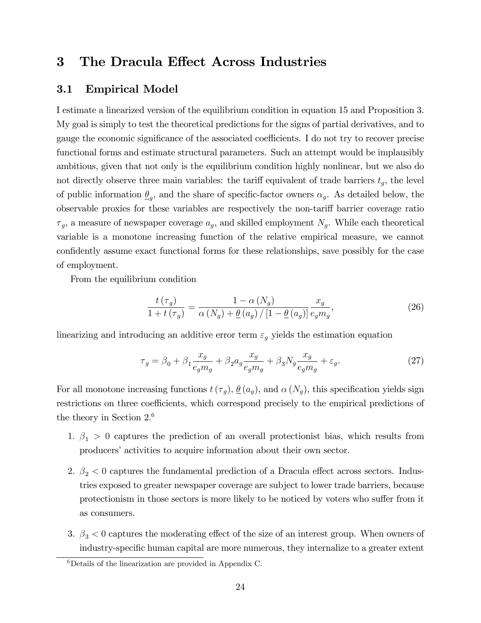# 3 The Dracula Effect Across Industries

### 3.1 Empirical Model

I estimate a linearized version of the equilibrium condition in equation 15 and Proposition 3. My goal is simply to test the theoretical predictions for the signs of partial derivatives, and to gauge the economic significance of the associated coefficients. I do not try to recover precise functional forms and estimate structural parameters. Such an attempt would be implausibly ambitious, given that not only is the equilibrium condition highly nonlinear, but we also do not directly observe three main variables: the tariff equivalent of trade barriers  $t<sub>g</sub>$ , the level of public information  $\underline{\theta}_g$ , and the share of specific-factor owners  $\alpha_g$ . As detailed below, the observable proxies for these variables are respectively the non-tariff barrier coverage ratio  $\tau_g$ , a measure of newspaper coverage  $a_g$ , and skilled employment  $N_g$ . While each theoretical variable is a monotone increasing function of the relative empirical measure, we cannot confidently assume exact functional forms for these relationships, save possibly for the case of employment.

From the equilibrium condition

$$
\frac{t\left(\tau_g\right)}{1+t\left(\tau_g\right)} = \frac{1-\alpha\left(N_g\right)}{\alpha\left(N_g\right) + \underline{\theta}\left(a_g\right)/\left[1-\underline{\theta}\left(a_g\right)\right]} \frac{x_g}{e_g m_g},\tag{26}
$$

linearizing and introducing an additive error term  $\varepsilon_g$  yields the estimation equation

$$
\tau_g = \beta_0 + \beta_1 \frac{x_g}{e_g m_g} + \beta_2 a_g \frac{x_g}{e_g m_g} + \beta_3 N_g \frac{x_g}{e_g m_g} + \varepsilon_g. \tag{27}
$$

For all monotone increasing functions  $t(\tau_q)$ ,  $\theta(a_q)$ , and  $\alpha(N_q)$ , this specification yields sign restrictions on three coefficients, which correspond precisely to the empirical predictions of the theory in Section 2.<sup>6</sup>

- 1.  $\beta_1 > 0$  captures the prediction of an overall protectionist bias, which results from producers' activities to acquire information about their own sector.
- 2.  $\beta_2$  < 0 captures the fundamental prediction of a Dracula effect across sectors. Industries exposed to greater newspaper coverage are subject to lower trade barriers, because protectionism in those sectors is more likely to be noticed by voters who suffer from it as consumers.
- 3.  $\beta_3$  < 0 captures the moderating effect of the size of an interest group. When owners of industry-specific human capital are more numerous, they internalize to a greater extent

 ${}^{6}$ Details of the linearization are provided in Appendix C.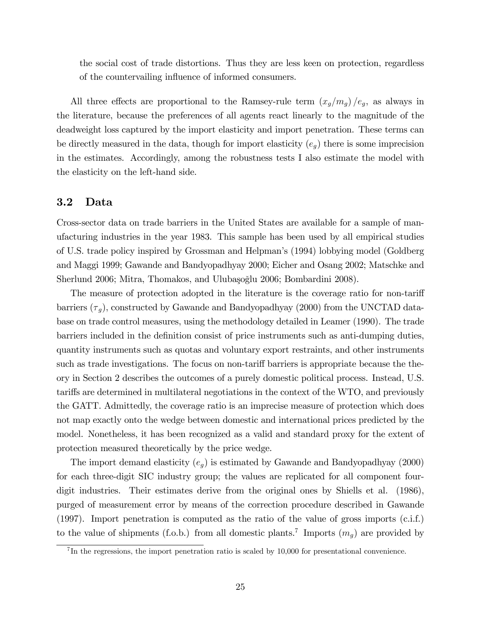the social cost of trade distortions. Thus they are less keen on protection, regardless of the countervailing influence of informed consumers.

All three effects are proportional to the Ramsey-rule term  $(x_g/m_g) / e_g$ , as always in the literature, because the preferences of all agents react linearly to the magnitude of the deadweight loss captured by the import elasticity and import penetration. These terms can be directly measured in the data, though for import elasticity  $(e_q)$  there is some imprecision in the estimates. Accordingly, among the robustness tests I also estimate the model with the elasticity on the left-hand side.

#### 3.2 Data

Cross-sector data on trade barriers in the United States are available for a sample of manufacturing industries in the year 1983. This sample has been used by all empirical studies of U.S. trade policy inspired by Grossman and Helpmanís (1994) lobbying model (Goldberg and Maggi 1999; Gawande and Bandyopadhyay 2000; Eicher and Osang 2002; Matschke and Sherlund 2006; Mitra, Thomakos, and Ulubaşoğlu 2006; Bombardini 2008).

The measure of protection adopted in the literature is the coverage ratio for non-tariff barriers  $(\tau_g)$ , constructed by Gawande and Bandyopadhyay (2000) from the UNCTAD database on trade control measures, using the methodology detailed in Leamer (1990). The trade barriers included in the definition consist of price instruments such as anti-dumping duties, quantity instruments such as quotas and voluntary export restraints, and other instruments such as trade investigations. The focus on non-tariff barriers is appropriate because the theory in Section 2 describes the outcomes of a purely domestic political process. Instead, U.S. tariffs are determined in multilateral negotiations in the context of the WTO, and previously the GATT. Admittedly, the coverage ratio is an imprecise measure of protection which does not map exactly onto the wedge between domestic and international prices predicted by the model. Nonetheless, it has been recognized as a valid and standard proxy for the extent of protection measured theoretically by the price wedge.

The import demand elasticity  $(e_g)$  is estimated by Gawande and Bandyopadhyay (2000) for each three-digit SIC industry group; the values are replicated for all component fourdigit industries. Their estimates derive from the original ones by Shiells et al. (1986), purged of measurement error by means of the correction procedure described in Gawande (1997). Import penetration is computed as the ratio of the value of gross imports (c.i.f.) to the value of shipments (f.o.b.) from all domestic plants.<sup>7</sup> Imports  $(m_g)$  are provided by

<sup>&</sup>lt;sup>7</sup>In the regressions, the import penetration ratio is scaled by 10,000 for presentational convenience.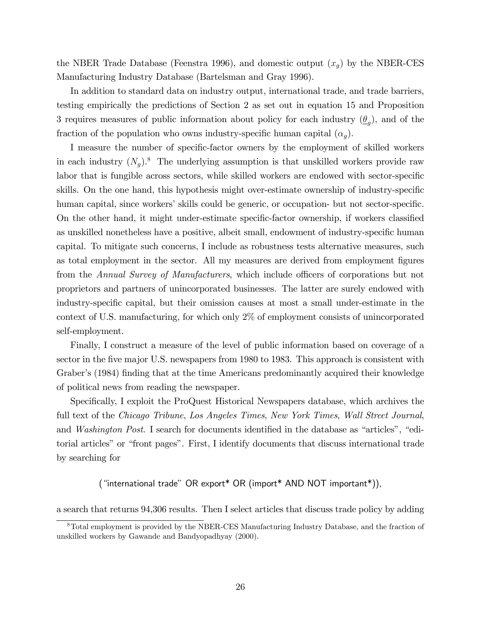the NBER Trade Database (Feenstra 1996), and domestic output  $(x_g)$  by the NBER-CES Manufacturing Industry Database (Bartelsman and Gray 1996).

In addition to standard data on industry output, international trade, and trade barriers, testing empirically the predictions of Section 2 as set out in equation 15 and Proposition 3 requires measures of public information about policy for each industry  $(\underline{\theta}_g)$ , and of the fraction of the population who owns industry-specific human capital  $(\alpha_q)$ .

I measure the number of specific-factor owners by the employment of skilled workers in each industry  $(N_g)$ .<sup>8</sup> The underlying assumption is that unskilled workers provide raw labor that is fungible across sectors, while skilled workers are endowed with sector-specific skills. On the one hand, this hypothesis might over-estimate ownership of industry-specific human capital, since workers' skills could be generic, or occupation- but not sector-specific. On the other hand, it might under-estimate specific-factor ownership, if workers classified as unskilled nonetheless have a positive, albeit small, endowment of industry-specific human capital. To mitigate such concerns, I include as robustness tests alternative measures, such as total employment in the sector. All my measures are derived from employment figures from the Annual Survey of Manufacturers, which include officers of corporations but not proprietors and partners of unincorporated businesses. The latter are surely endowed with industry-specific capital, but their omission causes at most a small under-estimate in the context of U.S. manufacturing, for which only 2% of employment consists of unincorporated self-employment.

Finally, I construct a measure of the level of public information based on coverage of a sector in the five major U.S. newspapers from 1980 to 1983. This approach is consistent with Graber's (1984) finding that at the time Americans predominantly acquired their knowledge of political news from reading the newspaper.

Specifically, I exploit the ProQuest Historical Newspapers database, which archives the full text of the Chicago Tribune, Los Angeles Times, New York Times, Wall Street Journal, and *Washington Post*. I search for documents identified in the database as "articles", "editorial articles" or "front pages". First, I identify documents that discuss international trade by searching for

("international trade" OR export\* OR (import\* AND NOT important\*)),

a search that returns 94,306 results. Then I select articles that discuss trade policy by adding

<sup>8</sup>Total employment is provided by the NBER-CES Manufacturing Industry Database, and the fraction of unskilled workers by Gawande and Bandyopadhyay (2000).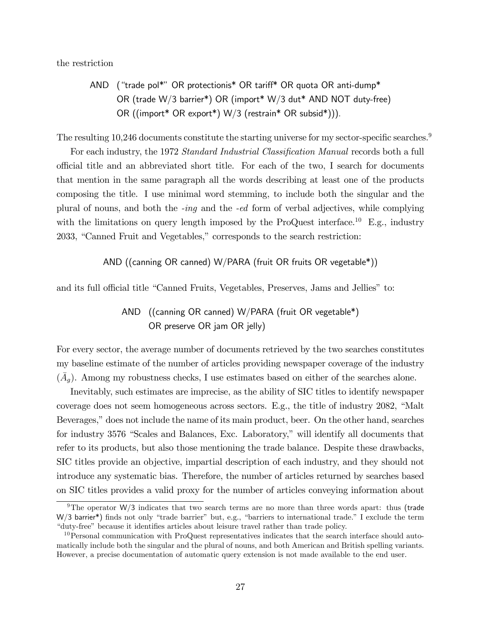the restriction

AND ("trade pol\*" OR protectionis\* OR tariff\* OR quota OR anti-dump\* OR (trade W/3 barrier\*) OR (import\* W/3 dut\* AND NOT duty-free) OR ((import\* OR export\*) W/3 (restrain\* OR subsid\*))).

The resulting  $10,246$  documents constitute the starting universe for my sector-specific searches.<sup>9</sup>

For each industry, the 1972 Standard Industrial Classification Manual records both a full o¢ cial title and an abbreviated short title. For each of the two, I search for documents that mention in the same paragraph all the words describing at least one of the products composing the title. I use minimal word stemming, to include both the singular and the plural of nouns, and both the -ing and the -ed form of verbal adjectives, while complying with the limitations on query length imposed by the ProQuest interface.<sup>10</sup> E.g., industry 2033, "Canned Fruit and Vegetables," corresponds to the search restriction:

AND ((canning OR canned) W/PARA (fruit OR fruits OR vegetable\*))

and its full official title "Canned Fruits, Vegetables, Preserves, Jams and Jellies" to:

## AND ((canning OR canned) W/PARA (fruit OR vegetable\*) OR preserve OR jam OR jelly)

For every sector, the average number of documents retrieved by the two searches constitutes my baseline estimate of the number of articles providing newspaper coverage of the industry  $(\bar{A}_g)$ . Among my robustness checks, I use estimates based on either of the searches alone.

Inevitably, such estimates are imprecise, as the ability of SIC titles to identify newspaper coverage does not seem homogeneous across sectors. E.g., the title of industry  $2082$ , "Malt Beverages," does not include the name of its main product, beer. On the other hand, searches for industry 3576 "Scales and Balances, Exc. Laboratory," will identify all documents that refer to its products, but also those mentioning the trade balance. Despite these drawbacks, SIC titles provide an objective, impartial description of each industry, and they should not introduce any systematic bias. Therefore, the number of articles returned by searches based on SIC titles provides a valid proxy for the number of articles conveying information about

<sup>9</sup>The operator W/3 indicates that two search terms are no more than three words apart: thus (trade  $W/3$  barrier<sup>\*</sup>) finds not only "trade barrier" but, e.g., "barriers to international trade." I exclude the term ìduty-freeî because it identiÖes articles about leisure travel rather than trade policy.

<sup>&</sup>lt;sup>10</sup>Personal communication with ProQuest representatives indicates that the search interface should automatically include both the singular and the plural of nouns, and both American and British spelling variants. However, a precise documentation of automatic query extension is not made available to the end user.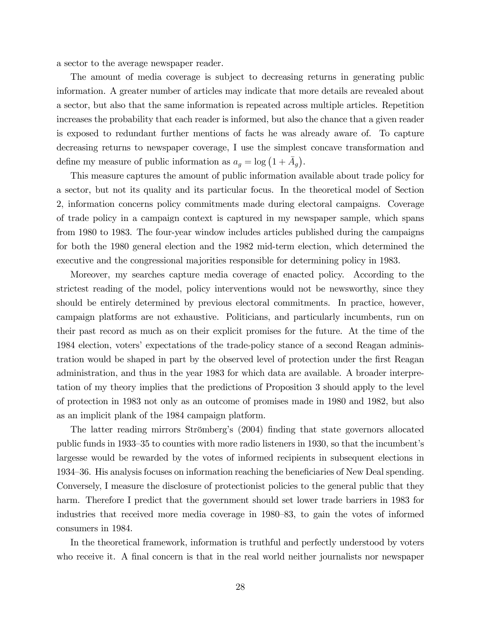a sector to the average newspaper reader.

The amount of media coverage is subject to decreasing returns in generating public information. A greater number of articles may indicate that more details are revealed about a sector, but also that the same information is repeated across multiple articles. Repetition increases the probability that each reader is informed, but also the chance that a given reader is exposed to redundant further mentions of facts he was already aware of. To capture decreasing returns to newspaper coverage, I use the simplest concave transformation and define my measure of public information as  $a_g = \log(1 + \bar{A}_g)$ .

This measure captures the amount of public information available about trade policy for a sector, but not its quality and its particular focus. In the theoretical model of Section 2, information concerns policy commitments made during electoral campaigns. Coverage of trade policy in a campaign context is captured in my newspaper sample, which spans from 1980 to 1983. The four-year window includes articles published during the campaigns for both the 1980 general election and the 1982 mid-term election, which determined the executive and the congressional majorities responsible for determining policy in 1983.

Moreover, my searches capture media coverage of enacted policy. According to the strictest reading of the model, policy interventions would not be newsworthy, since they should be entirely determined by previous electoral commitments. In practice, however, campaign platforms are not exhaustive. Politicians, and particularly incumbents, run on their past record as much as on their explicit promises for the future. At the time of the 1984 election, voters' expectations of the trade-policy stance of a second Reagan administration would be shaped in part by the observed level of protection under the first Reagan administration, and thus in the year 1983 for which data are available. A broader interpretation of my theory implies that the predictions of Proposition 3 should apply to the level of protection in 1983 not only as an outcome of promises made in 1980 and 1982, but also as an implicit plank of the 1984 campaign platform.

The latter reading mirrors Strömberg's (2004) finding that state governors allocated public funds in 1933–35 to counties with more radio listeners in 1930, so that the incumbent's largesse would be rewarded by the votes of informed recipients in subsequent elections in 1934–36. His analysis focuses on information reaching the beneficiaries of New Deal spending. Conversely, I measure the disclosure of protectionist policies to the general public that they harm. Therefore I predict that the government should set lower trade barriers in 1983 for industries that received more media coverage in 1980–83, to gain the votes of informed consumers in 1984.

In the theoretical framework, information is truthful and perfectly understood by voters who receive it. A final concern is that in the real world neither journalists nor newspaper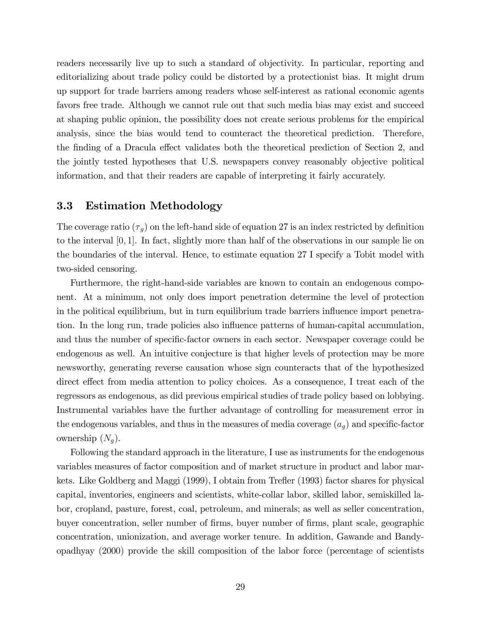readers necessarily live up to such a standard of objectivity. In particular, reporting and editorializing about trade policy could be distorted by a protectionist bias. It might drum up support for trade barriers among readers whose self-interest as rational economic agents favors free trade. Although we cannot rule out that such media bias may exist and succeed at shaping public opinion, the possibility does not create serious problems for the empirical analysis, since the bias would tend to counteract the theoretical prediction. Therefore, the finding of a Dracula effect validates both the theoretical prediction of Section 2, and the jointly tested hypotheses that U.S. newspapers convey reasonably objective political information, and that their readers are capable of interpreting it fairly accurately.

### 3.3 Estimation Methodology

The coverage ratio  $(\tau_g)$  on the left-hand side of equation 27 is an index restricted by definition to the interval  $[0, 1]$ . In fact, slightly more than half of the observations in our sample lie on the boundaries of the interval. Hence, to estimate equation 27 I specify a Tobit model with two-sided censoring.

Furthermore, the right-hand-side variables are known to contain an endogenous component. At a minimum, not only does import penetration determine the level of protection in the political equilibrium, but in turn equilibrium trade barriers influence import penetration. In the long run, trade policies also ináuence patterns of human-capital accumulation, and thus the number of specific-factor owners in each sector. Newspaper coverage could be endogenous as well. An intuitive conjecture is that higher levels of protection may be more newsworthy, generating reverse causation whose sign counteracts that of the hypothesized direct effect from media attention to policy choices. As a consequence, I treat each of the regressors as endogenous, as did previous empirical studies of trade policy based on lobbying. Instrumental variables have the further advantage of controlling for measurement error in the endogenous variables, and thus in the measures of media coverage  $(a<sub>a</sub>)$  and specific-factor ownership  $(N_a)$ .

Following the standard approach in the literature, I use as instruments for the endogenous variables measures of factor composition and of market structure in product and labor markets. Like Goldberg and Maggi (1999), I obtain from Trefler (1993) factor shares for physical capital, inventories, engineers and scientists, white-collar labor, skilled labor, semiskilled labor, cropland, pasture, forest, coal, petroleum, and minerals; as well as seller concentration, buyer concentration, seller number of firms, buyer number of firms, plant scale, geographic concentration, unionization, and average worker tenure. In addition, Gawande and Bandyopadhyay (2000) provide the skill composition of the labor force (percentage of scientists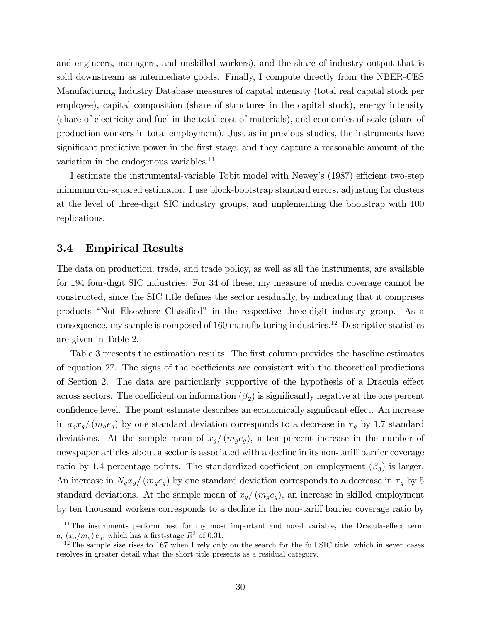and engineers, managers, and unskilled workers), and the share of industry output that is sold downstream as intermediate goods. Finally, I compute directly from the NBER-CES Manufacturing Industry Database measures of capital intensity (total real capital stock per employee), capital composition (share of structures in the capital stock), energy intensity (share of electricity and fuel in the total cost of materials), and economies of scale (share of production workers in total employment). Just as in previous studies, the instruments have significant predictive power in the first stage, and they capture a reasonable amount of the variation in the endogenous variables. $^{11}$ 

I estimate the instrumental-variable Tobit model with Newey's (1987) efficient two-step minimum chi-squared estimator. I use block-bootstrap standard errors, adjusting for clusters at the level of three-digit SIC industry groups, and implementing the bootstrap with 100 replications.

#### 3.4 Empirical Results

The data on production, trade, and trade policy, as well as all the instruments, are available for 194 four-digit SIC industries. For 34 of these, my measure of media coverage cannot be constructed, since the SIC title defines the sector residually, by indicating that it comprises products "Not Elsewhere Classified" in the respective three-digit industry group. As a consequence, my sample is composed of  $160$  manufacturing industries.<sup>12</sup> Descriptive statistics are given in Table 2.

Table 3 presents the estimation results. The first column provides the baseline estimates of equation 27. The signs of the coefficients are consistent with the theoretical predictions of Section 2. The data are particularly supportive of the hypothesis of a Dracula effect across sectors. The coefficient on information  $(\beta_2)$  is significantly negative at the one percent confidence level. The point estimate describes an economically significant effect. An increase in  $a_qx_q/(m_qe_q)$  by one standard deviation corresponds to a decrease in  $\tau_q$  by 1.7 standard deviations. At the sample mean of  $x_q/(m_qe_q)$ , a ten percent increase in the number of newspaper articles about a sector is associated with a decline in its non-tariff barrier coverage ratio by 1.4 percentage points. The standardized coefficient on employment  $(\beta_3)$  is larger. An increase in  $N_gx_g/(m_ge_g)$  by one standard deviation corresponds to a decrease in  $\tau_g$  by 5 standard deviations. At the sample mean of  $x_g/(m_g e_g)$ , an increase in skilled employment by ten thousand workers corresponds to a decline in the non-tariff barrier coverage ratio by

 $11$ The instruments perform best for my most important and novel variable, the Dracula-effect term  $a_g(x_g/m_g) e_g$ , which has a first-stage  $R^2$  of 0.31.

 $12$ The sample size rises to 167 when I rely only on the search for the full SIC title, which in seven cases resolves in greater detail what the short title presents as a residual category.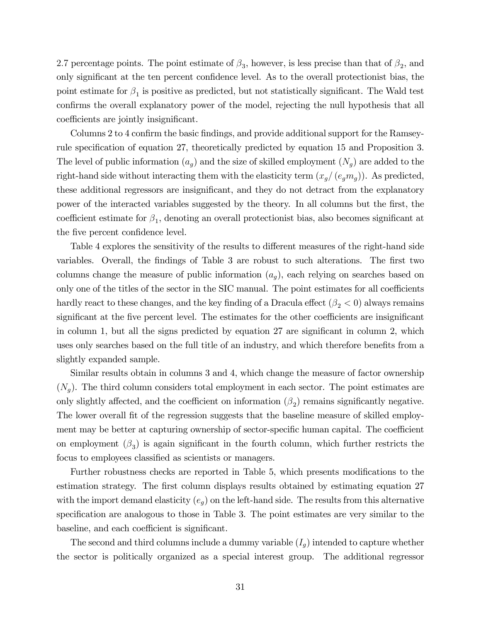2.7 percentage points. The point estimate of  $\beta_3$ , however, is less precise than that of  $\beta_2$ , and only significant at the ten percent confidence level. As to the overall protectionist bias, the point estimate for  $\beta_1$  is positive as predicted, but not statistically significant. The Wald test confirms the overall explanatory power of the model, rejecting the null hypothesis that all coefficients are jointly insignificant.

Columns 2 to 4 confirm the basic findings, and provide additional support for the Ramseyrule specification of equation 27, theoretically predicted by equation 15 and Proposition 3. The level of public information  $(a_g)$  and the size of skilled employment  $(N_g)$  are added to the right-hand side without interacting them with the elasticity term  $(x_g/(e_g m_g))$ . As predicted, these additional regressors are insignificant, and they do not detract from the explanatory power of the interacted variables suggested by the theory. In all columns but the Örst, the coefficient estimate for  $\beta_1$ , denoting an overall protectionist bias, also becomes significant at the five percent confidence level.

Table 4 explores the sensitivity of the results to different measures of the right-hand side variables. Overall, the findings of Table 3 are robust to such alterations. The first two columns change the measure of public information  $(a<sub>q</sub>)$ , each relying on searches based on only one of the titles of the sector in the SIC manual. The point estimates for all coefficients hardly react to these changes, and the key finding of a Dracula effect  $(\beta_2 < 0)$  always remains significant at the five percent level. The estimates for the other coefficients are insignificant in column 1, but all the signs predicted by equation  $27$  are significant in column 2, which uses only searches based on the full title of an industry, and which therefore benefits from a slightly expanded sample.

Similar results obtain in columns 3 and 4, which change the measure of factor ownership  $(N_g)$ . The third column considers total employment in each sector. The point estimates are only slightly affected, and the coefficient on information  $(\beta_2)$  remains significantly negative. The lower overall fit of the regression suggests that the baseline measure of skilled employment may be better at capturing ownership of sector-specific human capital. The coefficient on employment  $(\beta_3)$  is again significant in the fourth column, which further restricts the focus to employees classified as scientists or managers.

Further robustness checks are reported in Table 5, which presents modifications to the estimation strategy. The first column displays results obtained by estimating equation 27 with the import demand elasticity  $(e_g)$  on the left-hand side. The results from this alternative specification are analogous to those in Table 3. The point estimates are very similar to the baseline, and each coefficient is significant.

The second and third columns include a dummy variable  $(I_q)$  intended to capture whether the sector is politically organized as a special interest group. The additional regressor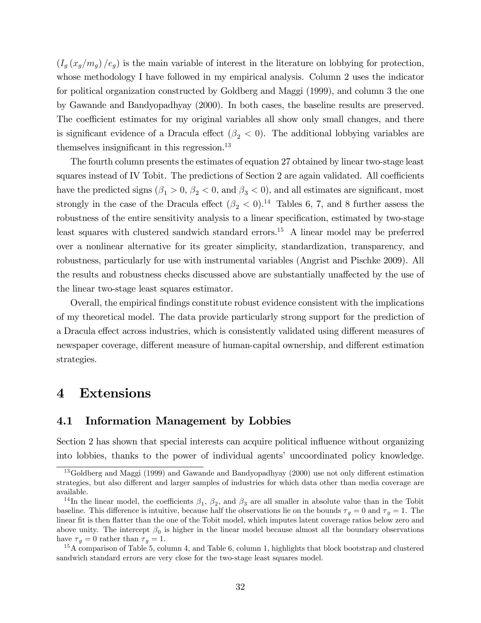$(I_g (x_g/m_g) / e_g)$  is the main variable of interest in the literature on lobbying for protection, whose methodology I have followed in my empirical analysis. Column 2 uses the indicator for political organization constructed by Goldberg and Maggi (1999), and column 3 the one by Gawande and Bandyopadhyay (2000). In both cases, the baseline results are preserved. The coefficient estimates for my original variables all show only small changes, and there is significant evidence of a Dracula effect  $(\beta_2 < 0)$ . The additional lobbying variables are themselves insignificant in this regression.<sup>13</sup>

The fourth column presents the estimates of equation 27 obtained by linear two-stage least squares instead of IV Tobit. The predictions of Section 2 are again validated. All coefficients have the predicted signs  $(\beta_1 > 0, \beta_2 < 0, \text{ and } \beta_3 < 0)$ , and all estimates are significant, most strongly in the case of the Dracula effect  $(\beta_2 < 0)^{14}$  Tables 6, 7, and 8 further assess the robustness of the entire sensitivity analysis to a linear specification, estimated by two-stage least squares with clustered sandwich standard errors.<sup>15</sup> A linear model may be preferred over a nonlinear alternative for its greater simplicity, standardization, transparency, and robustness, particularly for use with instrumental variables (Angrist and Pischke 2009). All the results and robustness checks discussed above are substantially unaffected by the use of the linear two-stage least squares estimator.

Overall, the empirical Öndings constitute robust evidence consistent with the implications of my theoretical model. The data provide particularly strong support for the prediction of a Dracula effect across industries, which is consistently validated using different measures of newspaper coverage, different measure of human-capital ownership, and different estimation strategies.

## 4 Extensions

#### 4.1 Information Management by Lobbies

Section 2 has shown that special interests can acquire political influence without organizing into lobbies, thanks to the power of individual agents' uncoordinated policy knowledge.

<sup>&</sup>lt;sup>13</sup>Goldberg and Maggi (1999) and Gawande and Bandyopadhyay (2000) use not only different estimation strategies, but also different and larger samples of industries for which data other than media coverage are available.

<sup>&</sup>lt;sup>14</sup>In the linear model, the coefficients  $\beta_1$ ,  $\beta_2$ , and  $\beta_3$  are all smaller in absolute value than in the Tobit baseline. This difference is intuitive, because half the observations lie on the bounds  $\tau_g = 0$  and  $\tau_g = 1$ . The linear fit is then flatter than the one of the Tobit model, which imputes latent coverage ratios below zero and above unity. The intercept  $\beta_0$  is higher in the linear model because almost all the boundary observations have  $\tau_q = 0$  rather than  $\tau_q = 1$ .

<sup>&</sup>lt;sup>15</sup>A comparison of Table 5, column 4, and Table 6, column 1, highlights that block bootstrap and clustered sandwich standard errors are very close for the two-stage least squares model.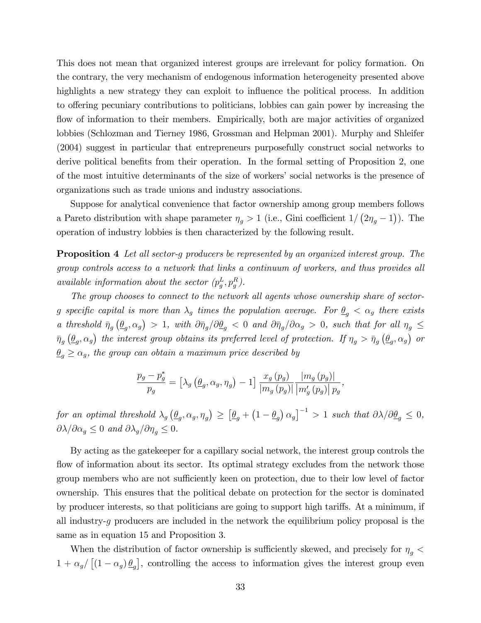This does not mean that organized interest groups are irrelevant for policy formation. On the contrary, the very mechanism of endogenous information heterogeneity presented above highlights a new strategy they can exploit to influence the political process. In addition to offering pecuniary contributions to politicians, lobbies can gain power by increasing the flow of information to their members. Empirically, both are major activities of organized lobbies (Schlozman and Tierney 1986, Grossman and Helpman 2001). Murphy and Shleifer (2004) suggest in particular that entrepreneurs purposefully construct social networks to derive political benefits from their operation. In the formal setting of Proposition 2, one of the most intuitive determinants of the size of workers' social networks is the presence of organizations such as trade unions and industry associations.

Suppose for analytical convenience that factor ownership among group members follows a Pareto distribution with shape parameter  $\eta_g > 1$  (i.e., Gini coefficient  $1/(2\eta_g - 1)$ ). The operation of industry lobbies is then characterized by the following result.

**Proposition 4** Let all sector-g producers be represented by an organized interest group. The group controls access to a network that links a continuum of workers, and thus provides all available information about the sector  $(p_g^L, p_g^R)$ .

The group chooses to connect to the network all agents whose ownership share of sectorg specific capital is more than  $\lambda_g$  times the population average. For  $\underline{\theta}_g < \alpha_g$  there exists a threshold  $\bar{\eta}_g \left( \underline{\theta}_g, \alpha_g \right) > 1$ , with  $\partial \bar{\eta}_g / \partial \underline{\theta}_g < 0$  and  $\partial \bar{\eta}_g / \partial \alpha_g > 0$ , such that for all  $\eta_g \leq$  $\bar{\eta}_g \left(\underline{\theta}_g, \alpha_g\right)$  the interest group obtains its preferred level of protection. If  $\eta_g > \bar{\eta}_g \left(\underline{\theta}_g, \alpha_g\right)$  or  $\underline{\theta}_q \ge \alpha_g$ , the group can obtain a maximum price described by

$$
\frac{p_g - p_g^*}{p_g} = \left[\lambda_g \left(\underline{\theta}_g, \alpha_g, \eta_g\right) - 1\right] \frac{x_g \left(p_g\right)}{\left|m_g \left(p_g\right)\right|} \frac{\left|m_g \left(p_g\right)\right|}{\left|m'_g \left(p_g\right)\right| p_g},
$$

for an optimal threshold  $\lambda_g \left( \underline{\theta}_g, \alpha_g, \eta_g \right) \geq \left[ \underline{\theta}_g + \left( 1 - \underline{\theta}_g \right) \alpha_g \right]^{-1} > 1$  such that  $\partial \lambda / \partial \underline{\theta}_g \leq 0$ ,  $\partial \lambda / \partial \alpha_q \leq 0$  and  $\partial \lambda_q / \partial \eta_q \leq 0$ .

By acting as the gatekeeper for a capillary social network, the interest group controls the flow of information about its sector. Its optimal strategy excludes from the network those group members who are not sufficiently keen on protection, due to their low level of factor ownership. This ensures that the political debate on protection for the sector is dominated by producer interests, so that politicians are going to support high tariffs. At a minimum, if all industry-q producers are included in the network the equilibrium policy proposal is the same as in equation 15 and Proposition 3.

When the distribution of factor ownership is sufficiently skewed, and precisely for  $\eta_g$   $<$  $1 + \alpha_g / [(1 - \alpha_g) \underline{\theta}_g]$ , controlling the access to information gives the interest group even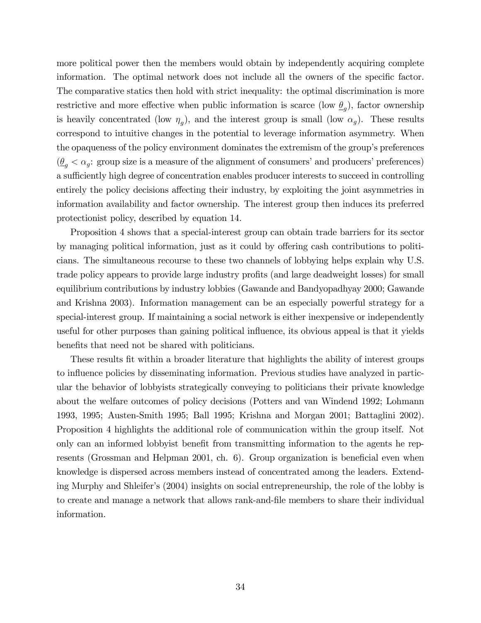more political power then the members would obtain by independently acquiring complete information. The optimal network does not include all the owners of the specific factor. The comparative statics then hold with strict inequality: the optimal discrimination is more restrictive and more effective when public information is scarce (low  $\underline{\theta}_g$ ), factor ownership is heavily concentrated (low  $\eta_g$ ), and the interest group is small (low  $\alpha_g$ ). These results correspond to intuitive changes in the potential to leverage information asymmetry. When the opaqueness of the policy environment dominates the extremism of the group's preferences  $(\underline{\theta}_g < \alpha_g:$  group size is a measure of the alignment of consumers' and producers' preferences) a sufficiently high degree of concentration enables producer interests to succeed in controlling entirely the policy decisions affecting their industry, by exploiting the joint asymmetries in information availability and factor ownership. The interest group then induces its preferred protectionist policy, described by equation 14.

Proposition 4 shows that a special-interest group can obtain trade barriers for its sector by managing political information, just as it could by offering cash contributions to politicians. The simultaneous recourse to these two channels of lobbying helps explain why U.S. trade policy appears to provide large industry profits (and large deadweight losses) for small equilibrium contributions by industry lobbies (Gawande and Bandyopadhyay 2000; Gawande and Krishna 2003). Information management can be an especially powerful strategy for a special-interest group. If maintaining a social network is either inexpensive or independently useful for other purposes than gaining political influence, its obvious appeal is that it yields benefits that need not be shared with politicians.

These results Öt within a broader literature that highlights the ability of interest groups to influence policies by disseminating information. Previous studies have analyzed in particular the behavior of lobbyists strategically conveying to politicians their private knowledge about the welfare outcomes of policy decisions (Potters and van Windend 1992; Lohmann 1993, 1995; Austen-Smith 1995; Ball 1995; Krishna and Morgan 2001; Battaglini 2002). Proposition 4 highlights the additional role of communication within the group itself. Not only can an informed lobby is the energied from transmitting information to the agents he represents (Grossman and Helpman 2001, ch.  $6$ ). Group organization is beneficial even when knowledge is dispersed across members instead of concentrated among the leaders. Extending Murphy and Shleifer's (2004) insights on social entrepreneurship, the role of the lobby is to create and manage a network that allows rank-and-Öle members to share their individual information.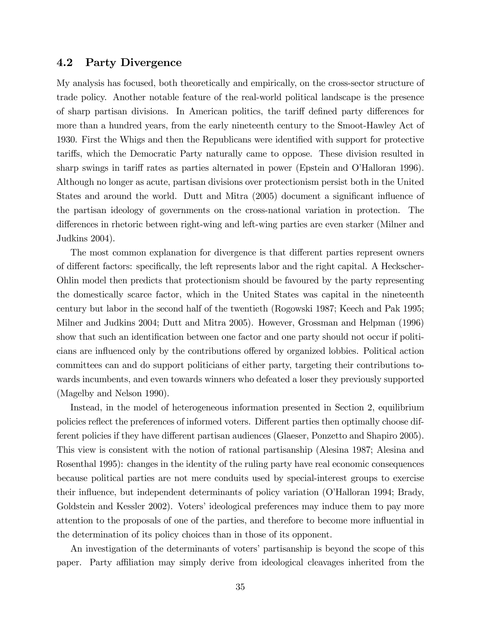#### 4.2 Party Divergence

My analysis has focused, both theoretically and empirically, on the cross-sector structure of trade policy. Another notable feature of the real-world political landscape is the presence of sharp partisan divisions. In American politics, the tariff defined party differences for more than a hundred years, from the early nineteenth century to the Smoot-Hawley Act of 1930. First the Whigs and then the Republicans were identified with support for protective tari§s, which the Democratic Party naturally came to oppose. These division resulted in sharp swings in tariff rates as parties alternated in power (Epstein and O'Halloran 1996). Although no longer as acute, partisan divisions over protectionism persist both in the United States and around the world. Dutt and Mitra (2005) document a significant influence of the partisan ideology of governments on the cross-national variation in protection. The differences in rhetoric between right-wing and left-wing parties are even starker (Milner and Judkins 2004).

The most common explanation for divergence is that different parties represent owners of different factors: specifically, the left represents labor and the right capital. A Heckscher-Ohlin model then predicts that protectionism should be favoured by the party representing the domestically scarce factor, which in the United States was capital in the nineteenth century but labor in the second half of the twentieth (Rogowski 1987; Keech and Pak 1995; Milner and Judkins 2004; Dutt and Mitra 2005). However, Grossman and Helpman (1996) show that such an identification between one factor and one party should not occur if politicians are influenced only by the contributions offered by organized lobbies. Political action committees can and do support politicians of either party, targeting their contributions towards incumbents, and even towards winners who defeated a loser they previously supported (Magelby and Nelson 1990).

Instead, in the model of heterogeneous information presented in Section 2, equilibrium policies reflect the preferences of informed voters. Different parties then optimally choose different policies if they have different partisan audiences (Glaeser, Ponzetto and Shapiro 2005). This view is consistent with the notion of rational partisanship (Alesina 1987; Alesina and Rosenthal 1995): changes in the identity of the ruling party have real economic consequences because political parties are not mere conduits used by special-interest groups to exercise their influence, but independent determinants of policy variation (O'Halloran 1994; Brady, Goldstein and Kessler 2002). Voters' ideological preferences may induce them to pay more attention to the proposals of one of the parties, and therefore to become more ináuential in the determination of its policy choices than in those of its opponent.

An investigation of the determinants of voters' partisanship is beyond the scope of this paper. Party affiliation may simply derive from ideological cleavages inherited from the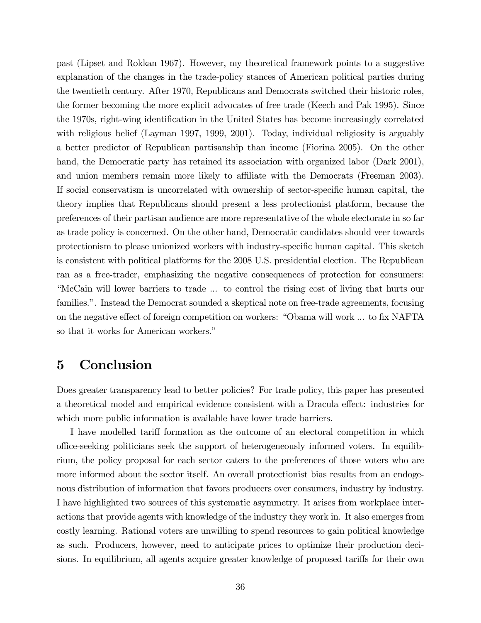past (Lipset and Rokkan 1967). However, my theoretical framework points to a suggestive explanation of the changes in the trade-policy stances of American political parties during the twentieth century. After 1970, Republicans and Democrats switched their historic roles, the former becoming the more explicit advocates of free trade (Keech and Pak 1995). Since the 1970s, right-wing identification in the United States has become increasingly correlated with religious belief (Layman 1997, 1999, 2001). Today, individual religiosity is arguably a better predictor of Republican partisanship than income (Fiorina 2005). On the other hand, the Democratic party has retained its association with organized labor (Dark 2001), and union members remain more likely to affiliate with the Democrats (Freeman 2003). If social conservatism is uncorrelated with ownership of sector-specific human capital, the theory implies that Republicans should present a less protectionist platform, because the preferences of their partisan audience are more representative of the whole electorate in so far as trade policy is concerned. On the other hand, Democratic candidates should veer towards protectionism to please unionized workers with industry-specific human capital. This sketch is consistent with political platforms for the 2008 U.S. presidential election. The Republican ran as a free-trader, emphasizing the negative consequences of protection for consumers: ìMcCain will lower barriers to trade ... to control the rising cost of living that hurts our families.". Instead the Democrat sounded a skeptical note on free-trade agreements, focusing on the negative effect of foreign competition on workers: "Obama will work ... to fix NAFTA so that it works for American workers."

# 5 Conclusion

Does greater transparency lead to better policies? For trade policy, this paper has presented a theoretical model and empirical evidence consistent with a Dracula effect: industries for which more public information is available have lower trade barriers.

I have modelled tariff formation as the outcome of an electoral competition in which o¢ ce-seeking politicians seek the support of heterogeneously informed voters. In equilibrium, the policy proposal for each sector caters to the preferences of those voters who are more informed about the sector itself. An overall protectionist bias results from an endogenous distribution of information that favors producers over consumers, industry by industry. I have highlighted two sources of this systematic asymmetry. It arises from workplace interactions that provide agents with knowledge of the industry they work in. It also emerges from costly learning. Rational voters are unwilling to spend resources to gain political knowledge as such. Producers, however, need to anticipate prices to optimize their production decisions. In equilibrium, all agents acquire greater knowledge of proposed tariffs for their own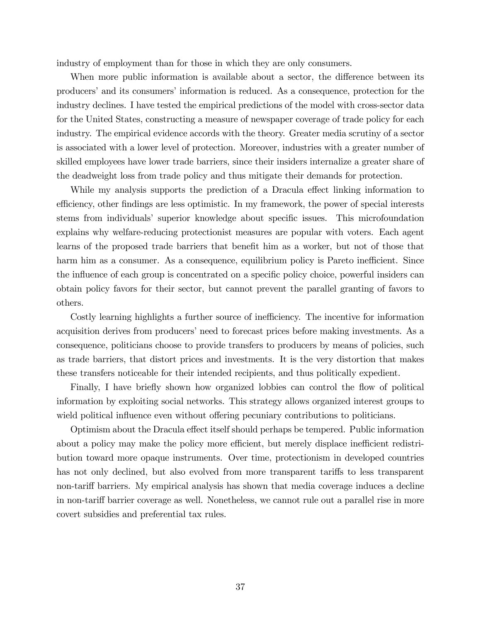industry of employment than for those in which they are only consumers.

When more public information is available about a sector, the difference between its producers' and its consumers' information is reduced. As a consequence, protection for the industry declines. I have tested the empirical predictions of the model with cross-sector data for the United States, constructing a measure of newspaper coverage of trade policy for each industry. The empirical evidence accords with the theory. Greater media scrutiny of a sector is associated with a lower level of protection. Moreover, industries with a greater number of skilled employees have lower trade barriers, since their insiders internalize a greater share of the deadweight loss from trade policy and thus mitigate their demands for protection.

While my analysis supports the prediction of a Dracula effect linking information to efficiency, other findings are less optimistic. In my framework, the power of special interests stems from individuals' superior knowledge about specific issues. This microfoundation explains why welfare-reducing protectionist measures are popular with voters. Each agent learns of the proposed trade barriers that benefit him as a worker, but not of those that harm him as a consumer. As a consequence, equilibrium policy is Pareto inefficient. Since the influence of each group is concentrated on a specific policy choice, powerful insiders can obtain policy favors for their sector, but cannot prevent the parallel granting of favors to others.

Costly learning highlights a further source of inefficiency. The incentive for information acquisition derives from producers' need to forecast prices before making investments. As a consequence, politicians choose to provide transfers to producers by means of policies, such as trade barriers, that distort prices and investments. It is the very distortion that makes these transfers noticeable for their intended recipients, and thus politically expedient.

Finally, I have briefly shown how organized lobbies can control the flow of political information by exploiting social networks. This strategy allows organized interest groups to wield political influence even without offering pecuniary contributions to politicians.

Optimism about the Dracula effect itself should perhaps be tempered. Public information about a policy may make the policy more efficient, but merely displace inefficient redistribution toward more opaque instruments. Over time, protectionism in developed countries has not only declined, but also evolved from more transparent tariffs to less transparent non-tariff barriers. My empirical analysis has shown that media coverage induces a decline in non-tariff barrier coverage as well. Nonetheless, we cannot rule out a parallel rise in more covert subsidies and preferential tax rules.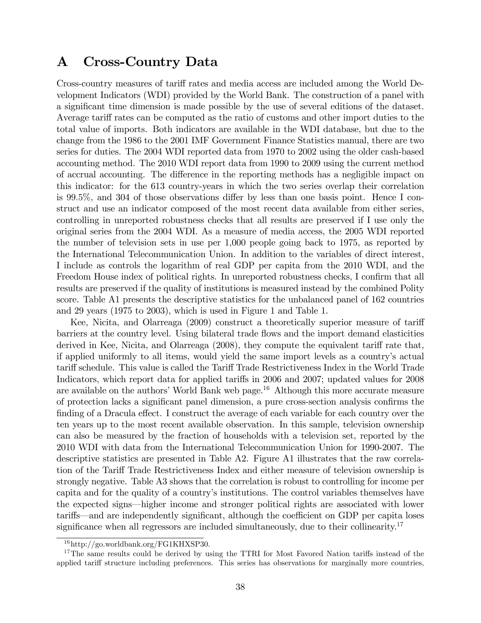# A Cross-Country Data

Cross-country measures of tariff rates and media access are included among the World Development Indicators (WDI) provided by the World Bank. The construction of a panel with a significant time dimension is made possible by the use of several editions of the dataset. Average tariff rates can be computed as the ratio of customs and other import duties to the total value of imports. Both indicators are available in the WDI database, but due to the change from the 1986 to the 2001 IMF Government Finance Statistics manual, there are two series for duties. The 2004 WDI reported data from 1970 to 2002 using the older cash-based accounting method. The 2010 WDI report data from 1990 to 2009 using the current method of accrual accounting. The difference in the reporting methods has a negligible impact on this indicator: for the 613 country-years in which the two series overlap their correlation is 99.5%, and 304 of those observations differ by less than one basis point. Hence I construct and use an indicator composed of the most recent data available from either series, controlling in unreported robustness checks that all results are preserved if I use only the original series from the 2004 WDI. As a measure of media access, the 2005 WDI reported the number of television sets in use per 1,000 people going back to 1975, as reported by the International Telecommunication Union. In addition to the variables of direct interest, I include as controls the logarithm of real GDP per capita from the 2010 WDI, and the Freedom House index of political rights. In unreported robustness checks, I confirm that all results are preserved if the quality of institutions is measured instead by the combined Polity score. Table A1 presents the descriptive statistics for the unbalanced panel of 162 countries and 29 years (1975 to 2003), which is used in Figure 1 and Table 1.

Kee, Nicita, and Olarreaga (2009) construct a theoretically superior measure of tariff barriers at the country level. Using bilateral trade áows and the import demand elasticities derived in Kee, Nicita, and Olarreaga  $(2008)$ , they compute the equivalent tariff rate that, if applied uniformly to all items, would yield the same import levels as a countryís actual tariff schedule. This value is called the Tariff Trade Restrictiveness Index in the World Trade Indicators, which report data for applied tariffs in 2006 and 2007; updated values for 2008 are available on the authors' World Bank web page.<sup>16</sup> Although this more accurate measure of protection lacks a significant panel dimension, a pure cross-section analysis confirms the finding of a Dracula effect. I construct the average of each variable for each country over the ten years up to the most recent available observation. In this sample, television ownership can also be measured by the fraction of households with a television set, reported by the 2010 WDI with data from the International Telecommunication Union for 1990-2007. The descriptive statistics are presented in Table A2. Figure A1 illustrates that the raw correlation of the Tariff Trade Restrictiveness Index and either measure of television ownership is strongly negative. Table A3 shows that the correlation is robust to controlling for income per capita and for the quality of a countryís institutions. The control variables themselves have the expected signs—higher income and stronger political rights are associated with lower tariffs—and are independently significant, although the coefficient on GDP per capita loses significance when all regressors are included simultaneously, due to their collinearity.<sup>17</sup>

<sup>16</sup>http://go.worldbank.org/FG1KHXSP30.

<sup>&</sup>lt;sup>17</sup>The same results could be derived by using the TTRI for Most Favored Nation tariffs instead of the applied tariff structure including preferences. This series has observations for marginally more countries,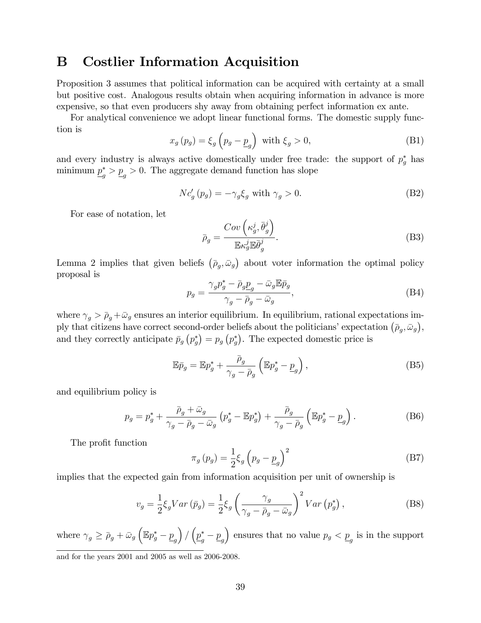# B Costlier Information Acquisition

Proposition 3 assumes that political information can be acquired with certainty at a small but positive cost. Analogous results obtain when acquiring information in advance is more expensive, so that even producers shy away from obtaining perfect information ex ante.

For analytical convenience we adopt linear functional forms. The domestic supply function is

$$
x_g(p_g) = \xi_g \left(p_g - \underline{p}_g\right) \text{ with } \xi_g > 0,
$$
\n(B1)

and every industry is always active domestically under free trade: the support of  $p_g^*$  has minimum  $\underline{p}_g^* > \underline{p}_g > 0$ . The aggregate demand function has slope

$$
Nc'_{g}(p_{g}) = -\gamma_{g}\xi_{g} \text{ with } \gamma_{g} > 0. \tag{B2}
$$

For ease of notation, let

$$
\bar{\rho}_g = \frac{Cov\left(\kappa_g^j, \bar{\theta}_g^j\right)}{\mathbb{E}\kappa_g^j \mathbb{E}\bar{\theta}_g^j}.
$$
\n(B3)

Lemma 2 implies that given beliefs  $(\bar{p}_g, \bar{\omega}_g)$  about voter information the optimal policy proposal is

$$
p_g = \frac{\gamma_g p_g^* - \bar{\rho}_g p_g - \bar{\omega}_g \mathbb{E} \bar{p}_g}{\gamma_g - \bar{\rho}_g - \bar{\omega}_g},\tag{B4}
$$

where  $\gamma_q > \bar{\rho}_q + \bar{\omega}_g$  ensures an interior equilibrium. In equilibrium, rational expectations imply that citizens have correct second-order beliefs about the politicians' expectation  $(\bar{\rho}_g, \bar{\omega}_g)$ , and they correctly anticipate  $\bar{p}_g(p_g^*) = p_g(p_g^*)$ . The expected domestic price is

$$
\mathbb{E}\bar{p}_g = \mathbb{E}p_g^* + \frac{\bar{p}_g}{\gamma_g - \bar{p}_g} \left( \mathbb{E}p_g^* - \underline{p}_g \right),\tag{B5}
$$

and equilibrium policy is

$$
p_g = p_g^* + \frac{\bar{\rho}_g + \bar{\omega}_g}{\gamma_g - \bar{\rho}_g - \bar{\omega}_g} \left( p_g^* - \mathbb{E} p_g^* \right) + \frac{\bar{\rho}_g}{\gamma_g - \bar{\rho}_g} \left( \mathbb{E} p_g^* - \underline{p}_g \right). \tag{B6}
$$

The profit function

$$
\pi_g(p_g) = \frac{1}{2} \xi_g \left( p_g - \underline{p}_g \right)^2 \tag{B7}
$$

implies that the expected gain from information acquisition per unit of ownership is

$$
v_g = \frac{1}{2} \xi_g Var\left(\bar{p}_g\right) = \frac{1}{2} \xi_g \left(\frac{\gamma_g}{\gamma_g - \bar{p}_g - \bar{\omega}_g}\right)^2 Var\left(p_g^*\right),\tag{B8}
$$

where  $\gamma_g \ge \bar{\rho}_g + \bar{\omega}_g \left( \mathbb{E} p_g^* - \underline{p}_g \right)$  $\left( \frac{p_{g}^{*} - p_{g}}{2} \right)$ ) ensures that no value  $p_g < p_g$  is in the support

and for the years 2001 and 2005 as well as 2006-2008.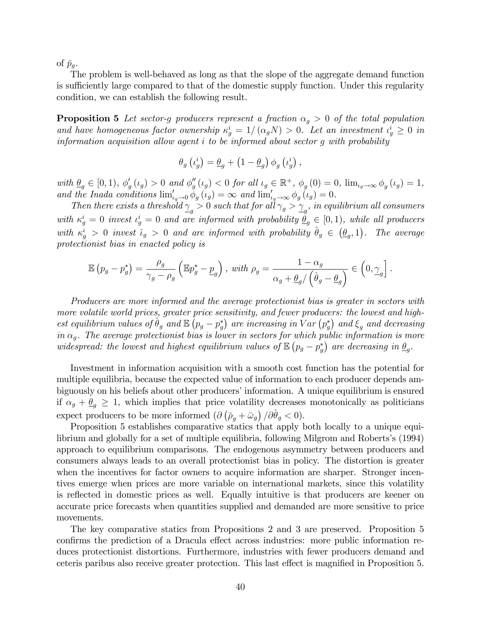of  $\bar{p}_a$ .

The problem is well-behaved as long as that the slope of the aggregate demand function is sufficiently large compared to that of the domestic supply function. Under this regularity condition, we can establish the following result.

**Proposition 5** Let sector-g producers represent a fraction  $\alpha_g > 0$  of the total population and have homogeneous factor ownership  $\kappa_g^i = 1/(\alpha_g N) > 0$ . Let an investment  $\iota_g^i \geq 0$  in information acquisition allow agent i to be informed about sector g with probability

$$
\theta_g\left(\iota_g^i\right) = \underline{\theta}_g + \left(1-\underline{\theta}_g\right)\phi_g\left(\iota_g^i\right),
$$

with  $\underline{\theta}_g \in [0, 1)$ ,  $\phi'_g(\iota_g) > 0$  and  $\phi''_g(\iota_g) < 0$  for all  $\iota_g \in \mathbb{R}^+$ ,  $\phi_g(0) = 0$ ,  $\lim_{\iota_g \to \infty} \phi_g(\iota_g) = 1$ , and the Inada conditions  $\lim_{\epsilon_g \to 0} \phi_g(\iota_g) = \infty$  and  $\lim_{\epsilon_g \to \infty} \phi_g(\iota_g) = 0$ .

Then there exists a threshold  $\frac{\gamma}{g} > 0$  such that for all  $\gamma_g > \frac{\gamma}{g}$ , in equilibrium all consumers with  $\kappa_g^i = 0$  invest  $\iota_g^i = 0$  and are informed with probability  $\underline{\theta}_g \in [0,1)$ , while all producers with  $\kappa_g^i > 0$  invest  $\hat{\iota}_g > 0$  and are informed with probability  $\hat{\theta}_g \in (\underline{\theta}_g, 1)$ . The average protectionist bias in enacted policy is

$$
\mathbb{E}\left(p_g - p_g^*\right) = \frac{\rho_g}{\gamma_g - \rho_g} \left(\mathbb{E}p_g^* - \underline{p}_g\right), \ \text{with } \rho_g = \frac{1 - \alpha_g}{\alpha_g + \underline{\theta}_g / \left(\hat{\theta}_g - \underline{\theta}_g\right)} \in \left(0, \underline{\gamma}_g\right].
$$

Producers are more informed and the average protectionist bias is greater in sectors with more volatile world prices, greater price sensitivity, and fewer producers: the lowest and highest equilibrium values of  $\hat{\theta}_g$  and  $\mathbb{E}\left(p_g - p_g^*\right)$  are increasing in  $Var\left(p_g^*\right)$  and  $\xi_g$  and decreasing in  $\alpha_g$ . The average protectionist bias is lower in sectors for which public information is more widespread: the lowest and highest equilibrium values of  $\mathbb{E}\left(p_g - p_g^*\right)$  are decreasing in  $\underline{\theta}_g$ .

Investment in information acquisition with a smooth cost function has the potential for multiple equilibria, because the expected value of information to each producer depends ambiguously on his beliefs about other producers' information. A unique equilibrium is ensured if  $\alpha_g + \underline{\theta}_g \geq 1$ , which implies that price volatility decreases monotonically as politicians expect producers to be more informed  $\left(\partial \left(\bar{\rho}_g + \bar{\omega}_g\right) / \partial \hat{\theta}_g < 0\right)$ .

Proposition 5 establishes comparative statics that apply both locally to a unique equilibrium and globally for a set of multiple equilibria, following Milgrom and Roberts's (1994) approach to equilibrium comparisons. The endogenous asymmetry between producers and consumers always leads to an overall protectionist bias in policy. The distortion is greater when the incentives for factor owners to acquire information are sharper. Stronger incentives emerge when prices are more variable on international markets, since this volatility is reflected in domestic prices as well. Equally intuitive is that producers are keener on accurate price forecasts when quantities supplied and demanded are more sensitive to price movements.

The key comparative statics from Propositions 2 and 3 are preserved. Proposition 5 confirms the prediction of a Dracula effect across industries: more public information reduces protectionist distortions. Furthermore, industries with fewer producers demand and ceteris paribus also receive greater protection. This last effect is magnified in Proposition 5.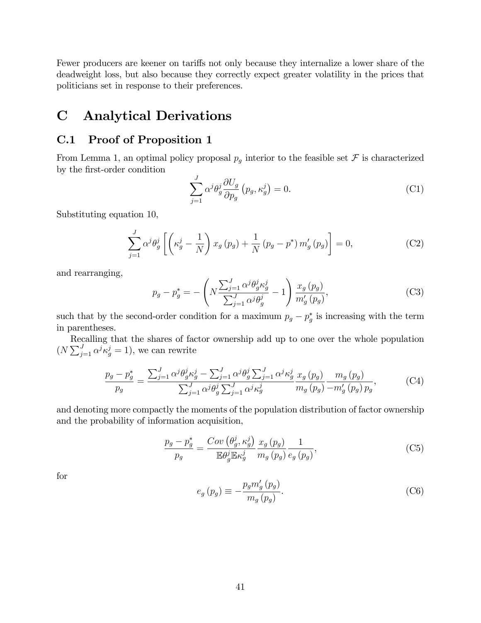Fewer producers are keener on tariffs not only because they internalize a lower share of the deadweight loss, but also because they correctly expect greater volatility in the prices that politicians set in response to their preferences.

# C Analytical Derivations

## C.1 Proof of Proposition 1

From Lemma 1, an optimal policy proposal  $p_g$  interior to the feasible set  $\mathcal F$  is characterized by the first-order condition

$$
\sum_{j=1}^{J} \alpha^{j} \theta_{g}^{j} \frac{\partial U_{g}}{\partial p_{g}} \left( p_{g}, \kappa_{g}^{j} \right) = 0.
$$
 (C1)

Substituting equation 10,

$$
\sum_{j=1}^{J} \alpha^{j} \theta_{g}^{j} \left[ \left( \kappa_{g}^{j} - \frac{1}{N} \right) x_{g} \left( p_{g} \right) + \frac{1}{N} \left( p_{g} - p^{*} \right) m_{g}^{\prime} \left( p_{g} \right) \right] = 0, \tag{C2}
$$

and rearranging,

$$
p_g - p_g^* = -\left(N \frac{\sum_{j=1}^J \alpha^j \theta_g^j \kappa_g^j}{\sum_{j=1}^J \alpha^j \theta_g^j} - 1\right) \frac{x_g(p_g)}{m'_g(p_g)},\tag{C3}
$$

such that by the second-order condition for a maximum  $p_g - p_g^*$  is increasing with the term in parentheses.

Recalling that the shares of factor ownership add up to one over the whole population  $(N \sum_{j=1}^{J} \alpha^j \kappa_g^j = 1)$ , we can rewrite

$$
\frac{p_g - p_g^*}{p_g} = \frac{\sum_{j=1}^J \alpha^j \theta_g^j \kappa_g^j - \sum_{j=1}^J \alpha^j \theta_g^j \sum_{j=1}^J \alpha^j \kappa_g^j}{\sum_{j=1}^J \alpha^j \theta_g^j \sum_{j=1}^J \alpha^j \kappa_g^j} \frac{x_g(p_g)}{m_g(p_g) - m'_g(p_g)p_g},
$$
(C4)

and denoting more compactly the moments of the population distribution of factor ownership and the probability of information acquisition,

$$
\frac{p_g - p_g^*}{p_g} = \frac{Cov\left(\theta_g^j, \kappa_g^j\right)}{\mathbb{E}\theta_g^j \mathbb{E}\kappa_g^j} \frac{x_g\left(p_g\right)}{m_g\left(p_g\right)} \frac{1}{e_g\left(p_g\right)},\tag{C5}
$$

for

$$
e_g(p_g) \equiv -\frac{p_g m'_g(p_g)}{m_g(p_g)}.\tag{C6}
$$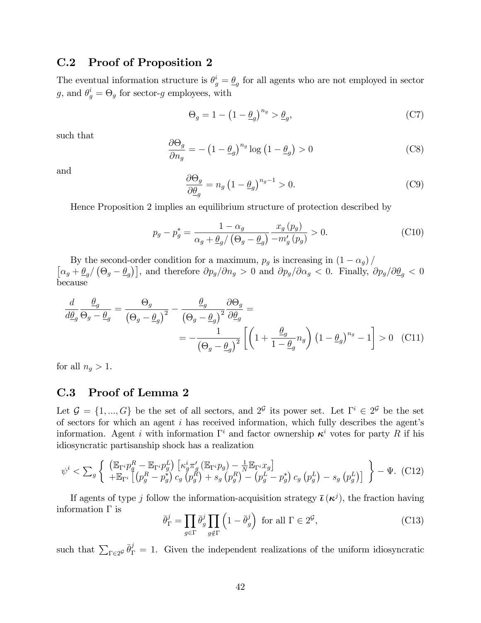## C.2 Proof of Proposition 2

The eventual information structure is  $\theta_g^i = \underline{\theta}_g$  for all agents who are not employed in sector g, and  $\theta_g^i = \Theta_g$  for sector-g employees, with

$$
\Theta_g = 1 - \left(1 - \underline{\theta}_g\right)^{n_g} > \underline{\theta}_g,\tag{C7}
$$

such that

$$
\frac{\partial \Theta_g}{\partial n_g} = -\left(1 - \underline{\theta}_g\right)^{n_g} \log\left(1 - \underline{\theta}_g\right) > 0\tag{C8}
$$

and

$$
\frac{\partial \Theta_g}{\partial \underline{\theta}_g} = n_g \left( 1 - \underline{\theta}_g \right)^{n_g - 1} > 0. \tag{C9}
$$

Hence Proposition 2 implies an equilibrium structure of protection described by

$$
p_g - p_g^* = \frac{1 - \alpha_g}{\alpha_g + \underline{\theta}_g / \left(\Theta_g - \underline{\theta}_g\right)} \frac{x_g \left(p_g\right)}{-m'_g \left(p_g\right)} > 0. \tag{C10}
$$

By the second-order condition for a maximum,  $p_g$  is increasing in  $(1 - \alpha_g)$ /  $\left[\alpha_g + \frac{\theta_g}{\theta_g}\right]$ , and therefore  $\partial p_g/\partial n_g > 0$  and  $\partial p_g/\partial \alpha_g < 0$ . Finally,  $\partial p_g/\partial \frac{\theta_g}{\theta_g} < 0$ because

$$
\frac{d}{d\underline{\theta}_g} \frac{\theta_g}{\Theta_g - \underline{\theta}_g} = \frac{\Theta_g}{(\Theta_g - \underline{\theta}_g)^2} - \frac{\underline{\theta}_g}{(\Theta_g - \underline{\theta}_g)^2} \frac{\partial \Theta_g}{\partial \underline{\theta}_g} =
$$
\n
$$
= -\frac{1}{(\Theta_g - \underline{\theta}_g)^2} \left[ \left( 1 + \frac{\underline{\theta}_g}{1 - \underline{\theta}_g} n_g \right) \left( 1 - \underline{\theta}_g \right)^{n_g} - 1 \right] > 0 \quad \text{(C11)}
$$

for all  $n_g > 1$ .

### C.3 Proof of Lemma 2

Let  $\mathcal{G} = \{1, ..., G\}$  be the set of all sectors, and  $2^{\mathcal{G}}$  its power set. Let  $\Gamma^i \in 2^{\mathcal{G}}$  be the set of sectors for which an agent  $i$  has received information, which fully describes the agent's information. Agent *i* with information  $\Gamma^i$  and factor ownership  $\kappa^i$  votes for party R if his idiosyncratic partisanship shock has a realization

$$
\psi^i < \sum_g \left\{ \begin{array}{l} \left( \mathbb{E}_{\Gamma^i} p_g^R - \mathbb{E}_{\Gamma^i} p_g^L \right) \left[ \kappa_g^i \pi_g' \left( \mathbb{E}_{\Gamma^i} p_g \right) - \frac{1}{N} \mathbb{E}_{\Gamma^i} x_g \right] \\ + \mathbb{E}_{\Gamma^i} \left[ \left( p_g^R - p_g^* \right) c_g \left( p_g^R \right) + s_g \left( p_g^R \right) - \left( p_g^L - p_g^* \right) c_g \left( p_g^L \right) - s_g \left( p_g^L \right) \right] \end{array} \right\} - \Psi. \tag{C12}
$$

If agents of type j follow the information-acquisition strategy  $\bar{\iota}(\kappa^j)$ , the fraction having information  $\Gamma$  is

$$
\bar{\theta}_{\Gamma}^{j} = \prod_{g \in \Gamma} \bar{\theta}_{g}^{j} \prod_{g \notin \Gamma} \left( 1 - \bar{\theta}_{g}^{j} \right) \text{ for all } \Gamma \in 2^{\mathcal{G}}, \tag{C13}
$$

such that  $\sum_{\Gamma \in 2^{\mathcal{G}}} \bar{\theta}_{\Gamma}^{j} = 1$ . Given the independent realizations of the uniform idiosyncratic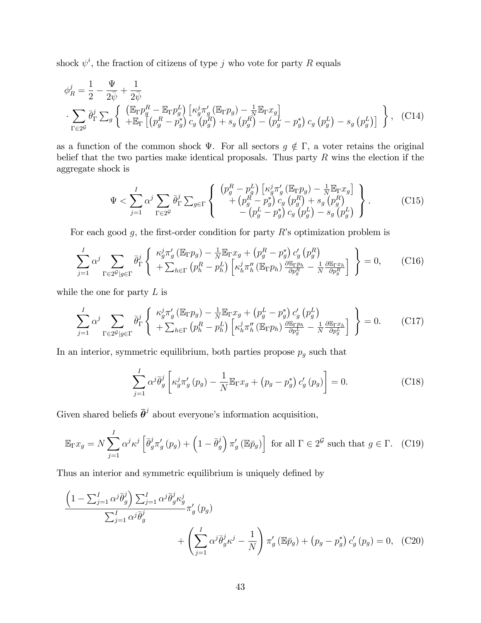shock  $\psi^i$ , the fraction of citizens of type j who vote for party R equals

$$
\phi_R^j = \frac{1}{2} - \frac{\Psi}{2\bar{\psi}} + \frac{1}{2\bar{\psi}}
$$
  

$$
\sum_{\Gamma \in 2^{\mathcal{G}}} \bar{\theta}_{\Gamma}^j \sum_g \left\{ \begin{array}{l} (\mathbb{E}_{\Gamma} p_g^R - \mathbb{E}_{\Gamma} p_g^L) \left[ \kappa_g^j \pi_g' (\mathbb{E}_{\Gamma} p_g) - \frac{1}{N} \mathbb{E}_{\Gamma} x_g \right] \\ + \mathbb{E}_{\Gamma} \left[ \left( p_g^R - p_g^* \right) c_g \left( p_g^R \right) + s_g \left( p_g^R \right) - \left( p_g^L - p_g^* \right) c_g \left( p_g^L \right) - s_g \left( p_g^L \right) \right] \end{array} \right\}, \quad (C14)
$$

as a function of the common shock  $\Psi$ . For all sectors  $g \notin \Gamma$ , a voter retains the original belief that the two parties make identical proposals. Thus party  $R$  wins the election if the aggregate shock is

$$
\Psi < \sum_{j=1}^{I} \alpha^{j} \sum_{\Gamma \in 2^{G}} \bar{\theta}_{\Gamma}^{j} \sum_{g \in \Gamma} \left\{ \begin{array}{c} \left( p_g^R - p_g^L \right) \left[ \kappa_g^j \pi_g' \left( \mathbb{E}_{\Gamma} p_g \right) - \frac{1}{N} \mathbb{E}_{\Gamma} x_g \right] \\ \left. + \left( p_g^R - p_g^* \right) c_g \left( p_g^R \right) + s_g \left( p_g^R \right) \\ \left. - \left( p_g^L - p_g^* \right) c_g \left( p_g^L \right) - s_g \left( p_g^L \right) \right] \end{array} \right\}.
$$
\n(C15)

For each good  $g$ , the first-order condition for party  $R$ 's optimization problem is

$$
\sum_{j=1}^{I} \alpha^{j} \sum_{\Gamma \in 2^{\mathcal{G}} | g \in \Gamma} \bar{\theta}_{\Gamma}^{j} \left\{ \begin{array}{l} \kappa_{g}^{j} \pi_{g}^{{\prime} \left( \mathbb{E}_{\Gamma} p_{g} \right) - \frac{1}{N} \mathbb{E}_{\Gamma} x_{g} + \left( p_{g}^{R} - p_{g}^{*} \right) c_{g}^{\prime} \left( p_{g}^{R} \right) \\ + \sum_{h \in \Gamma} \left( p_{h}^{R} - p_{h}^{L} \right) \left[ \kappa_{h}^{j} \pi_{h}^{\prime\prime} \left( \mathbb{E}_{\Gamma} p_{h} \right) \frac{\partial \mathbb{E}_{\Gamma} p_{h}}{\partial p_{g}^{R}} - \frac{1}{N} \frac{\partial \mathbb{E}_{\Gamma} x_{h}}{\partial p_{g}^{R}} \right] \end{array} \right\} = 0, \qquad (C16)
$$

while the one for party  $L$  is

$$
\sum_{j=1}^{I} \alpha^{j} \sum_{\Gamma \in 2^{\mathcal{G}} | g \in \Gamma} \bar{\theta}_{\Gamma}^{j} \left\{ \begin{array}{l} \kappa_{g}^{j} \pi_{g}^{{\prime} \left( \mathbb{E}_{\Gamma} p_{g} \right) - \frac{1}{N} \mathbb{E}_{\Gamma} x_{g} + \left( p_{g}^{L} - p_{g}^{*} \right) c_{g}^{\prime} \left( p_{g}^{L} \right) \\ + \sum_{h \in \Gamma} \left( p_{h}^{R} - p_{h}^{L} \right) \left[ \kappa_{h}^{j} \pi_{h}^{\prime\prime} \left( \mathbb{E}_{\Gamma} p_{h} \right) \frac{\partial \mathbb{E}_{\Gamma} p_{h}}{\partial p_{g}^{L}} - \frac{1}{N} \frac{\partial \mathbb{E}_{\Gamma} x_{h}}{\partial p_{g}^{L}} \right] \end{array} \right\} = 0. \tag{C17}
$$

In an interior, symmetric equilibrium, both parties propose  $p_g$  such that

$$
\sum_{j=1}^{I} \alpha^{j} \overline{\theta}_{g}^{j} \left[ \kappa_{g}^{j} \pi_{g}^{\prime} (p_{g}) - \frac{1}{N} \mathbb{E}_{\Gamma} x_{g} + (p_{g} - p_{g}^{*}) c_{g}^{\prime} (p_{g}) \right] = 0.
$$
 (C18)

Given shared beliefs  $\bar{\theta}^j$  about everyone's information acquisition,

$$
\mathbb{E}_{\Gamma} x_g = N \sum_{j=1}^{I} \alpha^j \kappa^j \left[ \bar{\theta}_g^j \pi'_g \left( p_g \right) + \left( 1 - \bar{\theta}_g^j \right) \pi'_g \left( \mathbb{E} \bar{p}_g \right) \right] \text{ for all } \Gamma \in 2^{\mathcal{G}} \text{ such that } g \in \Gamma. \tag{C19}
$$

Thus an interior and symmetric equilibrium is uniquely defined by

$$
\frac{\left(1 - \sum_{j=1}^{I} \alpha^{j} \bar{\theta}_{g}^{j}\right) \sum_{j=1}^{I} \alpha^{j} \bar{\theta}_{g}^{j} \kappa_{g}^{j}}{\sum_{j=1}^{I} \alpha^{j} \bar{\theta}_{g}^{j}} \pi_{g}'\left(p_{g}\right) + \left(\sum_{j=1}^{I} \alpha^{j} \bar{\theta}_{g}^{j} \kappa^{j} - \frac{1}{N}\right) \pi_{g}'\left(\mathbb{E}\bar{p}_{g}\right) + \left(p_{g} - p_{g}^{*}\right) c_{g}'\left(p_{g}\right) = 0, \quad (C20)
$$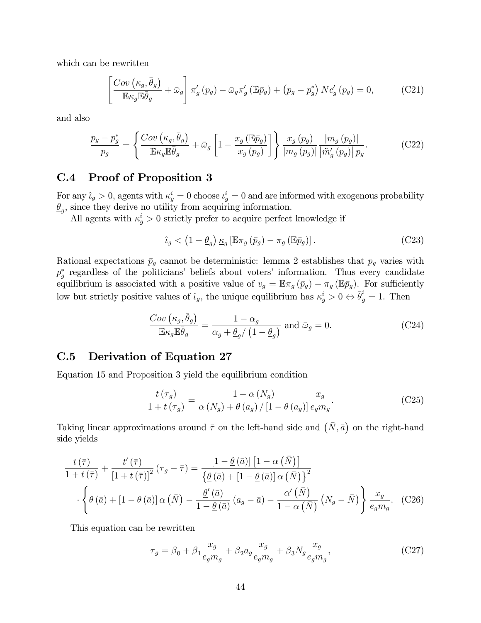which can be rewritten

$$
\left[\frac{Cov\left(\kappa_g, \bar{\theta}_g\right)}{\mathbb{E}\kappa_g \mathbb{E}\bar{\theta}_g} + \bar{\omega}_g\right] \pi'_g\left(p_g\right) - \bar{\omega}_g \pi'_g\left(\mathbb{E}\bar{p}_g\right) + \left(p_g - p_g^*\right) N c'_g\left(p_g\right) = 0,\tag{C21}
$$

and also

$$
\frac{p_g - p_g^*}{p_g} = \left\{ \frac{Cov\left(\kappa_g, \bar{\theta}_g\right)}{\mathbb{E}\kappa_g \mathbb{E}\bar{\theta}_g} + \bar{\omega}_g \left[ 1 - \frac{x_g\left(\mathbb{E}\bar{p}_g\right)}{x_g\left(p_g\right)} \right] \right\} \frac{x_g\left(p_g\right)}{\left|m_g\left(p_g\right)\right|} \frac{\left|m_g\left(p_g\right)\right|}{\left|\tilde{m}_g'\left(p_g\right)\right| p_g}.\tag{C22}
$$

### C.4 Proof of Proposition 3

For any  $\hat{u}_g > 0$ , agents with  $\kappa_g^i = 0$  choose  $\iota_g^i = 0$  and are informed with exogenous probability  $\underline{\theta}_g$ , since they derive no utility from acquiring information.

All agents with  $\kappa_g^i > 0$  strictly prefer to acquire perfect knowledge if

$$
\hat{\iota}_g < \left(1 - \underline{\theta}_g\right) \underline{\kappa}_g \left[\mathbb{E} \pi_g \left(\bar{p}_g\right) - \pi_g \left(\mathbb{E} \bar{p}_g\right)\right].\tag{C23}
$$

Rational expectations  $\bar{p}_g$  cannot be deterministic: lemma 2 establishes that  $p_g$  varies with  $p_g^*$  regardless of the politicians' beliefs about voters' information. Thus every candidate equilibrium is associated with a positive value of  $v_g = \mathbb{E} \pi_g (\bar{p}_g) - \pi_g (\mathbb{E} \bar{p}_g)$ . For sufficiently low but strictly positive values of  $\hat{\iota}_g$ , the unique equilibrium has  $\kappa_g^i > 0 \Leftrightarrow \bar{\theta}_g^i = 1$ . Then

$$
\frac{Cov\left(\kappa_g, \bar{\theta}_g\right)}{\mathbb{E}\kappa_g \mathbb{E}\bar{\theta}_g} = \frac{1 - \alpha_g}{\alpha_g + \underline{\theta}_g / \left(1 - \underline{\theta}_g\right)} \text{ and } \bar{\omega}_g = 0. \tag{C24}
$$

## C.5 Derivation of Equation 27

Equation 15 and Proposition 3 yield the equilibrium condition

$$
\frac{t\left(\tau_g\right)}{1+t\left(\tau_g\right)} = \frac{1-\alpha\left(N_g\right)}{\alpha\left(N_g\right) + \underline{\theta}\left(a_g\right)/\left[1-\underline{\theta}\left(a_g\right)\right]} \frac{x_g}{e_g m_g}.\tag{C25}
$$

Taking linear approximations around  $\bar{\tau}$  on the left-hand side and  $(\bar{N}, \bar{a})$  on the right-hand side yields

$$
\frac{t(\bar{\tau})}{1+t(\bar{\tau})} + \frac{t'(\bar{\tau})}{\left[1+t(\bar{\tau})\right]^2} (\tau_g - \bar{\tau}) = \frac{\left[1-\underline{\theta}(\bar{a})\right] \left[1-\alpha\left(\bar{N}\right)\right]}{\left\{\underline{\theta}(\bar{a}) + \left[1-\underline{\theta}(\bar{a})\right]\alpha\left(\bar{N}\right)\right\}^2} \cdot \left\{\underline{\theta}(\bar{a}) + \left[1-\underline{\theta}(\bar{a})\right]\alpha\left(\bar{N}\right) - \frac{\underline{\theta}'(\bar{a})}{1-\underline{\theta}(\bar{a})} (a_g - \bar{a}) - \frac{\alpha'\left(\bar{N}\right)}{1-\alpha\left(\bar{N}\right)} (N_g - \bar{N})\right\} \frac{x_g}{e_g m_g}. (C26)
$$

This equation can be rewritten

$$
\tau_g = \beta_0 + \beta_1 \frac{x_g}{e_g m_g} + \beta_2 a_g \frac{x_g}{e_g m_g} + \beta_3 N_g \frac{x_g}{e_g m_g},\tag{C27}
$$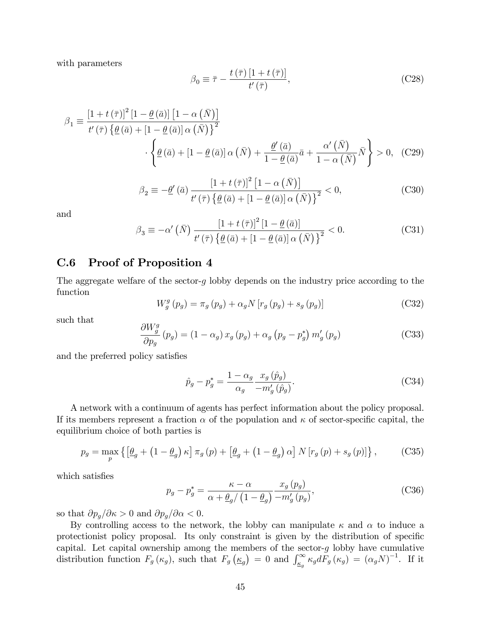with parameters

$$
\beta_0 \equiv \bar{\tau} - \frac{t(\bar{\tau}) \left[1 + t(\bar{\tau})\right]}{t'(\bar{\tau})},\tag{C28}
$$

$$
\beta_1 \equiv \frac{\left[1+t\left(\bar{\tau}\right)\right]^2 \left[1-\underline{\theta}\left(\bar{a}\right)\right] \left[1-\alpha\left(\bar{N}\right)\right]}{t'\left(\bar{\tau}\right) \left\{\underline{\theta}\left(\bar{a}\right)+\left[1-\underline{\theta}\left(\bar{a}\right)\right] \alpha\left(\bar{N}\right)\right\}^2} \cdot \left\{\underline{\theta}\left(\bar{a}\right) + \left[1-\underline{\theta}\left(\bar{a}\right)\right] \alpha\left(\bar{N}\right) + \frac{\underline{\theta}'\left(\bar{a}\right)}{1-\underline{\theta}\left(\bar{a}\right)}\bar{a} + \frac{\alpha'\left(\bar{N}\right)}{1-\alpha\left(\bar{N}\right)}\bar{N}\right\} > 0, \quad \text{(C29)}
$$

$$
\beta_2 \equiv -\underline{\theta}'\left(\bar{a}\right) \frac{\left[1+t\left(\bar{\tau}\right)\right]^2 \left[1-\alpha\left(\bar{N}\right)\right]}{t'\left(\bar{\tau}\right)\left\{\underline{\theta}\left(\bar{a}\right)+\left[1-\underline{\theta}\left(\bar{a}\right)\right]\alpha\left(\bar{N}\right)\right\}^2} < 0,
$$
\n(C30)

and

$$
\beta_3 \equiv -\alpha'(\bar{N}) \frac{[1+t(\bar{\tau})]^2 [1-\underline{\theta}(\bar{a})]}{t'(\bar{\tau}) \{\underline{\theta}(\bar{a}) + [1-\underline{\theta}(\bar{a})] \alpha(\bar{N})\}^2} < 0.
$$
 (C31)

## C.6 Proof of Proposition 4

The aggregate welfare of the sector-g lobby depends on the industry price according to the function

$$
W_g^g(p_g) = \pi_g(p_g) + \alpha_g N [r_g(p_g) + s_g(p_g)]
$$
 (C32)

such that

$$
\frac{\partial W_g^g}{\partial p_g} (p_g) = (1 - \alpha_g) x_g (p_g) + \alpha_g (p_g - p_g^*) m'_g (p_g)
$$
\n(C33)

and the preferred policy satisfies

$$
\hat{p}_g - p_g^* = \frac{1 - \alpha_g}{\alpha_g} \frac{x_g(\hat{p}_g)}{-m'_g(\hat{p}_g)}.
$$
\n(C34)

A network with a continuum of agents has perfect information about the policy proposal. If its members represent a fraction  $\alpha$  of the population and  $\kappa$  of sector-specific capital, the equilibrium choice of both parties is

$$
p_g = \max_p \left\{ \left[ \underline{\theta}_g + \left( 1 - \underline{\theta}_g \right) \kappa \right] \pi_g \left( p \right) + \left[ \underline{\theta}_g + \left( 1 - \underline{\theta}_g \right) \alpha \right] N \left[ r_g \left( p \right) + s_g \left( p \right) \right] \right\},\tag{C35}
$$

which satisfies

$$
p_g - p_g^* = \frac{\kappa - \alpha}{\alpha + \underline{\theta}_g / \left(1 - \underline{\theta}_g\right)} \frac{x_g \left(p_g\right)}{-m'_g \left(p_g\right)},\tag{C36}
$$

so that  $\partial p_g/\partial \kappa > 0$  and  $\partial p_g/\partial \alpha < 0$ .

By controlling access to the network, the lobby can manipulate  $\kappa$  and  $\alpha$  to induce a protectionist policy proposal. Its only constraint is given by the distribution of specific capital. Let capital ownership among the members of the sector- $g$  lobby have cumulative distribution function  $F_g(\kappa_g)$ , such that  $F_g(\underline{\kappa}_g) = 0$  and  $\int_{\underline{\kappa}_g}^{\infty} \kappa_g dF_g(\kappa_g) = (\alpha_g N)^{-1}$ . If it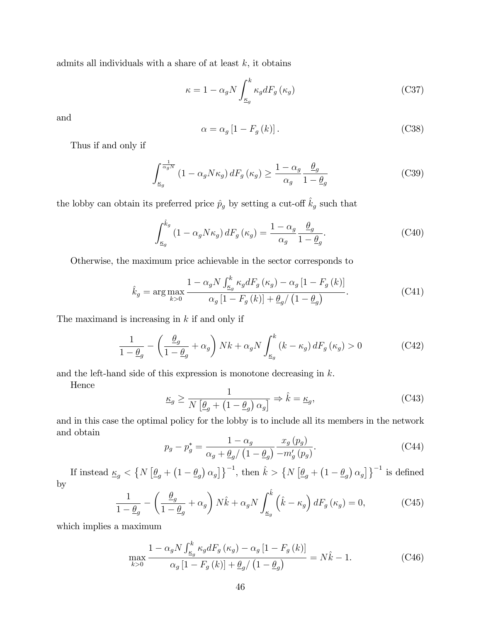admits all individuals with a share of at least  $k$ , it obtains

$$
\kappa = 1 - \alpha_g N \int_{\underline{\kappa}_g}^k \kappa_g dF_g \left( \kappa_g \right) \tag{C37}
$$

and

$$
\alpha = \alpha_g \left[ 1 - F_g \left( k \right) \right]. \tag{C38}
$$

Thus if and only if

$$
\int_{\underline{\kappa}_g}^{\frac{1}{\alpha_g N}} \left(1 - \alpha_g N \kappa_g\right) dF_g\left(\kappa_g\right) \ge \frac{1 - \alpha_g}{\alpha_g} \frac{\underline{\theta}_g}{1 - \underline{\theta}_g} \tag{C39}
$$

the lobby can obtain its preferred price  $\hat{p}_g$  by setting a cut-off  $\hat{k}_g$  such that

$$
\int_{\underline{\kappa}_g}^{\hat{k}_g} (1 - \alpha_g N \kappa_g) dF_g(\kappa_g) = \frac{1 - \alpha_g}{\alpha_g} \frac{\underline{\theta}_g}{1 - \underline{\theta}_g}.
$$
\n(C40)

Otherwise, the maximum price achievable in the sector corresponds to

$$
\hat{k}_g = \arg \max_{k>0} \frac{1 - \alpha_g N \int_{\underline{\kappa}_g}^k \kappa_g dF_g(\kappa_g) - \alpha_g \left[1 - F_g(k)\right]}{\alpha_g \left[1 - F_g(k)\right] + \underline{\theta}_g / \left(1 - \underline{\theta}_g\right)}.
$$
\n(C41)

The maximand is increasing in  $k$  if and only if

$$
\frac{1}{1 - \underline{\theta}_g} - \left(\frac{\underline{\theta}_g}{1 - \underline{\theta}_g} + \alpha_g\right) Nk + \alpha_g N \int_{\underline{\kappa}_g}^k (k - \kappa_g) dF_g(\kappa_g) > 0 \tag{C42}
$$

and the left-hand side of this expression is monotone decreasing in k.

Hence

$$
\underline{\kappa}_g \ge \frac{1}{N \left[ \underline{\theta}_g + \left( 1 - \underline{\theta}_g \right) \alpha_g \right]} \Rightarrow \hat{k} = \underline{\kappa}_g,\tag{C43}
$$

and in this case the optimal policy for the lobby is to include all its members in the network and obtain

$$
p_g - p_g^* = \frac{1 - \alpha_g}{\alpha_g + \underline{\theta}_g / \left(1 - \underline{\theta}_g\right)} \frac{x_g \left(p_g\right)}{-m'_g \left(p_g\right)}.\tag{C44}
$$

If instead  $\underline{\kappa}_g < \left\{ N \left[ \underline{\theta}_g + \left( 1 - \underline{\theta}_g \right) \alpha_g \right] \right\}^{-1}$ , then  $\hat{k} > \left\{ N \left[ \underline{\theta}_g + \left( 1 - \underline{\theta}_g \right) \alpha_g \right] \right\}^{-1}$  is defined by

$$
\frac{1}{1 - \underline{\theta}_g} - \left(\frac{\underline{\theta}_g}{1 - \underline{\theta}_g} + \alpha_g\right) N\hat{k} + \alpha_g N \int_{\underline{\kappa}_g}^{\hat{k}} \left(\hat{k} - \kappa_g\right) dF_g\left(\kappa_g\right) = 0,\tag{C45}
$$

which implies a maximum

$$
\max_{k>0} \frac{1 - \alpha_g N \int_{\underline{\kappa}_g}^k \kappa_g dF_g(\kappa_g) - \alpha_g \left[1 - F_g(k)\right]}{\alpha_g \left[1 - F_g(k)\right] + \underline{\theta}_g / \left(1 - \underline{\theta}_g\right)} = N\hat{k} - 1.
$$
\n(C46)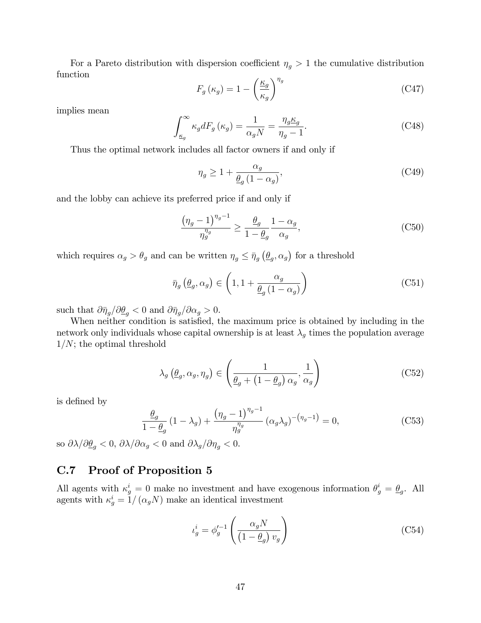For a Pareto distribution with dispersion coefficient  $\eta_g > 1$  the cumulative distribution function

$$
F_g(\kappa_g) = 1 - \left(\frac{\kappa_g}{\kappa_g}\right)^{\eta_g} \tag{C47}
$$

implies mean

$$
\int_{\underline{\kappa}_g}^{\infty} \kappa_g dF_g \left( \kappa_g \right) = \frac{1}{\alpha_g N} = \frac{\eta_g \underline{\kappa}_g}{\eta_g - 1}.
$$
 (C48)

Thus the optimal network includes all factor owners if and only if

$$
\eta_g \ge 1 + \frac{\alpha_g}{\underline{\theta}_g \left(1 - \alpha_g\right)},\tag{C49}
$$

and the lobby can achieve its preferred price if and only if

$$
\frac{\left(\eta_g - 1\right)^{\eta_g - 1}}{\eta_g^{\eta_g}} \ge \frac{\underline{\theta}_g}{1 - \underline{\theta}_g} \frac{1 - \alpha_g}{\alpha_g},\tag{C50}
$$

which requires  $\alpha_g > \theta_g$  and can be written  $\eta_g \leq \bar{\eta}_g \left(\underline{\theta}_g, \alpha_g\right)$  for a threshold

$$
\bar{\eta}_g\left(\underline{\theta}_g, \alpha_g\right) \in \left(1, 1 + \frac{\alpha_g}{\underline{\theta}_g\left(1 - \alpha_g\right)}\right) \tag{C51}
$$

such that  $\partial \bar{\eta}_q / \partial \underline{\theta}_q < 0$  and  $\partial \bar{\eta}_q / \partial \alpha_g > 0$ .

When neither condition is satisfied, the maximum price is obtained by including in the network only individuals whose capital ownership is at least  $\lambda_g$  times the population average  $1/N$ ; the optimal threshold

$$
\lambda_g\left(\underline{\theta}_g, \alpha_g, \eta_g\right) \in \left(\frac{1}{\underline{\theta}_g + \left(1 - \underline{\theta}_g\right)\alpha_g}, \frac{1}{\alpha_g}\right) \tag{C52}
$$

is defined by

$$
\frac{\theta_g}{1 - \theta_g} \left( 1 - \lambda_g \right) + \frac{\left( \eta_g - 1 \right)^{\eta_g - 1}}{\eta_g^{\eta_g}} \left( \alpha_g \lambda_g \right)^{-\left( \eta_g - 1 \right)} = 0, \tag{C53}
$$

so  $\partial \lambda / \partial \underline{\theta}_q < 0$ ,  $\partial \lambda / \partial \alpha_q < 0$  and  $\partial \lambda_q / \partial \eta_q < 0$ .

## C.7 Proof of Proposition 5

All agents with  $\kappa_g^i = 0$  make no investment and have exogenous information  $\theta_g^i = \underline{\theta}_g$ . All agents with  $\kappa_g^i = 1/(\alpha_g N)$  make an identical investment

$$
i_g^i = \phi_g'^{-1} \left( \frac{\alpha_g N}{\left(1 - \underline{\theta}_g\right) v_g} \right) \tag{C54}
$$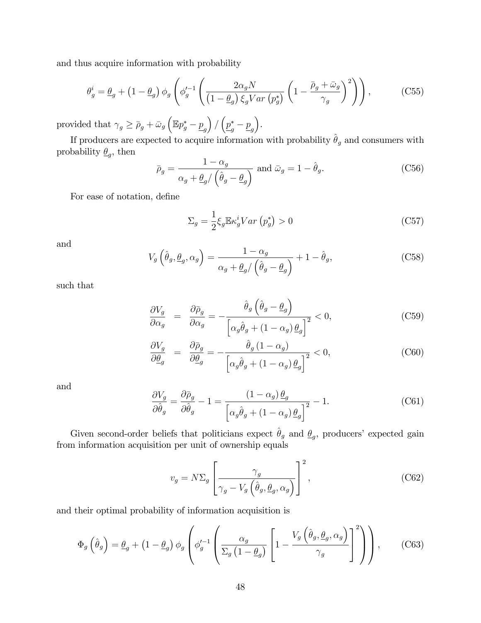and thus acquire information with probability

$$
\theta_g^i = \underline{\theta}_g + \left(1 - \underline{\theta}_g\right) \phi_g \left(\phi_g'^{-1} \left(\frac{2\alpha_g N}{\left(1 - \underline{\theta}_g\right) \xi_g Var\left(p_g^*\right)} \left(1 - \frac{\overline{\rho}_g + \overline{\omega}_g}{\gamma_g}\right)^2\right)\right),\tag{C55}
$$

provided that  $\gamma_g \ge \bar{\rho}_g + \bar{\omega}_g \left( \mathbb{E} p_g^* - \underline{p}_g \right)$  $\left( \frac{p_{g}^{*} - p_{g}}{2} \right)$ .

If producers are expected to acquire information with probability  $\hat{\theta}_g$  and consumers with probability  $\underline{\theta}_g$ , then

$$
\bar{\rho}_g = \frac{1 - \alpha_g}{\alpha_g + \underline{\theta}_g / (\hat{\theta}_g - \underline{\theta}_g)} \text{ and } \bar{\omega}_g = 1 - \hat{\theta}_g. \tag{C56}
$$

For ease of notation, define

$$
\Sigma_g = \frac{1}{2} \xi_g \mathbb{E} \kappa_g^i Var \left( p_g^* \right) > 0 \tag{C57}
$$

and

$$
V_g\left(\hat{\theta}_g, \underline{\theta}_g, \alpha_g\right) = \frac{1 - \alpha_g}{\alpha_g + \underline{\theta}_g / \left(\hat{\theta}_g - \underline{\theta}_g\right)} + 1 - \hat{\theta}_g,\tag{C58}
$$

such that

$$
\frac{\partial V_g}{\partial \alpha_g} = \frac{\partial \bar{\rho}_g}{\partial \alpha_g} = -\frac{\hat{\theta}_g \left(\hat{\theta}_g - \underline{\theta}_g\right)}{\left[\alpha_g \hat{\theta}_g + (1 - \alpha_g) \underline{\theta}_g\right]^2} < 0,\tag{C59}
$$

$$
\frac{\partial V_g}{\partial \underline{\theta}_g} = \frac{\partial \bar{\rho}_g}{\partial \underline{\theta}_g} = -\frac{\hat{\theta}_g (1 - \alpha_g)}{\left[\alpha_g \hat{\theta}_g + (1 - \alpha_g) \underline{\theta}_g\right]^2} < 0,\tag{C60}
$$

and

$$
\frac{\partial V_g}{\partial \hat{\theta}_g} = \frac{\partial \bar{\rho}_g}{\partial \hat{\theta}_g} - 1 = \frac{(1 - \alpha_g) \underline{\theta}_g}{\left[ \alpha_g \hat{\theta}_g + (1 - \alpha_g) \underline{\theta}_g \right]^2} - 1.
$$
\n(C61)

Given second-order beliefs that politicians expect  $\hat{\theta}_g$  and  $\underline{\theta}_g$ , producers' expected gain from information acquisition per unit of ownership equals

$$
v_g = N\Sigma_g \left[ \frac{\gamma_g}{\gamma_g - V_g \left( \hat{\theta}_g, \underline{\theta}_g, \alpha_g \right)} \right]^2, \tag{C62}
$$

and their optimal probability of information acquisition is

$$
\Phi_g\left(\hat{\theta}_g\right) = \underline{\theta}_g + \left(1 - \underline{\theta}_g\right) \phi_g \left(\phi_g'^{-1}\left(\frac{\alpha_g}{\Sigma_g\left(1 - \underline{\theta}_g\right)} \left[1 - \frac{V_g\left(\hat{\theta}_g, \underline{\theta}_g, \alpha_g\right)}{\gamma_g}\right]^2\right)\right),\tag{C63}
$$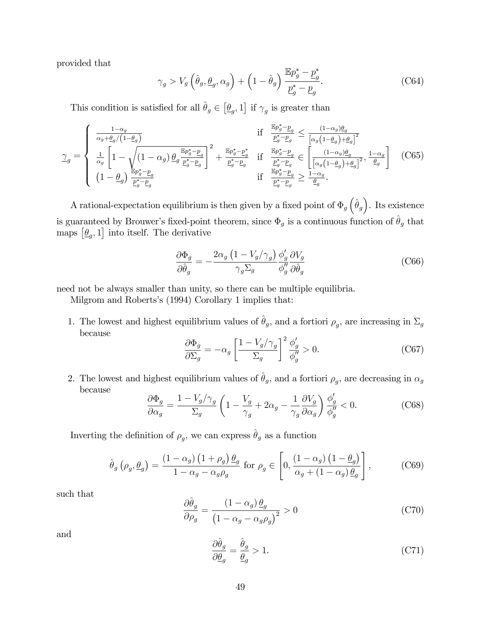provided that

$$
\gamma_g > V_g \left( \hat{\theta}_g, \underline{\theta}_g, \alpha_g \right) + \left( 1 - \hat{\theta}_g \right) \frac{\mathbb{E} p_g^* - \underline{p}_g^*}{\underline{p}_g^* - \underline{p}_g}.
$$
 (C64)

This condition is satisfied for all  $\hat{\theta}_g \in [\underline{\theta}_g, 1]$  if  $\gamma_g$  is greater than

$$
\gamma_g = \begin{cases}\n\frac{1-\alpha_g}{\alpha_g + \underline{\theta}_g/(1-\underline{\theta}_g)} & \text{if } \frac{\mathbb{E}p_g^* - \underline{p}_g}{\underline{p}_g^* - \underline{p}_g} \le \frac{(1-\alpha_g)\underline{\theta}_g}{\left[\alpha_g(1-\underline{\theta}_g) + \underline{\theta}_g\right]^2} \\
\frac{1}{\alpha_g} \left[1 - \sqrt{\left(1-\alpha_g\right) \underline{\theta}_g \frac{\mathbb{E}p_g^* - \underline{p}_g}{\underline{p}_g^* - \underline{p}_g}}\right]^2 + \frac{\mathbb{E}p_g^* - \underline{p}_g^*}{\underline{p}_g^* - \underline{p}_g} & \text{if } \frac{\mathbb{E}p_g^* - \underline{p}_g}{\underline{p}_g^* - \underline{p}_g} \in \left[\frac{(1-\alpha_g)\underline{\theta}_g}{\left[\alpha_g(1-\underline{\theta}_g) + \underline{\theta}_g\right]^2}, \frac{1-\alpha_g}{\underline{\theta}_g}\right] \\
(1-\underline{\theta}_g) \frac{\mathbb{E}p_g^* - \underline{p}_g}{\underline{p}_g^* - \underline{p}_g} & \text{if } \frac{\mathbb{E}p_g^* - \underline{p}_g}{\underline{p}_g^* - \underline{p}_g} \ge \frac{1-\alpha_g}{\underline{\theta}_g}.\n\end{cases}
$$
\n(C65)

A rational-expectation equilibrium is then given by a fixed point of  $\Phi_g \left( \hat{\theta}_g \right)$ . Its existence is guaranteed by Brouwer's fixed-point theorem, since  $\Phi_g$  is a continuous function of  $\hat{\theta}_g$  that maps  $[\underline{\theta}_g, 1]$  into itself. The derivative

$$
\frac{\partial \Phi_g}{\partial \hat{\theta}_g} = -\frac{2\alpha_g \left(1 - V_g/\gamma_g\right)}{\gamma_g \Sigma_g} \frac{\phi'_g}{\phi''_g} \frac{\partial V_g}{\partial \hat{\theta}_g} \tag{C66}
$$

need not be always smaller than unity, so there can be multiple equilibria.

Milgrom and Roberts's (1994) Corollary 1 implies that:

1. The lowest and highest equilibrium values of  $\hat{\theta}_g$ , and a fortiori  $\rho_g$ , are increasing in  $\Sigma_g$ because

$$
\frac{\partial \Phi_g}{\partial \Sigma_g} = -\alpha_g \left[ \frac{1 - V_g / \gamma_g}{\Sigma_g} \right]^2 \frac{\phi'_g}{\phi''_g} > 0.
$$
 (C67)

2. The lowest and highest equilibrium values of  $\hat{\theta}_g$ , and a fortiori  $\rho_g$ , are decreasing in  $\alpha_g$ because

$$
\frac{\partial \Phi_g}{\partial \alpha_g} = \frac{1 - V_g / \gamma_g}{\Sigma_g} \left( 1 - \frac{V_g}{\gamma_g} + 2\alpha_g - \frac{1}{\gamma_g} \frac{\partial V_g}{\partial \alpha_g} \right) \frac{\phi'_g}{\phi''_g} < 0. \tag{C68}
$$

Inverting the definition of  $\rho_g$ , we can express  $\hat{\theta}_g$  as a function

$$
\hat{\theta}_g \left( \rho_g, \underline{\theta}_g \right) = \frac{\left( 1 - \alpha_g \right) \left( 1 + \rho_g \right) \underline{\theta}_g}{1 - \alpha_g - \alpha_g \rho_g} \text{ for } \rho_g \in \left[ 0, \frac{\left( 1 - \alpha_g \right) \left( 1 - \underline{\theta}_g \right)}{\alpha_g + \left( 1 - \alpha_g \right) \underline{\theta}_g} \right],\tag{C69}
$$

such that

$$
\frac{\partial \hat{\theta}_g}{\partial \rho_g} = \frac{(1 - \alpha_g) \underline{\theta}_g}{\left(1 - \alpha_g - \alpha_g \rho_g\right)^2} > 0
$$
\n(C70)

and

$$
\frac{\partial \hat{\theta}_g}{\partial \underline{\theta}_g} = \frac{\hat{\theta}_g}{\underline{\theta}_g} > 1.
$$
\n(C71)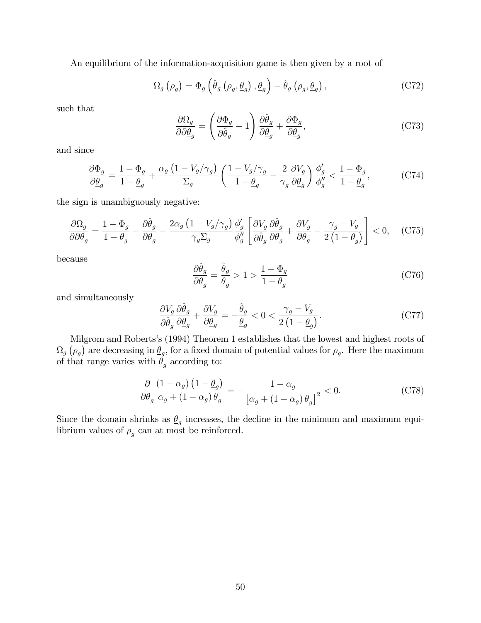An equilibrium of the information-acquisition game is then given by a root of

$$
\Omega_g \left( \rho_g \right) = \Phi_g \left( \hat{\theta}_g \left( \rho_g, \underline{\theta}_g \right), \underline{\theta}_g \right) - \hat{\theta}_g \left( \rho_g, \underline{\theta}_g \right), \tag{C72}
$$

such that

$$
\frac{\partial \Omega_g}{\partial \partial \underline{\theta}_g} = \left(\frac{\partial \Phi_g}{\partial \hat{\theta}_g} - 1\right) \frac{\partial \hat{\theta}_g}{\partial \underline{\theta}_g} + \frac{\partial \Phi_g}{\partial \underline{\theta}_g},\tag{C73}
$$

and since

$$
\frac{\partial \Phi_g}{\partial \underline{\theta}_g} = \frac{1 - \Phi_g}{1 - \underline{\theta}_g} + \frac{\alpha_g \left(1 - V_g/\gamma_g\right)}{\Sigma_g} \left(\frac{1 - V_g/\gamma_g}{1 - \underline{\theta}_g} - \frac{2}{\gamma_g} \frac{\partial V_g}{\partial \underline{\theta}_g}\right) \frac{\phi'_g}{\phi''_g} < \frac{1 - \Phi_g}{1 - \underline{\theta}_g},\tag{C74}
$$

the sign is unambiguously negative:

$$
\frac{\partial \Omega_g}{\partial \partial \underline{\theta}_g} = \frac{1 - \Phi_g}{1 - \underline{\theta}_g} - \frac{\partial \hat{\theta}_g}{\partial \underline{\theta}_g} - \frac{2\alpha_g \left(1 - V_g/\gamma_g\right)}{\gamma_g \Sigma_g} \frac{\phi'_g}{\phi''_g} \left[ \frac{\partial V_g}{\partial \hat{\theta}_g} \frac{\partial \hat{\theta}_g}{\partial \underline{\theta}_g} + \frac{\partial V_g}{\partial \underline{\theta}_g} - \frac{\gamma_g - V_g}{2\left(1 - \underline{\theta}_g\right)} \right] < 0, \quad \text{(C75)}
$$

because

$$
\frac{\partial \hat{\theta}_g}{\partial \underline{\theta}_g} = \frac{\hat{\theta}_g}{\underline{\theta}_g} > 1 > \frac{1 - \Phi_g}{1 - \underline{\theta}_g} \tag{C76}
$$

and simultaneously

$$
\frac{\partial V_g}{\partial \hat{\theta}_g} \frac{\partial \hat{\theta}_g}{\partial \underline{\theta}_g} + \frac{\partial V_g}{\partial \underline{\theta}_g} = -\frac{\hat{\theta}_g}{\underline{\theta}_g} < 0 < \frac{\gamma_g - V_g}{2\left(1 - \underline{\theta}_g\right)}.\tag{C77}
$$

Milgrom and Roberts's (1994) Theorem 1 establishes that the lowest and highest roots of  $\Omega_g$  ( $\rho_g$ ) are decreasing in  $\underline{\theta}_g$ , for a fixed domain of potential values for  $\rho_g$ . Here the maximum of that range varies with  $\underline{\theta}_g$  according to:

$$
\frac{\partial}{\partial \underline{\theta}_g} \frac{\left(1 - \alpha_g\right)\left(1 - \underline{\theta}_g\right)}{\alpha_g + \left(1 - \alpha_g\right)\underline{\theta}_g} = -\frac{1 - \alpha_g}{\left[\alpha_g + \left(1 - \alpha_g\right)\underline{\theta}_g\right]^2} < 0. \tag{C78}
$$

Since the domain shrinks as  $\underline{\theta}_g$  increases, the decline in the minimum and maximum equilibrium values of  $\rho_g$  can at most be reinforced.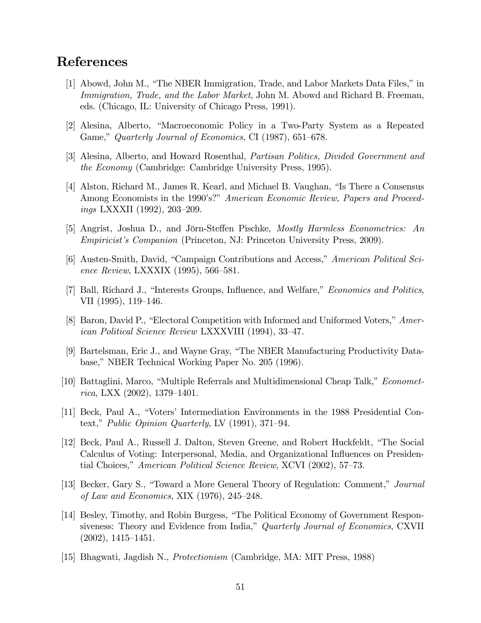# References

- [1] Abowd, John M., "The NBER Immigration, Trade, and Labor Markets Data Files," in Immigration, Trade, and the Labor Market, John M. Abowd and Richard B. Freeman, eds. (Chicago, IL: University of Chicago Press, 1991).
- [2] Alesina, Alberto, "Macroeconomic Policy in a Two-Party System as a Repeated Game," Quarterly Journal of Economics, CI (1987), 651–678.
- [3] Alesina, Alberto, and Howard Rosenthal, Partisan Politics, Divided Government and the Economy (Cambridge: Cambridge University Press, 1995).
- [4] Alston, Richard M., James R. Kearl, and Michael B. Vaughan, "Is There a Consensus Among Economists in the 1990's?" American Economic Review, Papers and Proceed $ings$  LXXXII (1992), 203-209.
- [5] Angrist, Joshua D., and Jörn-Steffen Pischke, *Mostly Harmless Econometrics: An* Empiricistís Companion (Princeton, NJ: Princeton University Press, 2009).
- [6] Austen-Smith, David, "Campaign Contributions and Access," American Political Science Review, LXXXIX (1995), 566–581.
- [7] Ball, Richard J., "Interests Groups, Influence, and Welfare," Economics and Politics, VII  $(1995)$ , 119–146.
- [8] Baron, David P., "Electoral Competition with Informed and Uniformed Voters," American Political Science Review LXXXVIII (1994), 33–47.
- [9] Bartelsman, Eric J., and Wayne Gray, "The NBER Manufacturing Productivity Database," NBER Technical Working Paper No. 205 (1996).
- [10] Battaglini, Marco, "Multiple Referrals and Multidimensional Cheap Talk,"  $Economet$ rica, LXX  $(2002)$ , 1379–1401.
- [11] Beck, Paul A., "Voters' Intermediation Environments in the 1988 Presidential Context," Public Opinion Quarterly, LV (1991), 371–94.
- [12] Beck, Paul A., Russell J. Dalton, Steven Greene, and Robert Huckfeldt, "The Social Calculus of Voting: Interpersonal, Media, and Organizational Ináuences on Presidential Choices," American Political Science Review, XCVI (2002), 57–73.
- [13] Becker, Gary S., "Toward a More General Theory of Regulation: Comment," Journal of Law and Economics, XIX  $(1976)$ , 245–248.
- [14] Besley, Timothy, and Robin Burgess, "The Political Economy of Government Responsiveness: Theory and Evidence from India," Quarterly Journal of Economics, CXVII  $(2002), 1415–1451.$
- [15] Bhagwati, Jagdish N., Protectionism (Cambridge, MA: MIT Press, 1988)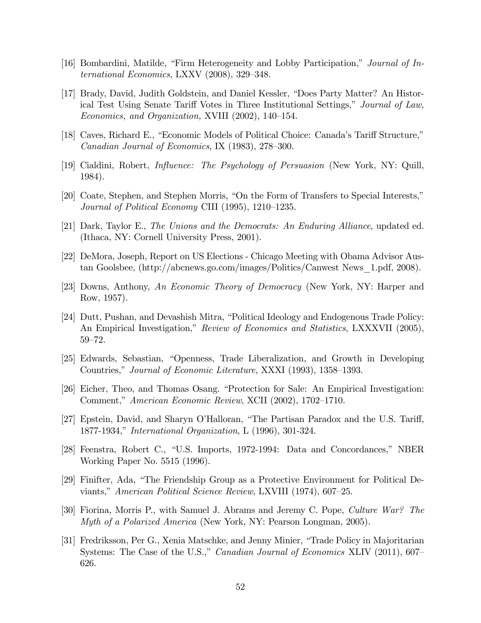- [16] Bombardini, Matilde, "Firm Heterogeneity and Lobby Participation," Journal of International Economics, LXXV  $(2008)$ , 329–348.
- [17] Brady, David, Judith Goldstein, and Daniel Kessler, "Does Party Matter? An Historical Test Using Senate Tariff Votes in Three Institutional Settings," Journal of Law, Economics, and Organization, XVIII  $(2002)$ , 140–154.
- [18] Caves, Richard E., "Economic Models of Political Choice: Canada's Tariff Structure," Canadian Journal of Economics, IX  $(1983)$ , 278–300.
- [19] Cialdini, Robert, *Influence: The Psychology of Persuasion* (New York, NY: Quill, 1984).
- [20] Coate, Stephen, and Stephen Morris, "On the Form of Transfers to Special Interests," Journal of Political Economy CIII  $(1995)$ , 1210–1235.
- [21] Dark, Taylor E., The Unions and the Democrats: An Enduring Alliance, updated ed. (Ithaca, NY: Cornell University Press, 2001).
- [22] DeMora, Joseph, Report on US Elections Chicago Meeting with Obama Advisor Austan Goolsbee, (http://abcnews.go.com/images/Politics/Canwest News\_1.pdf, 2008).
- [23] Downs, Anthony, An Economic Theory of Democracy (New York, NY: Harper and Row, 1957).
- [24] Dutt, Pushan, and Devashish Mitra, "Political Ideology and Endogenous Trade Policy: An Empirical Investigation," Review of Economics and Statistics, LXXXVII (2005),  $59 - 72.$
- [25] Edwards, Sebastian, "Openness, Trade Liberalization, and Growth in Developing Countries," Journal of Economic Literature, XXXI (1993), 1358–1393.
- [26] Eicher, Theo, and Thomas Osang. "Protection for Sale: An Empirical Investigation: Comment," American Economic Review, XCII (2002), 1702–1710.
- [27] Epstein, David, and Sharyn O'Halloran, "The Partisan Paradox and the U.S. Tariff, 1877-1934," *International Organization*, L (1996), 301-324.
- [28] Feenstra, Robert C., "U.S. Imports, 1972-1994: Data and Concordances," NBER Working Paper No. 5515 (1996).
- [29] Finifter, Ada, "The Friendship Group as a Protective Environment for Political Deviants," American Political Science Review, LXVIII (1974), 607–25.
- [30] Fiorina, Morris P., with Samuel J. Abrams and Jeremy C. Pope, Culture War? The Myth of a Polarized America (New York, NY: Pearson Longman, 2005).
- [31] Fredriksson, Per G., Xenia Matschke, and Jenny Minier, "Trade Policy in Majoritarian Systems: The Case of the U.S.," Canadian Journal of Economics XLIV (2011), 607– 626.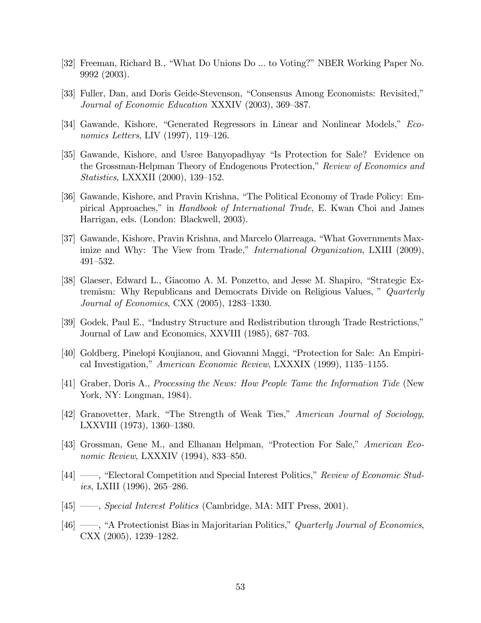- [32] Freeman, Richard B., "What Do Unions Do ... to Voting?" NBER Working Paper No. 9992 (2003).
- [33] Fuller, Dan, and Doris Geide-Stevenson, "Consensus Among Economists: Revisited," Journal of Economic Education XXXIV (2003), 369–387.
- [34] Gawande, Kishore, "Generated Regressors in Linear and Nonlinear Models," Economics Letters, LIV  $(1997)$ , 119–126.
- [35] Gawande, Kishore, and Usree Banyopadhyay "Is Protection for Sale? Evidence on the Grossman-Helpman Theory of Endogenous Protection," Review of Economics and *Statistics*, LXXXII  $(2000)$ , 139–152.
- [36] Gawande, Kishore, and Pravin Krishna, "The Political Economy of Trade Policy: Empirical Approaches," in *Handbook of International Trade*, E. Kwan Choi and James Harrigan, eds. (London: Blackwell, 2003).
- [37] Gawande, Kishore, Pravin Krishna, and Marcelo Olarreaga, "What Governments Maximize and Why: The View from Trade," *International Organization*, LXIII (2009),  $491 - 532.$
- [38] Glaeser, Edward L., Giacomo A. M. Ponzetto, and Jesse M. Shapiro, "Strategic Extremism: Why Republicans and Democrats Divide on Religious Values, " Quarterly *Journal of Economics*, CXX  $(2005)$ , 1283–1330.
- [39] Godek, Paul E., "Industry Structure and Redistribution through Trade Restrictions," Journal of Law and Economics, XXVIII (1985), 687–703.
- [40] Goldberg, Pinelopi Koujianou, and Giovanni Maggi, "Protection for Sale: An Empirical Investigation," American Economic Review, LXXXIX (1999), 1135–1155.
- [41] Graber, Doris A., Processing the News: How People Tame the Information Tide (New York, NY: Longman, 1984).
- [42] Granovetter, Mark, "The Strength of Weak Ties," American Journal of Sociology, LXXVIII  $(1973)$ ,  $1360-1380$ .
- [43] Grossman, Gene M., and Elhanan Helpman, "Protection For Sale," American Economic Review, LXXXIV  $(1994)$ , 833–850.
- [44] —, "Electoral Competition and Special Interest Politics," Review of Economic Studies, LXIII (1996), 265–286.
- $[45]$  *mecial Interest Politics* (Cambridge, MA: MIT Press, 2001).
- $[46]$  —, "A Protectionist Bias in Majoritarian Politics," Quarterly Journal of Economics,  $\text{CXX}$  (2005), 1239–1282.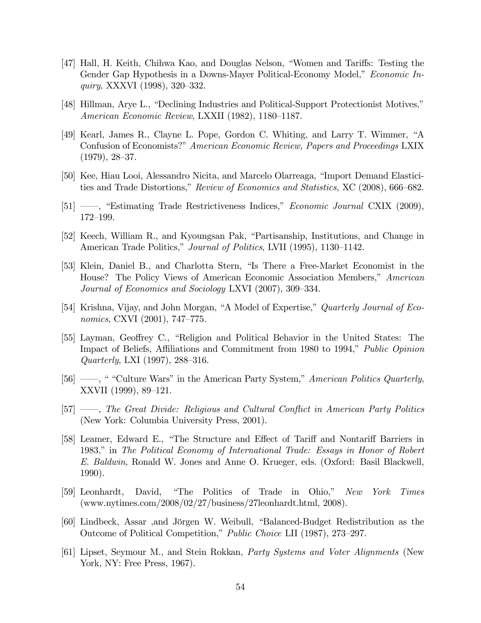- [47] Hall, H. Keith, Chihwa Kao, and Douglas Nelson, "Women and Tariffs: Testing the Gender Gap Hypothesis in a Downs-Mayer Political-Economy Model," *Economic In*quiry, XXXVI (1998), 320–332.
- [48] Hillman, Arye L., "Declining Industries and Political-Support Protectionist Motives," American Economic Review, LXXII (1982), 1180–1187.
- [49] Kearl, James R., Clayne L. Pope, Gordon C. Whiting, and Larry T. Wimmer, "A Confusion of Economists?" American Economic Review, Papers and Proceedings LXIX  $(1979), 28-37.$
- [50] Kee, Hiau Looi, Alessandro Nicita, and Marcelo Olarreaga, "Import Demand Elasticities and Trade Distortions," Review of Economics and Statistics, XC (2008), 666–682.
- [51]  $\_\_\_\$ , "Estimating Trade Restrictiveness Indices," Economic Journal CXIX (2009), 172-199.
- [52] Keech, William R., and Kyoungsan Pak, "Partisanship, Institutions, and Change in American Trade Politics," Journal of Politics, LVII (1995), 1130–1142.
- [53] Klein, Daniel B., and Charlotta Stern, "Is There a Free-Market Economist in the House? The Policy Views of American Economic Association Members," American Journal of Economics and Sociology LXVI (2007), 309–334.
- [54] Krishna, Vijay, and John Morgan, "A Model of Expertise," Quarterly Journal of Economics, CXVI  $(2001)$ , 747–775.
- [55] Layman, Geoffrey C., "Religion and Political Behavior in the United States: The Impact of Beliefs, Affiliations and Commitment from 1980 to 1994," Public Opinion  $Quarterly, LXI (1997), 288–316.$
- [56]  $\frac{1}{10}$  (56]  $\frac{1}{10}$  in the American Party System," American Politics Quarterly, XXVII (1999), 89–121.
- $[57]$  *ó The Great Divide: Religious and Cultural Conflict in American Party Politics* (New York: Columbia University Press, 2001).
- [58] Leamer, Edward E., "The Structure and Effect of Tariff and Nontariff Barriers in 1983," in The Political Economy of International Trade: Essays in Honor of Robert E. Baldwin, Ronald W. Jones and Anne O. Krueger, eds. (Oxford: Basil Blackwell, 1990).
- [59] Leonhardt, David, "The Politics of Trade in Ohio," New York Times (www.nytimes.com/2008/02/27/business/27leonhardt.html, 2008).
- [60] Lindbeck, Assar ,and Jörgen W. Weibull, "Balanced-Budget Redistribution as the Outcome of Political Competition," Public Choice LII (1987), 273–297.
- [61] Lipset, Seymour M., and Stein Rokkan, Party Systems and Voter Alignments (New York, NY: Free Press, 1967).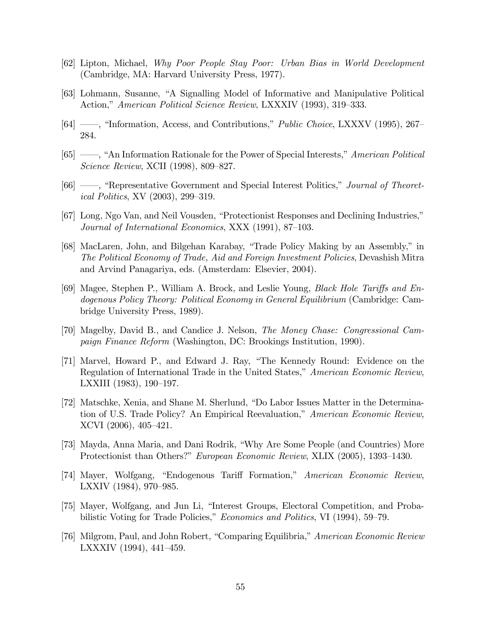- [62] Lipton, Michael, Why Poor People Stay Poor: Urban Bias in World Development (Cambridge, MA: Harvard University Press, 1977).
- [63] Lohmann, Susanne, "A Signalling Model of Informative and Manipulative Political Action," American Political Science Review, LXXXIV (1993), 319–333.
- $[64]$  —, "Information, Access, and Contributions," *Public Choice*, LXXXV (1995), 267 284.
- [65]  $\rightarrow$ , "An Information Rationale for the Power of Special Interests," American Political *Science Review, XCII* (1998), 809–827.
- [66] —, "Representative Government and Special Interest Politics," Journal of Theoret*ical Politics, XV*  $(2003)$ ,  $299-319$ .
- [67] Long, Ngo Van, and Neil Vousden, "Protectionist Responses and Declining Industries," Journal of International Economics, XXX (1991), 87–103.
- [68] MacLaren, John, and Bilgehan Karabay, "Trade Policy Making by an Assembly," in The Political Economy of Trade, Aid and Foreign Investment Policies, Devashish Mitra and Arvind Panagariya, eds. (Amsterdam: Elsevier, 2004).
- [69] Magee, Stephen P., William A. Brock, and Leslie Young, *Black Hole Tariffs and En*dogenous Policy Theory: Political Economy in General Equilibrium (Cambridge: Cambridge University Press, 1989).
- [70] Magelby, David B., and Candice J. Nelson, The Money Chase: Congressional Campaign Finance Reform (Washington, DC: Brookings Institution, 1990).
- [71] Marvel, Howard P., and Edward J. Ray, "The Kennedy Round: Evidence on the Regulation of International Trade in the United States," American Economic Review, LXXIII  $(1983)$ ,  $190-197$ .
- [72] Matschke, Xenia, and Shane M. Sherlund, "Do Labor Issues Matter in the Determination of U.S. Trade Policy? An Empirical Reevaluation," American Economic Review, XCVI (2006), 405-421.
- [73] Mayda, Anna Maria, and Dani Rodrik, "Why Are Some People (and Countries) More Protectionist than Others?" European Economic Review, XLIX (2005), 1393-1430.
- [74] Mayer, Wolfgang, "Endogenous Tariff Formation," American Economic Review, LXXIV  $(1984)$ , 970–985.
- [75] Mayer, Wolfgang, and Jun Li, "Interest Groups, Electoral Competition, and Probabilistic Voting for Trade Policies," Economics and Politics, VI (1994), 59–79.
- [76] Milgrom, Paul, and John Robert, "Comparing Equilibria," American Economic Review LXXXIV  $(1994)$ , 441–459.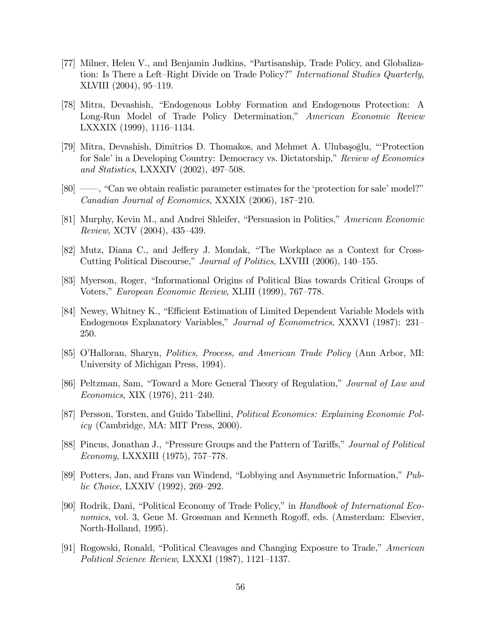- [77] Milner, Helen V., and Benjamin Judkins, "Partisanship, Trade Policy, and Globalization: Is There a Left-Right Divide on Trade Policy?" International Studies Quarterly, XLVIII (2004), 95-119.
- [78] Mitra, Devashish, "Endogenous Lobby Formation and Endogenous Protection: A Long-Run Model of Trade Policy Determination," American Economic Review LXXXIX  $(1999)$ , 1116–1134.
- [79] Mitra, Devashish, Dimitrios D. Thomakos, and Mehmet A. Ulubaşoğlu, "Protection" for Sale' in a Developing Country: Democracy vs. Dictatorship," Review of Economics and Statistics, LXXXIV  $(2002)$ , 497–508.
- $[80]$   $\longrightarrow$ , "Can we obtain realistic parameter estimates for the 'protection for sale' model?" Canadian Journal of Economics, XXXIX  $(2006)$ , 187–210.
- [81] Murphy, Kevin M., and Andrei Shleifer, "Persuasion in Politics," American Economic Review, XCIV  $(2004)$ , 435–439.
- [82] Mutz, Diana C., and Jeffery J. Mondak, "The Workplace as a Context for Cross-Cutting Political Discourse," Journal of Politics, LXVIII (2006), 140–155.
- [83] Myerson, Roger, "Informational Origins of Political Bias towards Critical Groups of Voters," European Economic Review, XLIII (1999), 767–778.
- [84] Newey, Whitney K., "Efficient Estimation of Limited Dependent Variable Models with Endogenous Explanatory Variables," Journal of Econometrics, XXXVI (1987): 231– 250.
- [85] O'Halloran, Sharyn, *Politics, Process, and American Trade Policy* (Ann Arbor, MI: University of Michigan Press, 1994).
- [86] Peltzman, Sam, "Toward a More General Theory of Regulation," Journal of Law and Economics, XIX  $(1976)$ , 211–240.
- [87] Persson, Torsten, and Guido Tabellini, Political Economics: Explaining Economic Policy (Cambridge, MA: MIT Press, 2000).
- [88] Pincus, Jonathan J., "Pressure Groups and the Pattern of Tariffs," Journal of Political Economy, LXXXIII (1975), 757-778.
- [89] Potters, Jan, and Frans van Windend, "Lobbying and Asymmetric Information,"  $Pub$ lic Choice, LXXIV  $(1992)$ , 269–292.
- [90] Rodrik, Dani, "Political Economy of Trade Policy," in Handbook of International Economics, vol. 3, Gene M. Grossman and Kenneth Rogoff, eds. (Amsterdam: Elsevier, North-Holland, 1995).
- [91] Rogowski, Ronald, "Political Cleavages and Changing Exposure to Trade," American Political Science Review, LXXXI  $(1987)$ , 1121–1137.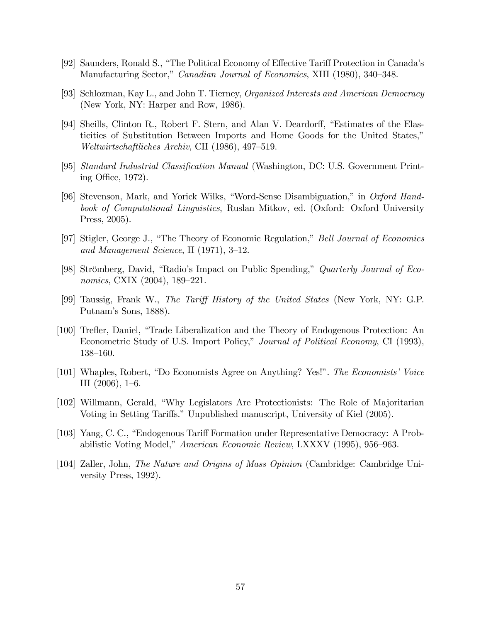- [92] Saunders, Ronald S., "The Political Economy of Effective Tariff Protection in Canada's Manufacturing Sector," Canadian Journal of Economics, XIII (1980), 340–348.
- [93] Schlozman, Kay L., and John T. Tierney, Organized Interests and American Democracy (New York, NY: Harper and Row, 1986).
- [94] Sheills, Clinton R., Robert F. Stern, and Alan V. Deardorff, "Estimates of the Elasticities of Substitution Between Imports and Home Goods for the United States,"  $Weltwirtschaftliches Archiv, CII (1986), 497–519.$
- [95] Standard Industrial Classification Manual (Washington, DC: U.S. Government Printing Office,  $1972$ ).
- [96] Stevenson, Mark, and Yorick Wilks, "Word-Sense Disambiguation," in Oxford Handbook of Computational Linguistics, Ruslan Mitkov, ed. (Oxford: Oxford University Press, 2005).
- [97] Stigler, George J., "The Theory of Economic Regulation," Bell Journal of Economics and Management Science, II (1971),  $3-12$ .
- [98] Strömberg, David, "Radio's Impact on Public Spending," Quarterly Journal of Economics, CXIX  $(2004)$ , 189–221.
- [99] Taussig, Frank W., The Tariff History of the United States (New York, NY: G.P. Putnam's Sons, 1888).
- [100] Trefler, Daniel, "Trade Liberalization and the Theory of Endogenous Protection: An Econometric Study of U.S. Import Policy," Journal of Political Economy, CI (1993),  $138 - 160.$
- [101] Whaples, Robert, "Do Economists Agree on Anything? Yes!". The Economists' Voice III  $(2006)$ , 1–6.
- [102] Willmann, Gerald, "Why Legislators Are Protectionists: The Role of Majoritarian Voting in Setting Tariffs." Unpublished manuscript, University of Kiel (2005).
- [103] Yang, C. C., "Endogenous Tariff Formation under Representative Democracy: A Probabilistic Voting Model," American Economic Review, LXXXV (1995), 956–963.
- [104] Zaller, John, The Nature and Origins of Mass Opinion (Cambridge: Cambridge University Press, 1992).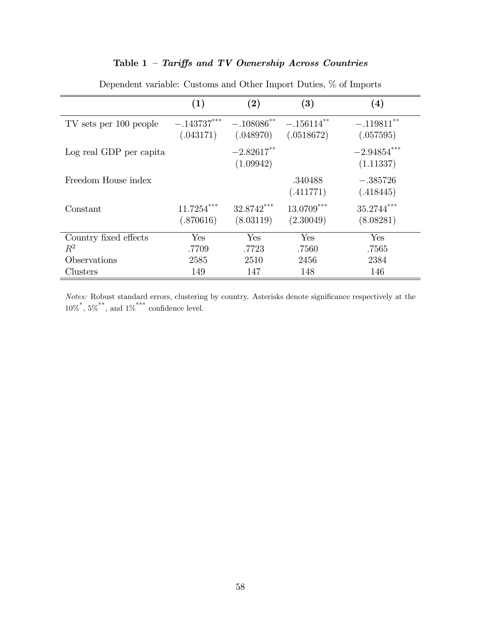## Table  $1$  – Tariffs and TV Ownership Across Countries

|                         | (1)                        | (2)                                   | $\bf (3)$                   | (4)                                   |
|-------------------------|----------------------------|---------------------------------------|-----------------------------|---------------------------------------|
| TV sets per 100 people  | $-.143737***$<br>(.043171) | $-.108086$ <sup>**</sup><br>(.048970) | $-.156114***$<br>(.0518672) | $-.119811$ <sup>**</sup><br>(.057595) |
| Log real GDP per capita |                            | $-2.82617***$<br>(1.09942)            |                             | $-2.94854***$<br>(1.11337)            |
| Freedom House index     |                            |                                       | .340488<br>(.411771)        | $-.385726$<br>(.418445)               |
| Constant                | $11.7254***$<br>(.870616)  | $32.8742***$<br>(8.03119)             | $13.0709***$<br>(2.30049)   | $35.2744***$<br>(8.08281)             |
| Country fixed effects   | Yes                        | Yes                                   | Yes                         | Yes                                   |
| $R^2$                   | .7709                      | .7723                                 | .7560                       | .7565                                 |
| Observations            | 2585                       | 2510                                  | 2456                        | 2384                                  |
| Clusters                | 149                        | 147                                   | 148                         | 146                                   |

Dependent variable: Customs and Other Import Duties, % of Imports

Notes: Robust standard errors, clustering by country. Asterisks denote significance respectively at the  $10\%$ <sup>\*</sup>,  $5\%$ <sup>\*\*</sup>, and  $1\%$ <sup>\*\*\*</sup> confidence level.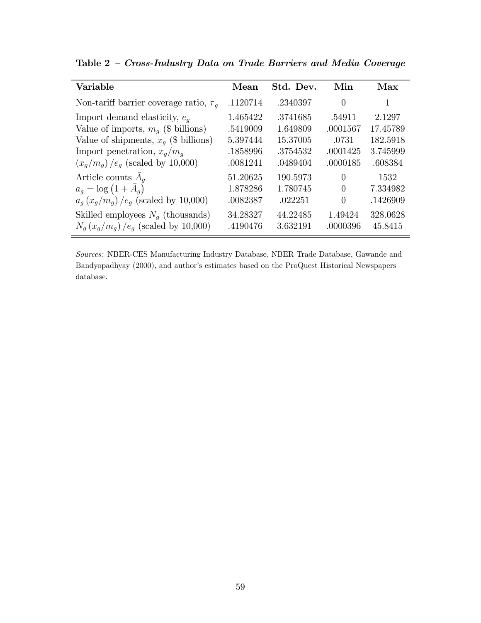| Variable                                          | Mean     | Std. Dev. | Min      | Max      |
|---------------------------------------------------|----------|-----------|----------|----------|
| Non-tariff barrier coverage ratio, $\tau_q$       | .1120714 | .2340397  | $\Omega$ | 1        |
| Import demand elasticity, $e_a$                   | 1.465422 | .3741685  | .54911   | 2.1297   |
| Value of imports, $m_q$ (\$ billions)             | .5419009 | 1.649809  | .0001567 | 17.45789 |
| Value of shipments, $x_a$ (\$ billions)           | 5.397444 | 15.37005  | .0731    | 182.5918 |
| Import penetration, $x_q/m_q$                     | .1858996 | .3754532  | .0001425 | 3.745999 |
| $(x_q/m_q)$ /e <sub>g</sub> (scaled by 10,000)    | .0081241 | .0489404  | .0000185 | .608384  |
| Article counts $A_q$                              | 51.20625 | 190.5973  | $\Omega$ | 1532     |
| $a_q = \log (1 + \bar{A}_q)$                      | 1.878286 | 1.780745  | $\Omega$ | 7.334982 |
| $a_q(x_q/m_q)$ /e <sub>q</sub> (scaled by 10,000) | .0082387 | .022251   | $\Omega$ | .1426909 |
| Skilled employees $N_q$ (thousands)               | 34.28327 | 44.22485  | 1.49424  | 328.0628 |
| $N_g (x_g/m_g) / e_g$ (scaled by 10,000)          | .4190476 | 3.632191  | .0000396 | 45.8415  |

Table  $2$  - Cross-Industry Data on Trade Barriers and Media Coverage

Sources: NBER-CES Manufacturing Industry Database, NBER Trade Database, Gawande and Bandyopadhyay (2000), and author's estimates based on the ProQuest Historical Newspapers database.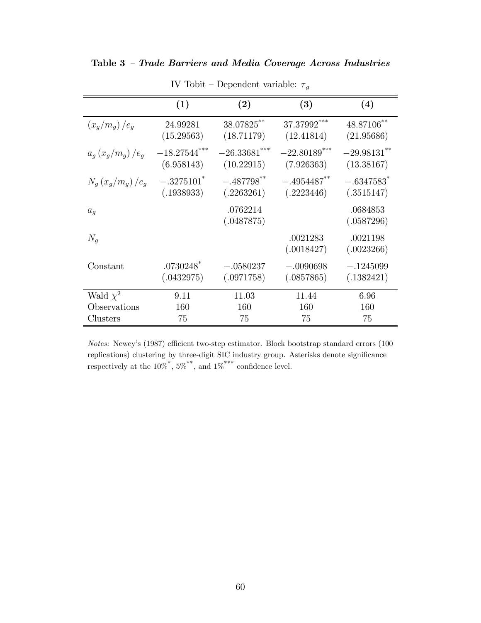### Table 3 - Trade Barriers and Media Coverage Across Industries

|                    | (1)                                   | (2)                                    | (3)                           | (4)                                    |
|--------------------|---------------------------------------|----------------------------------------|-------------------------------|----------------------------------------|
| $(x_q/m_q)/e_q$    | 24.99281<br>(15.29563)                | 38.07825**<br>(18.71179)               | 37.37992***<br>(12.41814)     | 48.87106**<br>(21.95686)               |
| $a_q(x_q/m_q)/e_q$ | $-18.27544***$<br>(6.958143)          | $-26.33681$ ***<br>(10.22915)          | $-22.80189$ ***<br>(7.926363) | $-29.98131***$<br>(13.38167)           |
| $N_q(x_q/m_q)/e_q$ | $-.3275101*$<br>(.1938933)            | $-.487798$ <sup>**</sup><br>(.2263261) | $-.4954487$ **<br>(.2223446)  | $-.6347583$ <sup>*</sup><br>(.3515147) |
| $a_q$              |                                       | .0762214<br>(.0487875)                 |                               | .0684853<br>(.0587296)                 |
| $N_q$              |                                       |                                        | .0021283<br>(.0018427)        | .0021198<br>(.0023266)                 |
| Constant           | $.0730248$ <sup>*</sup><br>(.0432975) | $-.0580237$<br>(.0971758)              | $-.0090698$<br>(.0857865)     | $-.1245099$<br>(.1382421)              |
| Wald $\chi^2$      | 9.11                                  | 11.03                                  | 11.44                         | 6.96                                   |
| Observations       | 160                                   | 160                                    | 160                           | 160                                    |
| Clusters           | 75                                    | 75                                     | 75                            | 75                                     |

IV Tobit – Dependent variable:  $\tau_g$ 

 $Notes:$  Newey's (1987) efficient two-step estimator. Block bootstrap standard errors (100  $r$ eplications) clustering by three-digit SIC industry group. Asterisks denote significance respectively at the  $10\%$ <sup>\*</sup>,  $5\%$ <sup>\*\*</sup>, and  $1\%$ <sup>\*\*\*</sup> confidence level.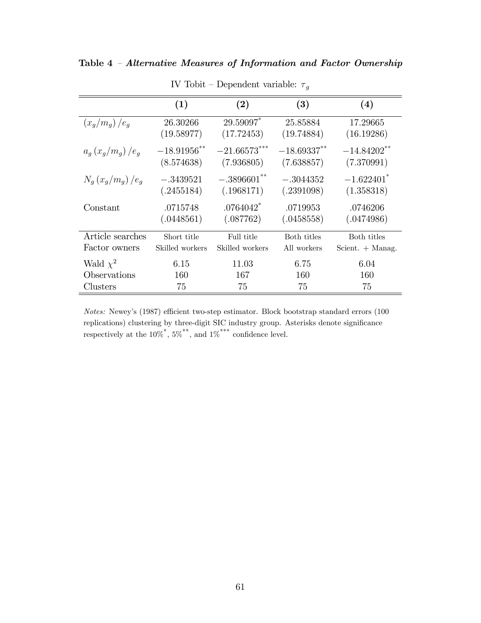|                    | (1)                          | $\bf(2)$                             | (3)                          | (4)                                     |
|--------------------|------------------------------|--------------------------------------|------------------------------|-----------------------------------------|
| $(x_q/m_q)/e_q$    | 26.30266<br>(19.58977)       | 29.59097*<br>(17.72453)              | 25.85884<br>(19.74884)       | 17.29665<br>(16.19286)                  |
| $a_a(x_a/m_a)/e_a$ | $-18.91956$ **<br>(8.574638) | $-21.66573***$<br>(7.936805)         | $-18.69337***$<br>(7.638857) | $-14.84202$ <sup>**</sup><br>(7.370991) |
| $N_a(x_a/m_a)/e_a$ | $-.3439521$<br>(.2455184)    | $-.3896601**$<br>(.1968171)          | $-.3044352$<br>(.2391098)    | $-1.622401$ <sup>*</sup><br>(1.358318)  |
| Constant           | .0715748<br>(.0448561)       | $.0764042$ <sup>*</sup><br>(.087762) | .0719953<br>(.0458558)       | .0746206<br>(.0474986)                  |
| Article searches   | Short title                  | Full title                           | Both titles                  | Both titles                             |
| Factor owners      | Skilled workers              | Skilled workers                      | All workers                  | Scient. $+$ Manag.                      |
| Wald $\chi^2$      | 6.15                         | 11.03                                | 6.75                         | 6.04                                    |
| Observations       | 160                          | 167                                  | 160                          | 160                                     |
| Clusters           | 75                           | 75                                   | 75                           | 75                                      |

IV Tobit – Dependent variable:  $\tau_g$ 

Notes: Newey's (1987) efficient two-step estimator. Block bootstrap standard errors (100  $replications)$  clustering by three-digit SIC industry group. Asterisks denote significance respectively at the  $10\%$ <sup>\*</sup>,  $5\%$ <sup>\*\*</sup>, and  $1\%$ <sup>\*\*\*</sup> confidence level.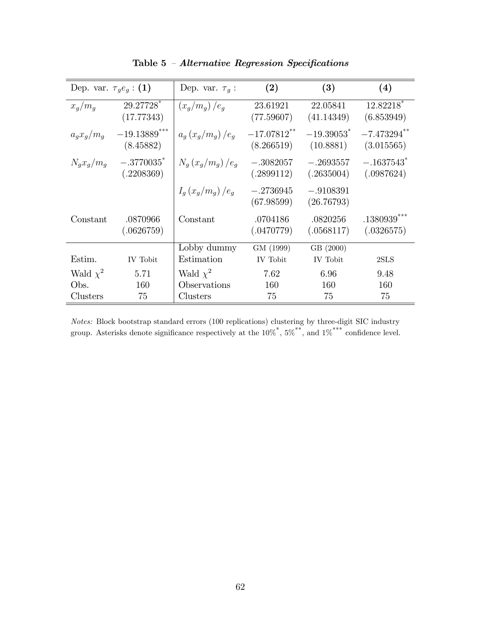| Dep. var. $\tau_q e_q$ : (1) |                                        | Dep. var. $\tau_g$ : | (2)                          | (3)                                   | (4)                                    |
|------------------------------|----------------------------------------|----------------------|------------------------------|---------------------------------------|----------------------------------------|
| $x_q/m_q$                    | 29.27728*<br>(17.77343)                | $(x_q/m_q)/e_q$      | 23.61921<br>(77.59607)       | 22.05841<br>(41.14349)                | 12.82218*<br>(6.853949)                |
| $a_q x_q/m_q$                | $-19.13889$ ***<br>(8.45882)           | $a_a(x_a/m_a)/e_a$   | $-17.07812$ **<br>(8.266519) | $-19.39053$ <sup>*</sup><br>(10.8881) | $-7.473294$ **<br>(3.015565)           |
| $N_q x_q/m_q$                | $-.3770035$ <sup>*</sup><br>(.2208369) | $N_q(x_q/m_q)/e_q$   | $-.3082057$<br>(.2899112)    | $-.2693557$<br>(.2635004)             | $-.1637543$ <sup>*</sup><br>(.0987624) |
|                              |                                        | $I_a(x_q/m_q)/e_q$   | $-.2736945$<br>(67.98599)    | $-.9108391$<br>(26.76793)             |                                        |
| Constant                     | .0870966<br>(.0626759)                 | Constant             | .0704186<br>(.0470779)       | .0820256<br>(.0568117)                | $.1380939***$<br>(.0326575)            |
|                              |                                        | Lobby dummy          | GM (1999)                    | GB (2000)                             |                                        |
| Estim.                       | IV Tobit                               | Estimation           | IV Tobit                     | IV Tobit                              | 2SLS                                   |
| Wald $\chi^2$                | 5.71                                   | Wald $\chi^2$        | 7.62                         | 6.96                                  | 9.48                                   |
| Obs.                         | 160                                    | Observations         | 160                          | 160                                   | 160                                    |
| Clusters                     | 75                                     | Clusters             | 75                           | 75                                    | 75                                     |

Table  $5$  - Alternative Regression Specifications

Notes: Block bootstrap standard errors (100 replications) clustering by three-digit SIC industry group. Asterisks denote significance respectively at the  $10\%$ <sup>\*</sup>,  $5\%$ <sup>\*\*</sup>, and  $1\%$ <sup>\*\*\*</sup> confidence level.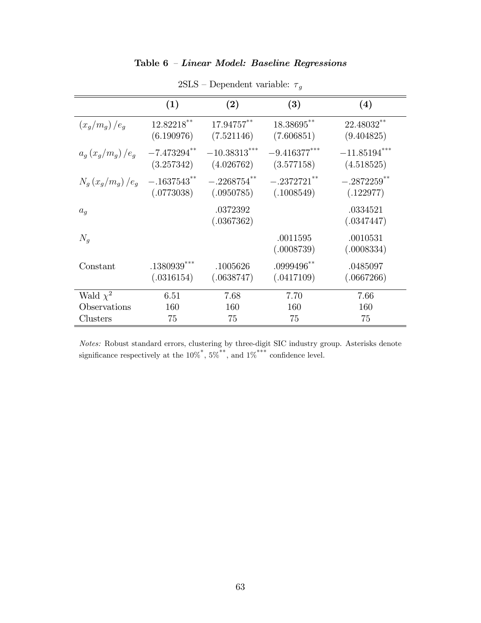### Table  $6$  - Linear Model: Baseline Regressions

|                    | (1)                          | (2)                          | (3)                          | (4)                                    |
|--------------------|------------------------------|------------------------------|------------------------------|----------------------------------------|
| $(x_q/m_q)/e_q$    | 12.82218**<br>(6.190976)     | 17.94757**<br>(7.521146)     | 18.38695**<br>(7.606851)     | 22.48032**<br>(9.404825)               |
| $a_a(x_a/m_a)/e_a$ | $-7.473294$ **<br>(3.257342) | $-10.38313***$<br>(4.026762) | $-9.416377***$<br>(3.577158) | $-11.85194***$<br>(4.518525)           |
| $N_q(x_q/m_q)/e_q$ | $-.1637543**$<br>(.0773038)  | $-.2268754***$<br>(.0950785) | $-.2372721$ **<br>(.1008549) | $-.2872259$ <sup>**</sup><br>(.122977) |
| $a_q$              |                              | .0372392<br>(.0367362)       |                              | .0334521<br>(.0347447)                 |
| $N_q$              |                              |                              | .0011595<br>(.0008739)       | .0010531<br>(.0008334)                 |
| Constant           | $.1380939***$<br>(.0316154)  | .1005626<br>(.0638747)       | $.0999496$ **<br>(.0417109)  | .0485097<br>(.0667266)                 |
| Wald $\chi^2$      | 6.51                         | 7.68                         | 7.70                         | 7.66                                   |
| Observations       | 160                          | 160                          | 160                          | 160                                    |
| Clusters           | 75                           | 75                           | 75                           | 75                                     |

2SLS – Dependent variable:  $\tau_g$ 

Notes: Robust standard errors, clustering by three-digit SIC industry group. Asterisks denote significance respectively at the  $10\%$ <sup>\*</sup>,  $5\%$ <sup>\*\*</sup>, and  $1\%$ <sup>\*\*\*</sup> confidence level.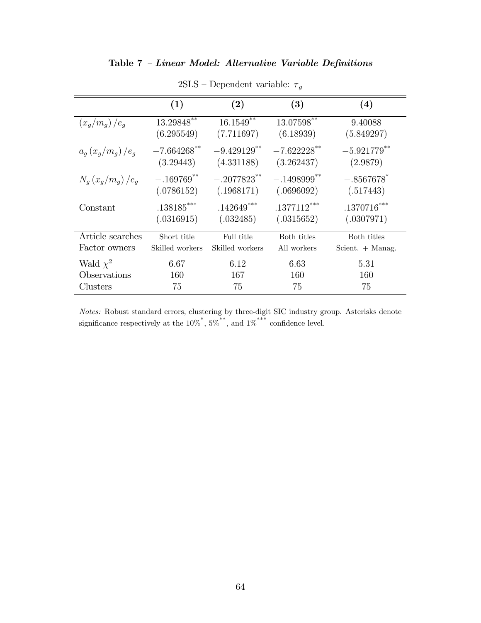## Table  $7$  - Linear Model: Alternative Variable Definitions

|                    | (1)             | (2)                       | (3)                       | $\left( 4\right)$         |
|--------------------|-----------------|---------------------------|---------------------------|---------------------------|
|                    |                 |                           |                           |                           |
| $(x_q/m_q)/e_q$    | $13.29848$ **   | $16.1549***$              | $13.07598***$             | 9.40088                   |
|                    | (6.295549)      | (7.711697)                | (6.18939)                 | (5.849297)                |
| $a_a(x_q/m_q)/e_q$ | $-7.664268$ **  | $-9.429129$ <sup>**</sup> | $-7.622228$ **            | $-5.921779$ <sup>**</sup> |
|                    | (3.29443)       | (4.331188)                | (3.262437)                | (2.9879)                  |
| $N_a(x_a/m_a)/e_a$ | $-.169769**$    | $-.2077823$ <sup>**</sup> | $-.1498999$ <sup>**</sup> | $-.8567678*$              |
|                    | (.0786152)      | (.1968171)                | (.0696092)                | (.517443)                 |
| Constant           | $.138185***$    | $.142649***$              | $.1377112***$             | $.1370716***$             |
|                    | (.0316915)      | (.032485)                 | (.0315652)                | (.0307971)                |
| Article searches   | Short title     | Full title                | Both titles               | Both titles               |
| Factor owners      | Skilled workers | Skilled workers           | All workers               | Scient. $+$ Manag.        |
| Wald $\chi^2$      | 6.67            | 6.12                      | 6.63                      | 5.31                      |
| Observations       | 160             | 167                       | 160                       | 160                       |
| Clusters           | 75              | 75                        | 75                        | 75                        |

2SLS – Dependent variable:  $\tau_g$ 

Notes: Robust standard errors, clustering by three-digit SIC industry group. Asterisks denote significance respectively at the  $10\%$ <sup>\*</sup>,  $5\%$ <sup>\*\*</sup>, and  $1\%$ <sup>\*\*\*</sup> confidence level.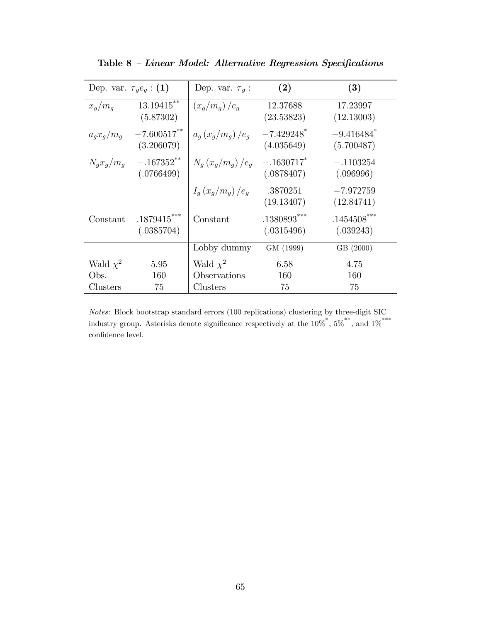| Dep. var. $\tau_a e_a$ : (1) |                              | Dep. var. $\tau_a$ : | (2)                                    | (3)                                    |
|------------------------------|------------------------------|----------------------|----------------------------------------|----------------------------------------|
| $x_q/m_q$                    | $13.19415***$<br>(5.87302)   | $(x_g/m_g)/e_g$      | 12.37688<br>(23.53823)                 | 17.23997<br>(12.13003)                 |
| $a_g x_g/m_q$                | $-7.600517***$<br>(3.206079) | $a_q(x_q/m_q)/e_q$   | $-7.429248$ <sup>*</sup><br>(4.035649) | $-9.416484$ <sup>*</sup><br>(5.700487) |
| $N_q x_q/m_q$                | $-.167352**$<br>(.0766499)   | $N_a(x_a/m_a)/e_a$   | $-.1630717$ <sup>*</sup><br>(.0878407) | $-.1103254$<br>(.096996)               |
|                              |                              | $I_a(x_q/m_q)/e_q$   | .3870251<br>(19.13407)                 | $-7.972759$<br>(12.84741)              |
| Constant                     | $.1879415***$<br>(.0385704)  | Constant             | $.1380893***$<br>(.0315496)            | $.1454508***$<br>(.039243)             |
|                              |                              | Lobby dummy          | GM (1999)                              | GB (2000)                              |
| Wald $\chi^2$                | 5.95                         | Wald $\chi^2$        | 6.58                                   | 4.75                                   |
| Obs.                         | 160                          | Observations         | 160                                    | 160                                    |
| Clusters                     | 75                           | Clusters             | 75                                     | 75                                     |

Table  $8$  - Linear Model: Alternative Regression Specifications

Notes: Block bootstrap standard errors (100 replications) clustering by three-digit SIC industry group. Asterisks denote significance respectively at the  $10\%$ <sup>\*</sup>,  $5\%$ <sup>\*\*</sup>, and  $1\%$ <sup>\*\*\*</sup>  $% \left\vert \cdot \right\vert$  confidence level.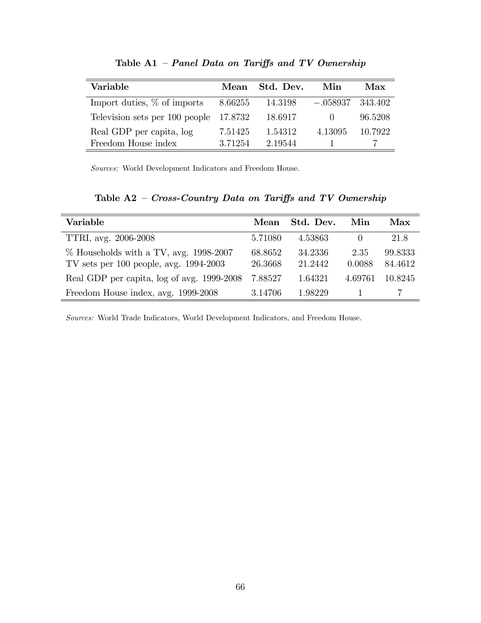| Variable                       | Mean    | Std. Dev. | Min        | Max     |
|--------------------------------|---------|-----------|------------|---------|
| Import duties, $\%$ of imports | 8.66255 | 14.3198   | $-.058937$ | 343.402 |
| Television sets per 100 people | 17.8732 | 18.6917   |            | 96.5208 |
| Real GDP per capita, log       | 7.51425 | 1.54312   | 4.13095    | 10.7922 |
| Freedom House index            | 3.71254 | 2.19544   |            |         |

Table A1  $-$  Panel Data on Tariffs and TV Ownership

Sources: World Development Indicators and Freedom House.

Table  $A2$  - Cross-Country Data on Tariffs and TV Ownership

| Variable                                                                                | Mean               | Std. Dev.          | Min              | Max                |
|-----------------------------------------------------------------------------------------|--------------------|--------------------|------------------|--------------------|
| TTRI, avg. 2006-2008                                                                    | 5.71080            | 4.53863            | $\left( \right)$ | 21.8               |
| $\%$ Households with a TV, avg. 1998-2007<br>TV sets per $100$ people, avg. $1994-2003$ | 68.8652<br>26.3668 | 34.2336<br>21.2442 | 2.35<br>0.0088   | 99.8333<br>84.4612 |
| Real GDP per capita, log of avg. 1999-2008                                              | 7.88527            | 1.64321            | 4.69761          | 10.8245            |
| Freedom House index, avg. 1999-2008                                                     | 3.14706            | 1.98229            |                  |                    |

Sources: World Trade Indicators, World Development Indicators, and Freedom House.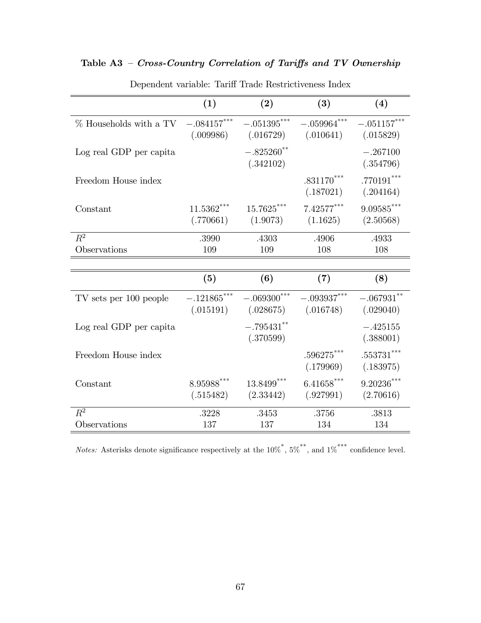## Table  $A3$  – Cross-Country Correlation of Tariffs and TV Ownership

|                                                                                | (1)                       | (2)                                                                                                       | (3)                        | (4)                       |
|--------------------------------------------------------------------------------|---------------------------|-----------------------------------------------------------------------------------------------------------|----------------------------|---------------------------|
| % Households with a TV $-.084157***$ $-.051395***$ $-.059964***$ $-.051157***$ |                           | $(.009986)$ $(.016729)$ $(.010641)$ $(.015829)$                                                           |                            |                           |
| Log real GDP per capita                                                        |                           | $-.825260**$<br>(.342102)                                                                                 |                            | $-.267100$<br>(.354796)   |
| Freedom House index                                                            |                           |                                                                                                           | $0.831170***$<br>(.187021) | $.770191***$<br>(.204164) |
| Constant                                                                       | $11.5362***$<br>(.770661) | $15.7625***$<br>(1.9073)                                                                                  | $7.42577***$<br>(1.1625)   | $9.09585***$<br>(2.50568) |
| $R^2$<br>Observations                                                          | .3990<br>109              | .4303<br>109                                                                                              | .4906<br>108               | .4933<br>108              |
|                                                                                |                           |                                                                                                           |                            |                           |
|                                                                                | (5)                       | (6)                                                                                                       | (7)                        | (8)                       |
| $\operatorname{TV}$ sets per 100 people                                        |                           | $-.121865***$ $-.069300***$ $-.093937***$ $-.067931**$<br>$(.015191)$ $(.028675)$ $(.016748)$ $(.029040)$ |                            |                           |
| Log real GDP per capita                                                        |                           | $-.795431***$<br>(.370599)                                                                                |                            | $-.425155$<br>(.388001)   |
| Freedom House index                                                            |                           |                                                                                                           | $.596275***$<br>(.179969)  | $.553731***$<br>(.183975) |
| Constant                                                                       | $8.95988***$<br>(.515482) | $13.8499***$<br>(2.33442)                                                                                 | $6.41658***$<br>(.927991)  | $9.20236***$<br>(2.70616) |
| $R^2$                                                                          | .3228                     | .3453                                                                                                     | .3756                      | .3813                     |
| Observations                                                                   | 137                       | 137                                                                                                       | 134                        | 134                       |

Dependent variable: Tariff Trade Restrictiveness Index

*Notes:* Asterisks denote significance respectively at the  $10\%$ <sup>\*</sup>,  $5\%$ <sup>\*\*</sup>, and  $1\%$ <sup>\*\*\*</sup> confidence level.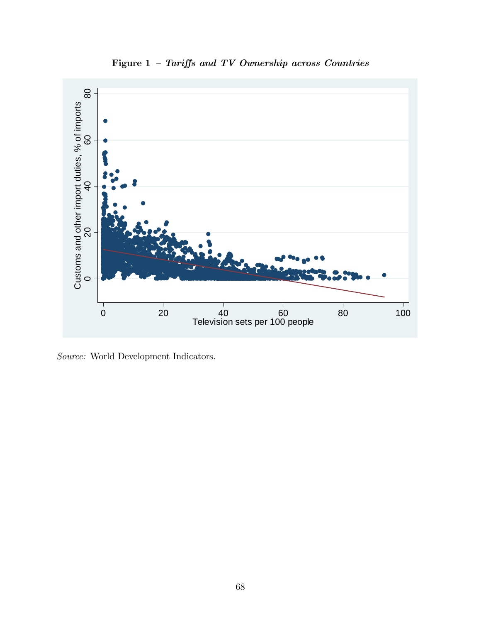

Figure 1  $-$  Tariffs and TV Ownership across Countries

Source: World Development Indicators.